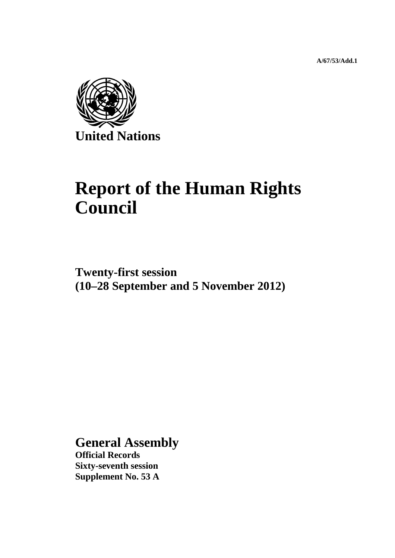**A/67/53/Add.1** 



# **Report of the Human Rights Council**

**Twenty-first session (10–28 September and 5 November 2012)** 

**General Assembly** 

**Official Records Sixty-seventh session Supplement No. 53 A**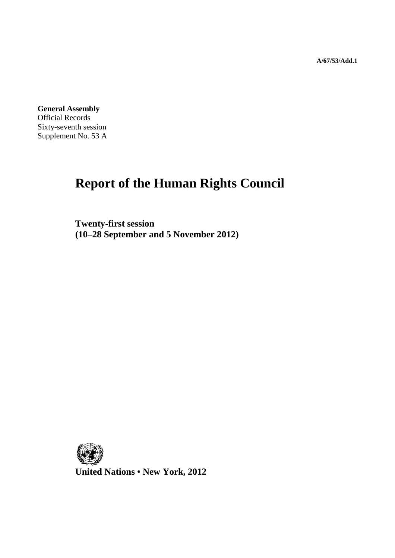**A/67/53/Add.1** 

**General Assembly**  Official Records Sixty-seventh session Supplement No. 53 A

# **Report of the Human Rights Council**

**Twenty-first session (10–28 September and 5 November 2012)** 



**United Nations • New York, 2012**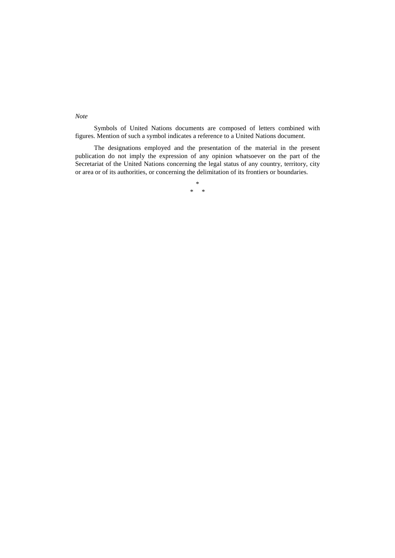*Note* 

 Symbols of United Nations documents are composed of letters combined with figures. Mention of such a symbol indicates a reference to a United Nations document.

 The designations employed and the presentation of the material in the present publication do not imply the expression of any opinion whatsoever on the part of the Secretariat of the United Nations concerning the legal status of any country, territory, city or area or of its authorities, or concerning the delimitation of its frontiers or boundaries.

> \* \* \*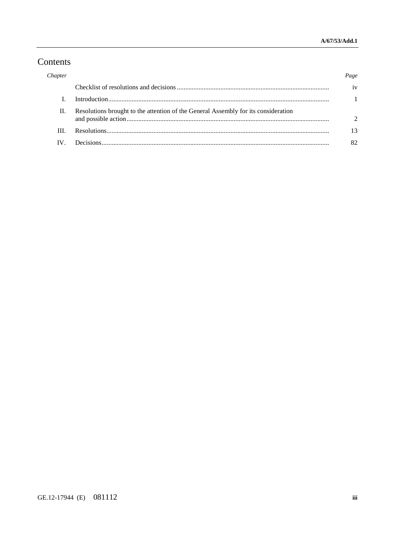## Contents

| Chapter |                                                                                    | Page |
|---------|------------------------------------------------------------------------------------|------|
|         |                                                                                    | iv   |
|         |                                                                                    |      |
| H.      | Resolutions brought to the attention of the General Assembly for its consideration |      |
| III.    |                                                                                    | 13   |
| IV.     |                                                                                    | 82   |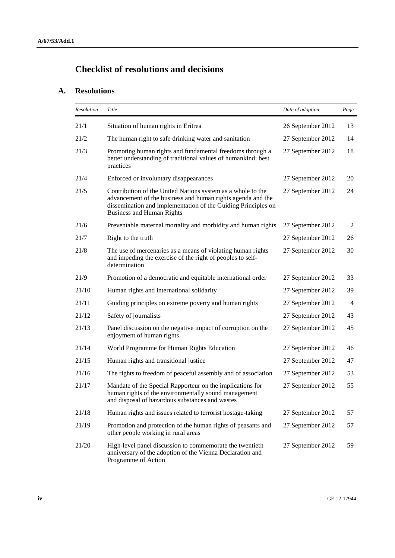# **Checklist of resolutions and decisions**

## **A. Resolutions**

| Resolution | Title                                                                                                                                                                                                                           | Date of adoption  | Page           |
|------------|---------------------------------------------------------------------------------------------------------------------------------------------------------------------------------------------------------------------------------|-------------------|----------------|
| 21/1       | Situation of human rights in Eritrea                                                                                                                                                                                            | 26 September 2012 | 13             |
| 21/2       | The human right to safe drinking water and sanitation                                                                                                                                                                           | 27 September 2012 | 14             |
| 21/3       | Promoting human rights and fundamental freedoms through a<br>better understanding of traditional values of humankind: best<br>practices                                                                                         | 27 September 2012 | 18             |
| 21/4       | Enforced or involuntary disappearances                                                                                                                                                                                          | 27 September 2012 | 20             |
| 21/5       | Contribution of the United Nations system as a whole to the<br>advancement of the business and human rights agenda and the<br>dissemination and implementation of the Guiding Principles on<br><b>Business and Human Rights</b> | 27 September 2012 | 24             |
| 21/6       | Preventable maternal mortality and morbidity and human rights                                                                                                                                                                   | 27 September 2012 | 2              |
| 21/7       | Right to the truth                                                                                                                                                                                                              | 27 September 2012 | 26             |
| 21/8       | The use of mercenaries as a means of violating human rights<br>and impeding the exercise of the right of peoples to self-<br>determination                                                                                      | 27 September 2012 | 30             |
| 21/9       | Promotion of a democratic and equitable international order                                                                                                                                                                     | 27 September 2012 | 33             |
| 21/10      | Human rights and international solidarity                                                                                                                                                                                       | 27 September 2012 | 39             |
| 21/11      | Guiding principles on extreme poverty and human rights                                                                                                                                                                          | 27 September 2012 | $\overline{4}$ |
| 21/12      | Safety of journalists                                                                                                                                                                                                           | 27 September 2012 | 43             |
| 21/13      | Panel discussion on the negative impact of corruption on the<br>enjoyment of human rights                                                                                                                                       | 27 September 2012 | 45             |
| 21/14      | World Programme for Human Rights Education                                                                                                                                                                                      | 27 September 2012 | 46             |
| 21/15      | Human rights and transitional justice                                                                                                                                                                                           | 27 September 2012 | 47             |
| 21/16      | The rights to freedom of peaceful assembly and of association                                                                                                                                                                   | 27 September 2012 | 53             |
| 21/17      | Mandate of the Special Rapporteur on the implications for<br>human rights of the environmentally sound management<br>and disposal of hazardous substances and wastes                                                            | 27 September 2012 | 55             |
| 21/18      | Human rights and issues related to terrorist hostage-taking                                                                                                                                                                     | 27 September 2012 | 57             |
| 21/19      | Promotion and protection of the human rights of peasants and<br>other people working in rural areas                                                                                                                             | 27 September 2012 | 57             |
| 21/20      | High-level panel discussion to commemorate the twentieth<br>anniversary of the adoption of the Vienna Declaration and<br>Programme of Action                                                                                    | 27 September 2012 | 59             |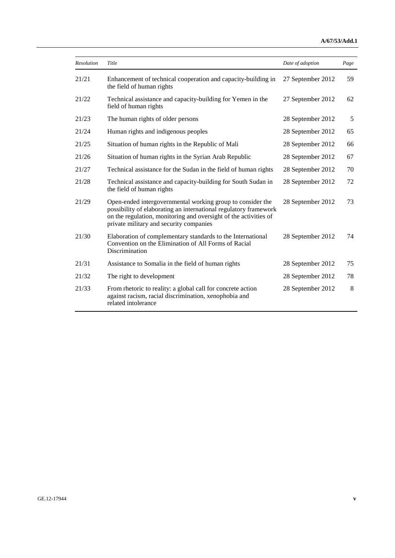| Resolution | Title                                                                                                                                                                                                                                         | Date of adoption  | Page |
|------------|-----------------------------------------------------------------------------------------------------------------------------------------------------------------------------------------------------------------------------------------------|-------------------|------|
| 21/21      | Enhancement of technical cooperation and capacity-building in<br>the field of human rights                                                                                                                                                    | 27 September 2012 | 59   |
| 21/22      | Technical assistance and capacity-building for Yemen in the<br>field of human rights                                                                                                                                                          | 27 September 2012 | 62   |
| 21/23      | The human rights of older persons                                                                                                                                                                                                             | 28 September 2012 | 5    |
| 21/24      | Human rights and indigenous peoples                                                                                                                                                                                                           | 28 September 2012 | 65   |
| 21/25      | Situation of human rights in the Republic of Mali                                                                                                                                                                                             | 28 September 2012 | 66   |
| 21/26      | Situation of human rights in the Syrian Arab Republic                                                                                                                                                                                         | 28 September 2012 | 67   |
| 21/27      | Technical assistance for the Sudan in the field of human rights                                                                                                                                                                               | 28 September 2012 | 70   |
| 21/28      | Technical assistance and capacity-building for South Sudan in<br>the field of human rights                                                                                                                                                    | 28 September 2012 | 72   |
| 21/29      | Open-ended intergovernmental working group to consider the<br>possibility of elaborating an international regulatory framework<br>on the regulation, monitoring and oversight of the activities of<br>private military and security companies | 28 September 2012 | 73   |
| 21/30      | Elaboration of complementary standards to the International<br>Convention on the Elimination of All Forms of Racial<br>Discrimination                                                                                                         | 28 September 2012 | 74   |
| 21/31      | Assistance to Somalia in the field of human rights                                                                                                                                                                                            | 28 September 2012 | 75   |
| 21/32      | The right to development                                                                                                                                                                                                                      | 28 September 2012 | 78   |
| 21/33      | From rhetoric to reality: a global call for concrete action<br>against racism, racial discrimination, xenophobia and<br>related intolerance                                                                                                   | 28 September 2012 | 8    |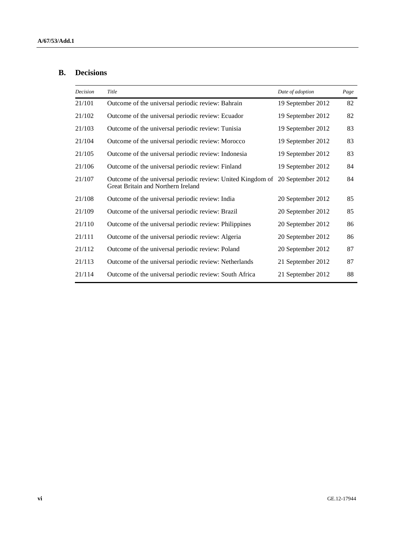## **B. Decisions**

| Decision | Title                                                                                                               | Date of adoption  | Page |
|----------|---------------------------------------------------------------------------------------------------------------------|-------------------|------|
| 21/101   | Outcome of the universal periodic review: Bahrain                                                                   | 19 September 2012 | 82   |
| 21/102   | Outcome of the universal periodic review: Ecuador                                                                   | 19 September 2012 | 82   |
| 21/103   | Outcome of the universal periodic review: Tunisia                                                                   | 19 September 2012 | 83   |
| 21/104   | Outcome of the universal periodic review: Morocco                                                                   | 19 September 2012 | 83   |
| 21/105   | Outcome of the universal periodic review: Indonesia                                                                 | 19 September 2012 | 83   |
| 21/106   | Outcome of the universal periodic review: Finland                                                                   | 19 September 2012 | 84   |
| 21/107   | Outcome of the universal periodic review: United Kingdom of 20 September 2012<br>Great Britain and Northern Ireland |                   | 84   |
| 21/108   | Outcome of the universal periodic review: India                                                                     | 20 September 2012 | 85   |
| 21/109   | Outcome of the universal periodic review: Brazil                                                                    | 20 September 2012 | 85   |
| 21/110   | Outcome of the universal periodic review: Philippines                                                               | 20 September 2012 | 86   |
| 21/111   | Outcome of the universal periodic review: Algeria                                                                   | 20 September 2012 | 86   |
| 21/112   | Outcome of the universal periodic review: Poland                                                                    | 20 September 2012 | 87   |
| 21/113   | Outcome of the universal periodic review: Netherlands                                                               | 21 September 2012 | 87   |
| 21/114   | Outcome of the universal periodic review: South Africa                                                              | 21 September 2012 | 88   |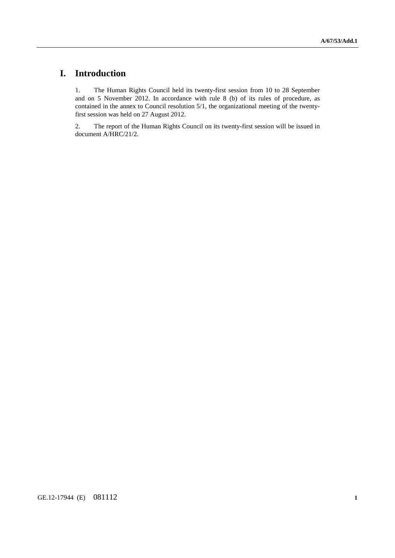## **I. Introduction**

1. The Human Rights Council held its twenty-first session from 10 to 28 September and on 5 November 2012. In accordance with rule 8 (b) of its rules of procedure, as contained in the annex to Council resolution 5/1, the organizational meeting of the twentyfirst session was held on 27 August 2012.

2. The report of the Human Rights Council on its twenty-first session will be issued in document A/HRC/21/2.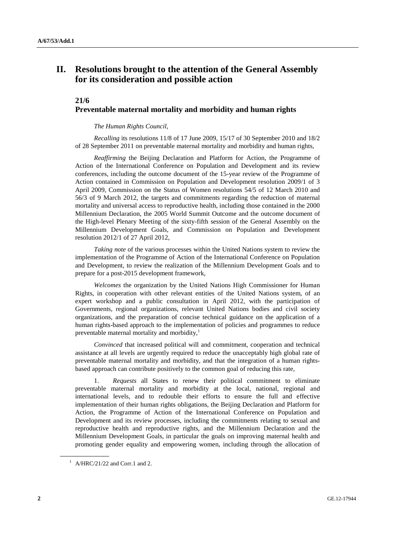## **II. Resolutions brought to the attention of the General Assembly for its consideration and possible action**

## **21/6**

## **Preventable maternal mortality and morbidity and human rights**

### *The Human Rights Council*,

 *Recalling* its resolutions 11/8 of 17 June 2009, 15/17 of 30 September 2010 and 18/2 of 28 September 2011 on preventable maternal mortality and morbidity and human rights,

 *Reaffirming* the Beijing Declaration and Platform for Action, the Programme of Action of the International Conference on Population and Development and its review conferences, including the outcome document of the 15-year review of the Programme of Action contained in Commission on Population and Development resolution 2009/1 of 3 April 2009, Commission on the Status of Women resolutions 54/5 of 12 March 2010 and 56/3 of 9 March 2012, the targets and commitments regarding the reduction of maternal mortality and universal access to reproductive health, including those contained in the 2000 Millennium Declaration, the 2005 World Summit Outcome and the outcome document of the High-level Plenary Meeting of the sixty-fifth session of the General Assembly on the Millennium Development Goals, and Commission on Population and Development resolution 2012/1 of 27 April 2012,

 *Taking note* of the various processes within the United Nations system to review the implementation of the Programme of Action of the International Conference on Population and Development, to review the realization of the Millennium Development Goals and to prepare for a post-2015 development framework,

 *Welcomes* the organization by the United Nations High Commissioner for Human Rights, in cooperation with other relevant entities of the United Nations system, of an expert workshop and a public consultation in April 2012, with the participation of Governments, regional organizations, relevant United Nations bodies and civil society organizations, and the preparation of concise technical guidance on the application of a human rights-based approach to the implementation of policies and programmes to reduce preventable maternal mortality and morbidity,<sup>1</sup>

*Convinced* that increased political will and commitment, cooperation and technical assistance at all levels are urgently required to reduce the unacceptably high global rate of preventable maternal mortality and morbidity, and that the integration of a human rightsbased approach can contribute positively to the common goal of reducing this rate,

 1. *Requests* all States to renew their political commitment to eliminate preventable maternal mortality and morbidity at the local, national, regional and international levels, and to redouble their efforts to ensure the full and effective implementation of their human rights obligations, the Beijing Declaration and Platform for Action, the Programme of Action of the International Conference on Population and Development and its review processes, including the commitments relating to sexual and reproductive health and reproductive rights, and the Millennium Declaration and the Millennium Development Goals, in particular the goals on improving maternal health and promoting gender equality and empowering women, including through the allocation of

 $^1$  A/HRC/21/22 and Corr.1 and 2.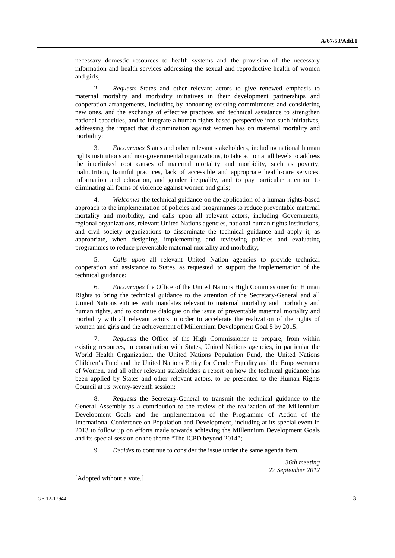necessary domestic resources to health systems and the provision of the necessary information and health services addressing the sexual and reproductive health of women and girls;

 2. *Requests* States and other relevant actors to give renewed emphasis to maternal mortality and morbidity initiatives in their development partnerships and cooperation arrangements, including by honouring existing commitments and considering new ones, and the exchange of effective practices and technical assistance to strengthen national capacities, and to integrate a human rights-based perspective into such initiatives, addressing the impact that discrimination against women has on maternal mortality and morbidity;

 3. *Encourages* States and other relevant stakeholders, including national human rights institutions and non-governmental organizations, to take action at all levels to address the interlinked root causes of maternal mortality and morbidity, such as poverty, malnutrition, harmful practices, lack of accessible and appropriate health-care services, information and education, and gender inequality, and to pay particular attention to eliminating all forms of violence against women and girls;

 4. *Welcomes* the technical guidance on the application of a human rights-based approach to the implementation of policies and programmes to reduce preventable maternal mortality and morbidity, and calls upon all relevant actors, including Governments, regional organizations, relevant United Nations agencies, national human rights institutions, and civil society organizations to disseminate the technical guidance and apply it, as appropriate, when designing, implementing and reviewing policies and evaluating programmes to reduce preventable maternal mortality and morbidity;

 5. *Calls upon* all relevant United Nation agencies to provide technical cooperation and assistance to States, as requested, to support the implementation of the technical guidance;

 6. *Encourages* the Office of the United Nations High Commissioner for Human Rights to bring the technical guidance to the attention of the Secretary-General and all United Nations entities with mandates relevant to maternal mortality and morbidity and human rights, and to continue dialogue on the issue of preventable maternal mortality and morbidity with all relevant actors in order to accelerate the realization of the rights of women and girls and the achievement of Millennium Development Goal 5 by 2015;

 7. *Requests* the Office of the High Commissioner to prepare, from within existing resources, in consultation with States, United Nations agencies, in particular the World Health Organization, the United Nations Population Fund, the United Nations Children's Fund and the United Nations Entity for Gender Equality and the Empowerment of Women, and all other relevant stakeholders a report on how the technical guidance has been applied by States and other relevant actors, to be presented to the Human Rights Council at its twenty-seventh session;

 8. *Requests* the Secretary-General to transmit the technical guidance to the General Assembly as a contribution to the review of the realization of the Millennium Development Goals and the implementation of the Programme of Action of the International Conference on Population and Development, including at its special event in 2013 to follow up on efforts made towards achieving the Millennium Development Goals and its special session on the theme "The ICPD beyond 2014";

9. *Decides* to continue to consider the issue under the same agenda item.

*36th meeting 27 September 2012* 

[Adopted without a vote.]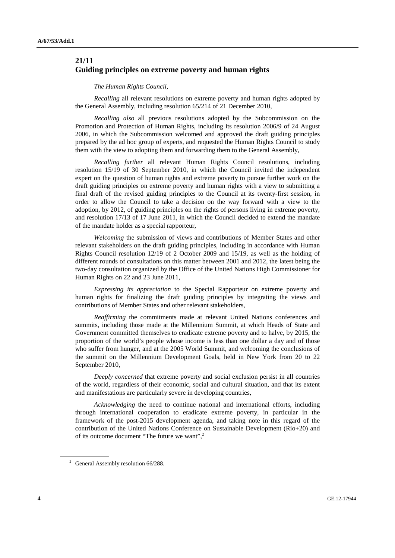## **21/11 Guiding principles on extreme poverty and human rights**

 *The Human Rights Council*,

 *Recalling* all relevant resolutions on extreme poverty and human rights adopted by the General Assembly, including resolution 65/214 of 21 December 2010,

 *Recalling also* all previous resolutions adopted by the Subcommission on the Promotion and Protection of Human Rights, including its resolution 2006/9 of 24 August 2006, in which the Subcommission welcomed and approved the draft guiding principles prepared by the ad hoc group of experts, and requested the Human Rights Council to study them with the view to adopting them and forwarding them to the General Assembly,

 *Recalling further* all relevant Human Rights Council resolutions, including resolution 15/19 of 30 September 2010, in which the Council invited the independent expert on the question of human rights and extreme poverty to pursue further work on the draft guiding principles on extreme poverty and human rights with a view to submitting a final draft of the revised guiding principles to the Council at its twenty-first session, in order to allow the Council to take a decision on the way forward with a view to the adoption, by 2012, of guiding principles on the rights of persons living in extreme poverty, and resolution 17/13 of 17 June 2011, in which the Council decided to extend the mandate of the mandate holder as a special rapporteur,

 *Welcoming* the submission of views and contributions of Member States and other relevant stakeholders on the draft guiding principles, including in accordance with Human Rights Council resolution 12/19 of 2 October 2009 and 15/19, as well as the holding of different rounds of consultations on this matter between 2001 and 2012, the latest being the two-day consultation organized by the Office of the United Nations High Commissioner for Human Rights on 22 and 23 June 2011,

 *Expressing its appreciation* to the Special Rapporteur on extreme poverty and human rights for finalizing the draft guiding principles by integrating the views and contributions of Member States and other relevant stakeholders,

 *Reaffirming* the commitments made at relevant United Nations conferences and summits, including those made at the Millennium Summit, at which Heads of State and Government committed themselves to eradicate extreme poverty and to halve, by 2015, the proportion of the world's people whose income is less than one dollar a day and of those who suffer from hunger, and at the 2005 World Summit, and welcoming the conclusions of the summit on the Millennium Development Goals, held in New York from 20 to 22 September 2010,

 *Deeply concerned* that extreme poverty and social exclusion persist in all countries of the world, regardless of their economic, social and cultural situation, and that its extent and manifestations are particularly severe in developing countries,

 *Acknowledging* the need to continue national and international efforts, including through international cooperation to eradicate extreme poverty, in particular in the framework of the post-2015 development agenda, and taking note in this regard of the contribution of the United Nations Conference on Sustainable Development (Rio+20) and of its outcome document "The future we want",2

<sup>&</sup>lt;sup>2</sup> General Assembly resolution 66/288.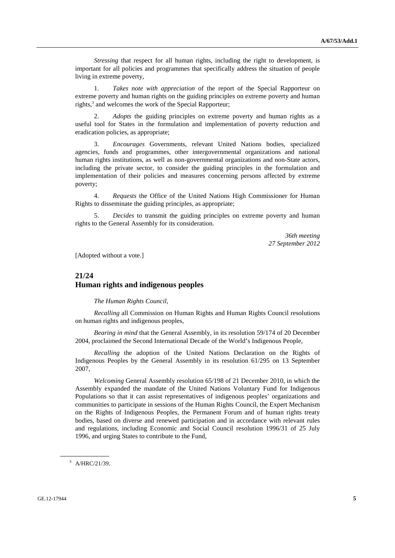*Stressing* that respect for all human rights, including the right to development, is important for all policies and programmes that specifically address the situation of people living in extreme poverty,

 1. *Takes note with appreciation* of the report of the Special Rapporteur on extreme poverty and human rights on the guiding principles on extreme poverty and human rights,<sup>3</sup> and welcomes the work of the Special Rapporteur;

 2. *Adopts* the guiding principles on extreme poverty and human rights as a useful tool for States in the formulation and implementation of poverty reduction and eradication policies, as appropriate;

 3. *Encourages* Governments, relevant United Nations bodies, specialized agencies, funds and programmes, other intergovernmental organizations and national human rights institutions, as well as non-governmental organizations and non-State actors, including the private sector, to consider the guiding principles in the formulation and implementation of their policies and measures concerning persons affected by extreme poverty;

 4. *Requests* the Office of the United Nations High Commissioner for Human Rights to disseminate the guiding principles, as appropriate;

 5. *Decides* to transmit the guiding principles on extreme poverty and human rights to the General Assembly for its consideration.

> *36th meeting 27 September 2012*

[Adopted without a vote.]

## **21/24**

## **Human rights and indigenous peoples**

 *The Human Rights Council*,

 *Recalling* all Commission on Human Rights and Human Rights Council resolutions on human rights and indigenous peoples,

 *Bearing in mind* that the General Assembly, in its resolution 59/174 of 20 December 2004, proclaimed the Second International Decade of the World's Indigenous People,

 *Recalling* the adoption of the United Nations Declaration on the Rights of Indigenous Peoples by the General Assembly in its resolution 61/295 on 13 September 2007,

 *Welcoming* General Assembly resolution 65/198 of 21 December 2010, in which the Assembly expanded the mandate of the United Nations Voluntary Fund for Indigenous Populations so that it can assist representatives of indigenous peoples' organizations and communities to participate in sessions of the Human Rights Council, the Expert Mechanism on the Rights of Indigenous Peoples, the Permanent Forum and of human rights treaty bodies, based on diverse and renewed participation and in accordance with relevant rules and regulations, including Economic and Social Council resolution 1996/31 of 25 July 1996, and urging States to contribute to the Fund,

 <sup>3</sup> A/HRC/21/39.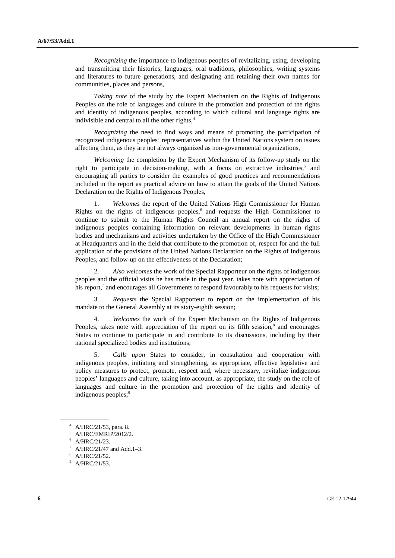*Recognizing* the importance to indigenous peoples of revitalizing, using, developing and transmitting their histories, languages, oral traditions, philosophies, writing systems and literatures to future generations, and designating and retaining their own names for communities, places and persons,

 *Taking note* of the study by the Expert Mechanism on the Rights of Indigenous Peoples on the role of languages and culture in the promotion and protection of the rights and identity of indigenous peoples, according to which cultural and language rights are indivisible and central to all the other rights. $4$ 

*Recognizing* the need to find ways and means of promoting the participation of recognized indigenous peoples' representatives within the United Nations system on issues affecting them, as they are not always organized as non-governmental organizations,

 *Welcoming* the completion by the Expert Mechanism of its follow-up study on the right to participate in decision-making, with a focus on extractive industries,<sup>5</sup> and encouraging all parties to consider the examples of good practices and recommendations included in the report as practical advice on how to attain the goals of the United Nations Declaration on the Rights of Indigenous Peoples,

 1. *Welcomes* the report of the United Nations High Commissioner for Human Rights on the rights of indigenous peoples, $6$  and requests the High Commissioner to continue to submit to the Human Rights Council an annual report on the rights of indigenous peoples containing information on relevant developments in human rights bodies and mechanisms and activities undertaken by the Office of the High Commissioner at Headquarters and in the field that contribute to the promotion of, respect for and the full application of the provisions of the United Nations Declaration on the Rights of Indigenous Peoples, and follow-up on the effectiveness of the Declaration;

 2. *Also welcomes* the work of the Special Rapporteur on the rights of indigenous peoples and the official visits he has made in the past year, takes note with appreciation of his report,<sup>7</sup> and encourages all Governments to respond favourably to his requests for visits;

 3. *Requests* the Special Rapporteur to report on the implementation of his mandate to the General Assembly at its sixty-eighth session;

 4. *Welcomes* the work of the Expert Mechanism on the Rights of Indigenous Peoples, takes note with appreciation of the report on its fifth session,<sup>8</sup> and encourages States to continue to participate in and contribute to its discussions, including by their national specialized bodies and institutions;

 5. *Calls upon* States to consider, in consultation and cooperation with indigenous peoples, initiating and strengthening, as appropriate, effective legislative and policy measures to protect, promote, respect and, where necessary, revitalize indigenous peoples' languages and culture, taking into account, as appropriate, the study on the role of languages and culture in the promotion and protection of the rights and identity of indigenous peoples;<sup>9</sup>

4 A/HRC/21/53, para. 8.<br>
5 A/HRC/EMRIP/2012/2.<br>
6 A/HRC/21/23.<br>
7 A/HRC/21/47 and Add.1–3.<br>
8 A/HRC/21/52.<br>
9 A/HRC/21/53.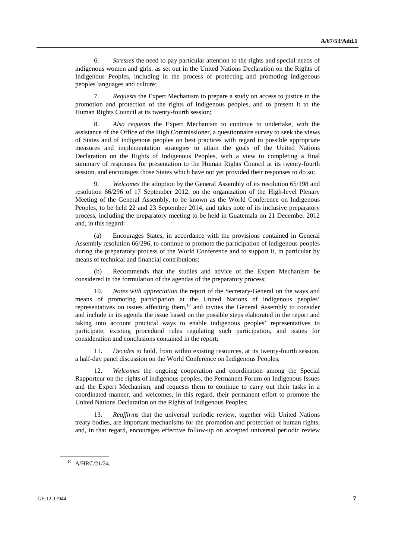6. *Stresses* the need to pay particular attention to the rights and special needs of indigenous women and girls, as set out in the United Nations Declaration on the Rights of Indigenous Peoples, including in the process of protecting and promoting indigenous peoples languages and culture;

 7. *Requests* the Expert Mechanism to prepare a study on access to justice in the promotion and protection of the rights of indigenous peoples, and to present it to the Human Rights Council at its twenty-fourth session;

 8. *Also requests* the Expert Mechanism to continue to undertake, with the assistance of the Office of the High Commissioner, a questionnaire survey to seek the views of States and of indigenous peoples on best practices with regard to possible appropriate measures and implementation strategies to attain the goals of the United Nations Declaration on the Rights of Indigenous Peoples, with a view to completing a final summary of responses for presentation to the Human Rights Council at its twenty-fourth session, and encourages those States which have not yet provided their responses to do so;

 9. *Welcomes* the adoption by the General Assembly of its resolution 65/198 and resolution 66/296 of 17 September 2012, on the organization of the High-level Plenary Meeting of the General Assembly, to be known as the World Conference on Indigenous Peoples, to be held 22 and 23 September 2014, and takes note of its inclusive preparatory process, including the preparatory meeting to be held in Guatemala on 21 December 2012 and, in this regard:

 (a) Encourages States, in accordance with the provisions contained in General Assembly resolution 66/296, to continue to promote the participation of indigenous peoples during the preparatory process of the World Conference and to support it, in particular by means of technical and financial contributions;

 (b) Recommends that the studies and advice of the Expert Mechanism be considered in the formulation of the agendas of the preparatory process;

 10. *Notes with appreciation* the report of the Secretary-General on the ways and means of promoting participation at the United Nations of indigenous peoples' representatives on issues affecting them,<sup>10</sup> and invites the General Assembly to consider and include in its agenda the issue based on the possible steps elaborated in the report and taking into account practical ways to enable indigenous peoples' representatives to participate, existing procedural rules regulating such participation, and issues for consideration and conclusions contained in the report;

 11. *Decides* to hold, from within existing resources, at its twenty-fourth session, a half-day panel discussion on the World Conference on Indigenous Peoples;

 12. *Welcomes* the ongoing cooperation and coordination among the Special Rapporteur on the rights of indigenous peoples, the Permanent Forum on Indigenous Issues and the Expert Mechanism, and requests them to continue to carry out their tasks in a coordinated manner, and welcomes, in this regard, their permanent effort to promote the United Nations Declaration on the Rights of Indigenous Peoples;

 13. *Reaffirms* that the universal periodic review, together with United Nations treaty bodies, are important mechanisms for the promotion and protection of human rights, and, in that regard, encourages effective follow-up on accepted universal periodic review

 $10$  A/HRC/21/24.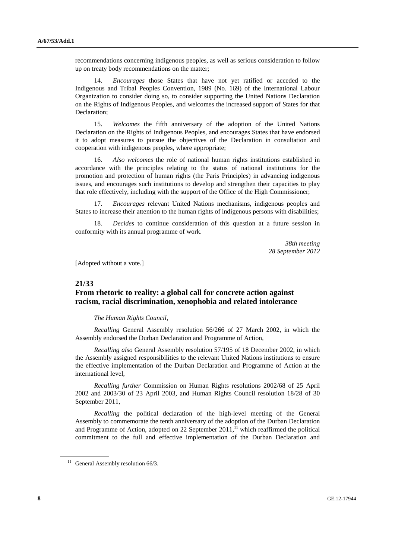recommendations concerning indigenous peoples, as well as serious consideration to follow up on treaty body recommendations on the matter;

 14. *Encourages* those States that have not yet ratified or acceded to the Indigenous and Tribal Peoples Convention, 1989 (No. 169) of the International Labour Organization to consider doing so, to consider supporting the United Nations Declaration on the Rights of Indigenous Peoples, and welcomes the increased support of States for that Declaration;

 15. *Welcomes* the fifth anniversary of the adoption of the United Nations Declaration on the Rights of Indigenous Peoples, and encourages States that have endorsed it to adopt measures to pursue the objectives of the Declaration in consultation and cooperation with indigenous peoples, where appropriate;

 16. *Also welcomes* the role of national human rights institutions established in accordance with the principles relating to the status of national institutions for the promotion and protection of human rights (the Paris Principles) in advancing indigenous issues, and encourages such institutions to develop and strengthen their capacities to play that role effectively, including with the support of the Office of the High Commissioner;

 17. *Encourages* relevant United Nations mechanisms, indigenous peoples and States to increase their attention to the human rights of indigenous persons with disabilities;

 18. *Decides* to continue consideration of this question at a future session in conformity with its annual programme of work.

> *38th meeting 28 September 2012*

[Adopted without a vote.]

## **21/33**

## **From rhetoric to reality: a global call for concrete action against racism, racial discrimination, xenophobia and related intolerance**

 *The Human Rights Council*,

 *Recalling* General Assembly resolution 56/266 of 27 March 2002, in which the Assembly endorsed the Durban Declaration and Programme of Action,

 *Recalling also* General Assembly resolution 57/195 of 18 December 2002, in which the Assembly assigned responsibilities to the relevant United Nations institutions to ensure the effective implementation of the Durban Declaration and Programme of Action at the international level,

 *Recalling further* Commission on Human Rights resolutions 2002/68 of 25 April 2002 and 2003/30 of 23 April 2003, and Human Rights Council resolution 18/28 of 30 September 2011,

 *Recalling* the political declaration of the high-level meeting of the General Assembly to commemorate the tenth anniversary of the adoption of the Durban Declaration and Programme of Action, adopted on 22 September  $2011$ ,<sup> $11$ </sup> which reaffirmed the political commitment to the full and effective implementation of the Durban Declaration and

<sup>&</sup>lt;sup>11</sup> General Assembly resolution  $66/3$ .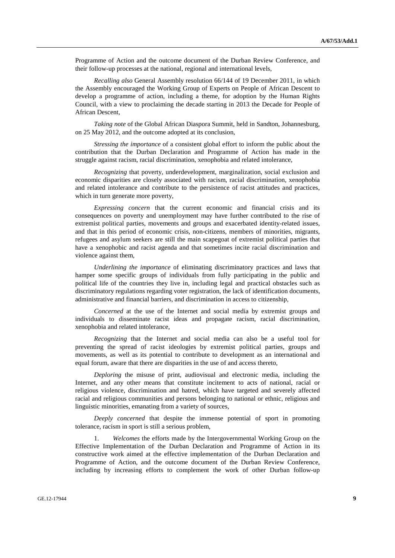Programme of Action and the outcome document of the Durban Review Conference, and their follow-up processes at the national, regional and international levels,

 *Recalling also* General Assembly resolution 66/144 of 19 December 2011, in which the Assembly encouraged the Working Group of Experts on People of African Descent to develop a programme of action, including a theme, for adoption by the Human Rights Council, with a view to proclaiming the decade starting in 2013 the Decade for People of African Descent,

 *Taking note* of the Global African Diaspora Summit, held in Sandton, Johannesburg, on 25 May 2012, and the outcome adopted at its conclusion,

 *Stressing the importance* of a consistent global effort to inform the public about the contribution that the Durban Declaration and Programme of Action has made in the struggle against racism, racial discrimination, xenophobia and related intolerance,

 *Recognizing* that poverty, underdevelopment, marginalization, social exclusion and economic disparities are closely associated with racism, racial discrimination, xenophobia and related intolerance and contribute to the persistence of racist attitudes and practices, which in turn generate more poverty,

 *Expressing concern* that the current economic and financial crisis and its consequences on poverty and unemployment may have further contributed to the rise of extremist political parties, movements and groups and exacerbated identity-related issues, and that in this period of economic crisis, non-citizens, members of minorities, migrants, refugees and asylum seekers are still the main scapegoat of extremist political parties that have a xenophobic and racist agenda and that sometimes incite racial discrimination and violence against them,

 *Underlining the importance* of eliminating discriminatory practices and laws that hamper some specific groups of individuals from fully participating in the public and political life of the countries they live in, including legal and practical obstacles such as discriminatory regulations regarding voter registration, the lack of identification documents, administrative and financial barriers, and discrimination in access to citizenship,

 *Concerned* at the use of the Internet and social media by extremist groups and individuals to disseminate racist ideas and propagate racism, racial discrimination, xenophobia and related intolerance,

 *Recognizing* that the Internet and social media can also be a useful tool for preventing the spread of racist ideologies by extremist political parties, groups and movements, as well as its potential to contribute to development as an international and equal forum, aware that there are disparities in the use of and access thereto,

 *Deploring* the misuse of print, audiovisual and electronic media, including the Internet, and any other means that constitute incitement to acts of national, racial or religious violence, discrimination and hatred, which have targeted and severely affected racial and religious communities and persons belonging to national or ethnic, religious and linguistic minorities, emanating from a variety of sources,

 *Deeply concerned* that despite the immense potential of sport in promoting tolerance, racism in sport is still a serious problem,

 1. *Welcomes* the efforts made by the Intergovernmental Working Group on the Effective Implementation of the Durban Declaration and Programme of Action in its constructive work aimed at the effective implementation of the Durban Declaration and Programme of Action, and the outcome document of the Durban Review Conference, including by increasing efforts to complement the work of other Durban follow-up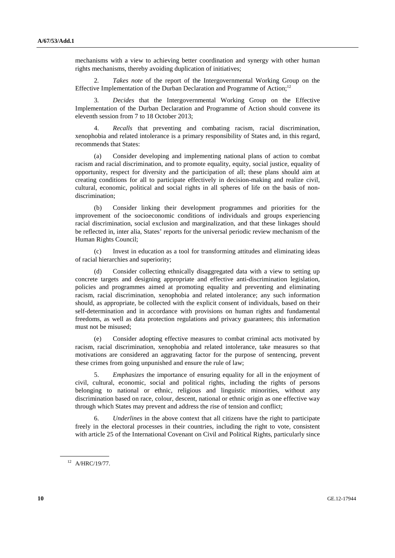mechanisms with a view to achieving better coordination and synergy with other human rights mechanisms, thereby avoiding duplication of initiatives;

 2*. Takes note* of the report of the Intergovernmental Working Group on the Effective Implementation of the Durban Declaration and Programme of Action;<sup>12</sup>

 3*. Decides* that the Intergovernmental Working Group on the Effective Implementation of the Durban Declaration and Programme of Action should convene its eleventh session from 7 to 18 October 2013;

 4. *Recalls* that preventing and combating racism, racial discrimination, xenophobia and related intolerance is a primary responsibility of States and, in this regard, recommends that States:

 (a) Consider developing and implementing national plans of action to combat racism and racial discrimination, and to promote equality, equity, social justice, equality of opportunity, respect for diversity and the participation of all; these plans should aim at creating conditions for all to participate effectively in decision-making and realize civil, cultural, economic, political and social rights in all spheres of life on the basis of nondiscrimination;

 (b) Consider linking their development programmes and priorities for the improvement of the socioeconomic conditions of individuals and groups experiencing racial discrimination, social exclusion and marginalization, and that these linkages should be reflected in, inter alia, States' reports for the universal periodic review mechanism of the Human Rights Council;

 (c) Invest in education as a tool for transforming attitudes and eliminating ideas of racial hierarchies and superiority;

 (d) Consider collecting ethnically disaggregated data with a view to setting up concrete targets and designing appropriate and effective anti-discrimination legislation, policies and programmes aimed at promoting equality and preventing and eliminating racism, racial discrimination, xenophobia and related intolerance; any such information should, as appropriate, be collected with the explicit consent of individuals, based on their self-determination and in accordance with provisions on human rights and fundamental freedoms, as well as data protection regulations and privacy guarantees; this information must not be misused;

 (e) Consider adopting effective measures to combat criminal acts motivated by racism, racial discrimination, xenophobia and related intolerance, take measures so that motivations are considered an aggravating factor for the purpose of sentencing, prevent these crimes from going unpunished and ensure the rule of law;

 5. *Emphasizes* the importance of ensuring equality for all in the enjoyment of civil, cultural, economic, social and political rights, including the rights of persons belonging to national or ethnic, religious and linguistic minorities, without any discrimination based on race, colour, descent, national or ethnic origin as one effective way through which States may prevent and address the rise of tension and conflict;

 6. *Underlines* in the above context that all citizens have the right to participate freely in the electoral processes in their countries, including the right to vote, consistent with article 25 of the International Covenant on Civil and Political Rights, particularly since

<sup>12</sup> A/HRC/19/77.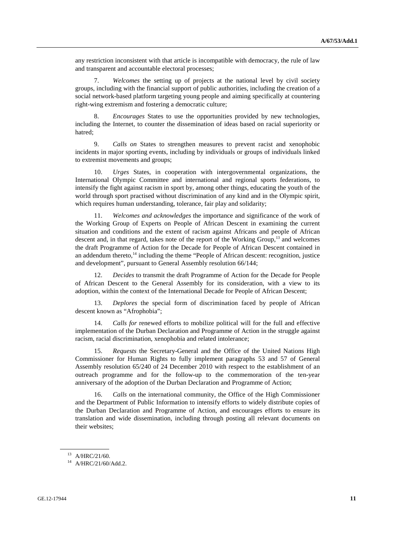any restriction inconsistent with that article is incompatible with democracy, the rule of law and transparent and accountable electoral processes;

 7. *Welcomes* the setting up of projects at the national level by civil society groups, including with the financial support of public authorities, including the creation of a social network-based platform targeting young people and aiming specifically at countering right-wing extremism and fostering a democratic culture;

 8. *Encourages* States to use the opportunities provided by new technologies, including the Internet, to counter the dissemination of ideas based on racial superiority or hatred;

 9. *Calls on* States to strengthen measures to prevent racist and xenophobic incidents in major sporting events, including by individuals or groups of individuals linked to extremist movements and groups;

 10. *Urges* States, in cooperation with intergovernmental organizations, the International Olympic Committee and international and regional sports federations, to intensify the fight against racism in sport by, among other things, educating the youth of the world through sport practised without discrimination of any kind and in the Olympic spirit, which requires human understanding, tolerance, fair play and solidarity;

 11. *Welcomes and acknowledges* the importance and significance of the work of the Working Group of Experts on People of African Descent in examining the current situation and conditions and the extent of racism against Africans and people of African descent and, in that regard, takes note of the report of the Working Group,<sup>13</sup> and welcomes the draft Programme of Action for the Decade for People of African Descent contained in an addendum thereto, $^{14}$  including the theme "People of African descent: recognition, justice and development", pursuant to General Assembly resolution 66/144;

 12. *Decides* to transmit the draft Programme of Action for the Decade for People of African Descent to the General Assembly for its consideration, with a view to its adoption, within the context of the International Decade for People of African Descent;

 13. *Deplores* the special form of discrimination faced by people of African descent known as "Afrophobia";

 14. *Calls for* renewed efforts to mobilize political will for the full and effective implementation of the Durban Declaration and Programme of Action in the struggle against racism, racial discrimination, xenophobia and related intolerance;

 15. *Requests* the Secretary-General and the Office of the United Nations High Commissioner for Human Rights to fully implement paragraphs 53 and 57 of General Assembly resolution 65/240 of 24 December 2010 with respect to the establishment of an outreach programme and for the follow-up to the commemoration of the ten-year anniversary of the adoption of the Durban Declaration and Programme of Action;

 16. *Calls* on the international community, the Office of the High Commissioner and the Department of Public Information to intensify efforts to widely distribute copies of the Durban Declaration and Programme of Action, and encourages efforts to ensure its translation and wide dissemination, including through posting all relevant documents on their websites;

<sup>&</sup>lt;sup>13</sup> A/HRC/21/60.<br><sup>14</sup> A/HRC/21/60/Add.2.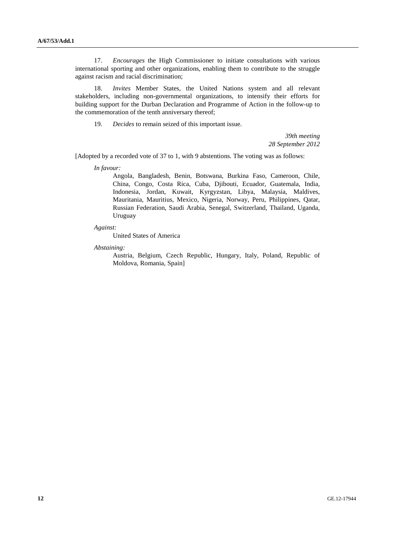17. *Encourages* the High Commissioner to initiate consultations with various international sporting and other organizations, enabling them to contribute to the struggle against racism and racial discrimination;

 18. *Invites* Member States, the United Nations system and all relevant stakeholders, including non-governmental organizations, to intensify their efforts for building support for the Durban Declaration and Programme of Action in the follow-up to the commemoration of the tenth anniversary thereof;

19. *Decides* to remain seized of this important issue.

*39th meeting 28 September 2012* 

[Adopted by a recorded vote of 37 to 1, with 9 abstentions. The voting was as follows:

#### *In favour:*

Angola, Bangladesh, Benin, Botswana, Burkina Faso, Cameroon, Chile, China, Congo, Costa Rica, Cuba, Djibouti, Ecuador, Guatemala, India, Indonesia, Jordan, Kuwait, Kyrgyzstan, Libya, Malaysia, Maldives, Mauritania, Mauritius, Mexico, Nigeria, Norway, Peru, Philippines, Qatar, Russian Federation, Saudi Arabia, Senegal, Switzerland, Thailand, Uganda, Uruguay

#### *Against:*

United States of America

*Abstaining:* 

Austria, Belgium, Czech Republic, Hungary, Italy, Poland, Republic of Moldova, Romania, Spain]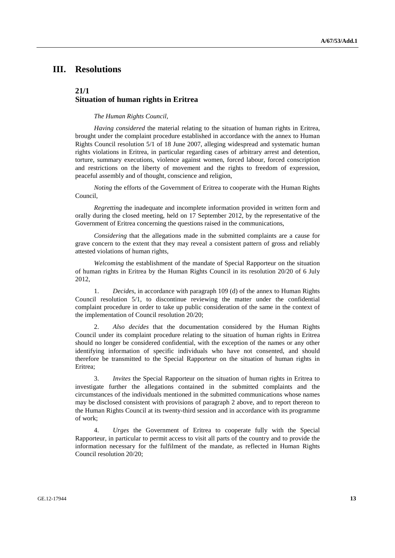## **III. Resolutions**

## **21/1 Situation of human rights in Eritrea**

 *The Human Rights Council*,

 *Having considered* the material relating to the situation of human rights in Eritrea, brought under the complaint procedure established in accordance with the annex to Human Rights Council resolution 5/1 of 18 June 2007, alleging widespread and systematic human rights violations in Eritrea, in particular regarding cases of arbitrary arrest and detention, torture, summary executions, violence against women, forced labour, forced conscription and restrictions on the liberty of movement and the rights to freedom of expression, peaceful assembly and of thought, conscience and religion,

 *Noting* the efforts of the Government of Eritrea to cooperate with the Human Rights Council,

 *Regretting* the inadequate and incomplete information provided in written form and orally during the closed meeting, held on 17 September 2012, by the representative of the Government of Eritrea concerning the questions raised in the communications,

 *Considering* that the allegations made in the submitted complaints are a cause for grave concern to the extent that they may reveal a consistent pattern of gross and reliably attested violations of human rights,

 *Welcoming* the establishment of the mandate of Special Rapporteur on the situation of human rights in Eritrea by the Human Rights Council in its resolution 20/20 of 6 July 2012,

 1. *Decides*, in accordance with paragraph 109 (d) of the annex to Human Rights Council resolution 5/1, to discontinue reviewing the matter under the confidential complaint procedure in order to take up public consideration of the same in the context of the implementation of Council resolution 20/20;

 2. *Also decides* that the documentation considered by the Human Rights Council under its complaint procedure relating to the situation of human rights in Eritrea should no longer be considered confidential, with the exception of the names or any other identifying information of specific individuals who have not consented, and should therefore be transmitted to the Special Rapporteur on the situation of human rights in Eritrea;

 3. *Invites* the Special Rapporteur on the situation of human rights in Eritrea to investigate further the allegations contained in the submitted complaints and the circumstances of the individuals mentioned in the submitted communications whose names may be disclosed consistent with provisions of paragraph 2 above, and to report thereon to the Human Rights Council at its twenty-third session and in accordance with its programme of work;

 4. *Urges* the Government of Eritrea to cooperate fully with the Special Rapporteur, in particular to permit access to visit all parts of the country and to provide the information necessary for the fulfilment of the mandate, as reflected in Human Rights Council resolution 20/20;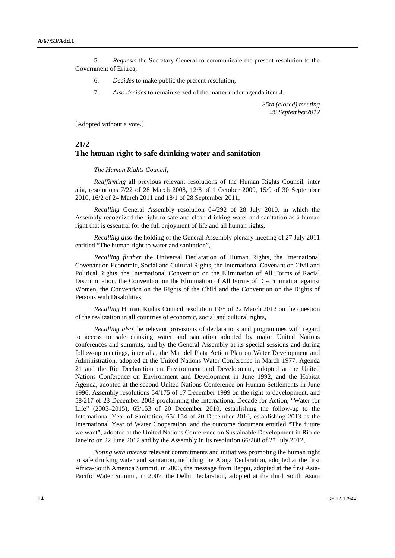5. *Requests* the Secretary-General to communicate the present resolution to the Government of Eritrea;

- 6. *Decides* to make public the present resolution;
- 7. *Also decides* to remain seized of the matter under agenda item 4.

*35th (closed) meeting 26 September2012* 

[Adopted without a vote.]

## **21/2 The human right to safe drinking water and sanitation**

#### *The Human Rights Council*,

 *Reaffirming* all previous relevant resolutions of the Human Rights Council, inter alia, resolutions 7/22 of 28 March 2008, 12/8 of 1 October 2009, 15/9 of 30 September 2010, 16/2 of 24 March 2011 and 18/1 of 28 September 2011,

 *Recalling* General Assembly resolution 64/292 of 28 July 2010, in which the Assembly recognized the right to safe and clean drinking water and sanitation as a human right that is essential for the full enjoyment of life and all human rights,

 *Recalling also* the holding of the General Assembly plenary meeting of 27 July 2011 entitled "The human right to water and sanitation",

 *Recalling further* the Universal Declaration of Human Rights, the International Covenant on Economic, Social and Cultural Rights, the International Covenant on Civil and Political Rights, the International Convention on the Elimination of All Forms of Racial Discrimination, the Convention on the Elimination of All Forms of Discrimination against Women, the Convention on the Rights of the Child and the Convention on the Rights of Persons with Disabilities,

 *Recalling* Human Rights Council resolution 19/5 of 22 March 2012 on the question of the realization in all countries of economic, social and cultural rights,

 *Recalling also* the relevant provisions of declarations and programmes with regard to access to safe drinking water and sanitation adopted by major United Nations conferences and summits, and by the General Assembly at its special sessions and during follow-up meetings, inter alia, the Mar del Plata Action Plan on Water Development and Administration, adopted at the United Nations Water Conference in March 1977, Agenda 21 and the Rio Declaration on Environment and Development, adopted at the United Nations Conference on Environment and Development in June 1992, and the Habitat Agenda, adopted at the second United Nations Conference on Human Settlements in June 1996, Assembly resolutions 54/175 of 17 December 1999 on the right to development, and 58/217 of 23 December 2003 proclaiming the International Decade for Action, "Water for Life" (2005–2015), 65/153 of 20 December 2010, establishing the follow-up to the International Year of Sanitation, 65/ 154 of 20 December 2010, establishing 2013 as the International Year of Water Cooperation, and the outcome document entitled "The future we want", adopted at the United Nations Conference on Sustainable Development in Rio de Janeiro on 22 June 2012 and by the Assembly in its resolution 66/288 of 27 July 2012,

 *Noting with interest* relevant commitments and initiatives promoting the human right to safe drinking water and sanitation, including the Abuja Declaration, adopted at the first Africa-South America Summit, in 2006, the message from Beppu, adopted at the first Asia-Pacific Water Summit, in 2007, the Delhi Declaration, adopted at the third South Asian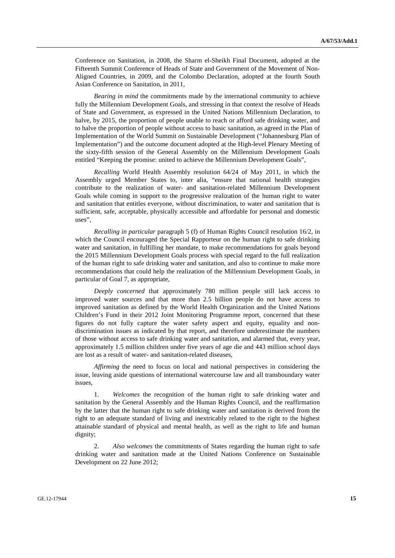Conference on Sanitation, in 2008, the Sharm el-Sheikh Final Document, adopted at the Fifteenth Summit Conference of Heads of State and Government of the Movement of Non-Aligned Countries, in 2009, and the Colombo Declaration, adopted at the fourth South Asian Conference on Sanitation, in 2011,

 *Bearing in mind* the commitments made by the international community to achieve fully the Millennium Development Goals, and stressing in that context the resolve of Heads of State and Government, as expressed in the United Nations Millennium Declaration, to halve, by 2015, the proportion of people unable to reach or afford safe drinking water, and to halve the proportion of people without access to basic sanitation, as agreed in the Plan of Implementation of the World Summit on Sustainable Development ("Johannesburg Plan of Implementation") and the outcome document adopted at the High-level Plenary Meeting of the sixty-fifth session of the General Assembly on the Millennium Development Goals entitled "Keeping the promise: united to achieve the Millennium Development Goals",

 *Recalling* World Health Assembly resolution 64/24 of May 2011, in which the Assembly urged Member States to, inter alia, "ensure that national health strategies contribute to the realization of water- and sanitation-related Millennium Development Goals while coming in support to the progressive realization of the human right to water and sanitation that entitles everyone, without discrimination, to water and sanitation that is sufficient, safe, acceptable, physically accessible and affordable for personal and domestic uses",

 *Recalling in particular* paragraph 5 (f) of Human Rights Council resolution 16/2, in which the Council encouraged the Special Rapporteur on the human right to safe drinking water and sanitation, in fulfilling her mandate, to make recommendations for goals beyond the 2015 Millennium Development Goals process with special regard to the full realization of the human right to safe drinking water and sanitation, and also to continue to make more recommendations that could help the realization of the Millennium Development Goals, in particular of Goal 7, as appropriate,

 *Deeply concerned* that approximately 780 million people still lack access to improved water sources and that more than 2.5 billion people do not have access to improved sanitation as defined by the World Health Organization and the United Nations Children's Fund in their 2012 Joint Monitoring Programme report, concerned that these figures do not fully capture the water safety aspect and equity, equality and nondiscrimination issues as indicated by that report, and therefore underestimate the numbers of those without access to safe drinking water and sanitation, and alarmed that, every year, approximately 1.5 million children under five years of age die and 443 million school days are lost as a result of water- and sanitation-related diseases,

 *Affirming* the need to focus on local and national perspectives in considering the issue, leaving aside questions of international watercourse law and all transboundary water issues,

 1. *Welcomes* the recognition of the human right to safe drinking water and sanitation by the General Assembly and the Human Rights Council, and the reaffirmation by the latter that the human right to safe drinking water and sanitation is derived from the right to an adequate standard of living and inextricably related to the right to the highest attainable standard of physical and mental health, as well as the right to life and human dignity;

 2. *Also welcomes* the commitments of States regarding the human right to safe drinking water and sanitation made at the United Nations Conference on Sustainable Development on 22 June 2012;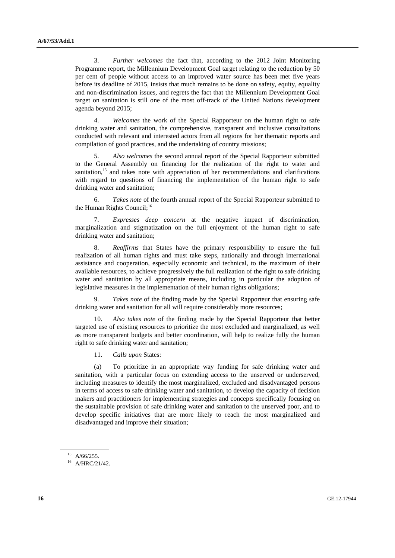3. *Further welcomes* the fact that, according to the 2012 Joint Monitoring Programme report, the Millennium Development Goal target relating to the reduction by 50 per cent of people without access to an improved water source has been met five years before its deadline of 2015, insists that much remains to be done on safety, equity, equality and non-discrimination issues, and regrets the fact that the Millennium Development Goal target on sanitation is still one of the most off-track of the United Nations development agenda beyond 2015;

 4. *Welcomes* the work of the Special Rapporteur on the human right to safe drinking water and sanitation, the comprehensive, transparent and inclusive consultations conducted with relevant and interested actors from all regions for her thematic reports and compilation of good practices, and the undertaking of country missions;

 5. *Also welcomes* the second annual report of the Special Rapporteur submitted to the General Assembly on financing for the realization of the right to water and sanitation,<sup>15</sup> and takes note with appreciation of her recommendations and clarifications with regard to questions of financing the implementation of the human right to safe drinking water and sanitation;

 6. *Takes note* of the fourth annual report of the Special Rapporteur submitted to the Human Rights Council:<sup>16</sup>

 7. *Expresses deep concern* at the negative impact of discrimination, marginalization and stigmatization on the full enjoyment of the human right to safe drinking water and sanitation;

 8. *Reaffirms* that States have the primary responsibility to ensure the full realization of all human rights and must take steps, nationally and through international assistance and cooperation, especially economic and technical, to the maximum of their available resources, to achieve progressively the full realization of the right to safe drinking water and sanitation by all appropriate means, including in particular the adoption of legislative measures in the implementation of their human rights obligations;

 9. *Takes note* of the finding made by the Special Rapporteur that ensuring safe drinking water and sanitation for all will require considerably more resources;

Also takes note of the finding made by the Special Rapporteur that better targeted use of existing resources to prioritize the most excluded and marginalized, as well as more transparent budgets and better coordination, will help to realize fully the human right to safe drinking water and sanitation;

11. *Calls upon* States:

 (a) To prioritize in an appropriate way funding for safe drinking water and sanitation, with a particular focus on extending access to the unserved or underserved, including measures to identify the most marginalized, excluded and disadvantaged persons in terms of access to safe drinking water and sanitation, to develop the capacity of decision makers and practitioners for implementing strategies and concepts specifically focusing on the sustainable provision of safe drinking water and sanitation to the unserved poor, and to develop specific initiatives that are more likely to reach the most marginalized and disadvantaged and improve their situation;

 $^{15}$  A/66/255.<br><sup>16</sup> A/HRC/21/42.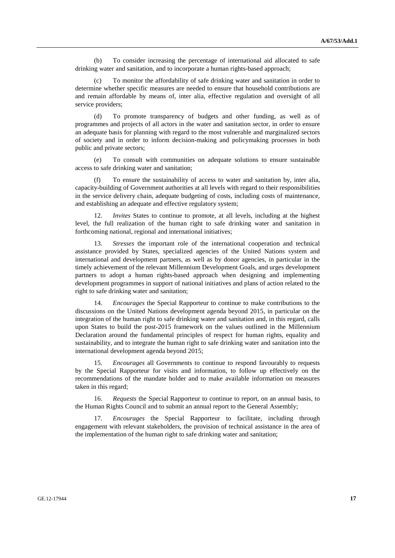(b) To consider increasing the percentage of international aid allocated to safe drinking water and sanitation, and to incorporate a human rights-based approach;

 (c) To monitor the affordability of safe drinking water and sanitation in order to determine whether specific measures are needed to ensure that household contributions are and remain affordable by means of, inter alia, effective regulation and oversight of all service providers:

 (d) To promote transparency of budgets and other funding, as well as of programmes and projects of all actors in the water and sanitation sector, in order to ensure an adequate basis for planning with regard to the most vulnerable and marginalized sectors of society and in order to inform decision-making and policymaking processes in both public and private sectors;

 (e) To consult with communities on adequate solutions to ensure sustainable access to safe drinking water and sanitation;

 (f) To ensure the sustainability of access to water and sanitation by, inter alia, capacity-building of Government authorities at all levels with regard to their responsibilities in the service delivery chain, adequate budgeting of costs, including costs of maintenance, and establishing an adequate and effective regulatory system;

*Invites* States to continue to promote, at all levels, including at the highest level, the full realization of the human right to safe drinking water and sanitation in forthcoming national, regional and international initiatives;

 13. *Stresses* the important role of the international cooperation and technical assistance provided by States, specialized agencies of the United Nations system and international and development partners, as well as by donor agencies, in particular in the timely achievement of the relevant Millennium Development Goals, and urges development partners to adopt a human rights-based approach when designing and implementing development programmes in support of national initiatives and plans of action related to the right to safe drinking water and sanitation;

 14. *Encourages* the Special Rapporteur to continue to make contributions to the discussions on the United Nations development agenda beyond 2015, in particular on the integration of the human right to safe drinking water and sanitation and, in this regard, calls upon States to build the post-2015 framework on the values outlined in the Millennium Declaration around the fundamental principles of respect for human rights, equality and sustainability, and to integrate the human right to safe drinking water and sanitation into the international development agenda beyond 2015;

 15. *Encourages* all Governments to continue to respond favourably to requests by the Special Rapporteur for visits and information, to follow up effectively on the recommendations of the mandate holder and to make available information on measures taken in this regard;

 16. *Requests* the Special Rapporteur to continue to report, on an annual basis, to the Human Rights Council and to submit an annual report to the General Assembly;

 17. *Encourages* the Special Rapporteur to facilitate, including through engagement with relevant stakeholders, the provision of technical assistance in the area of the implementation of the human right to safe drinking water and sanitation;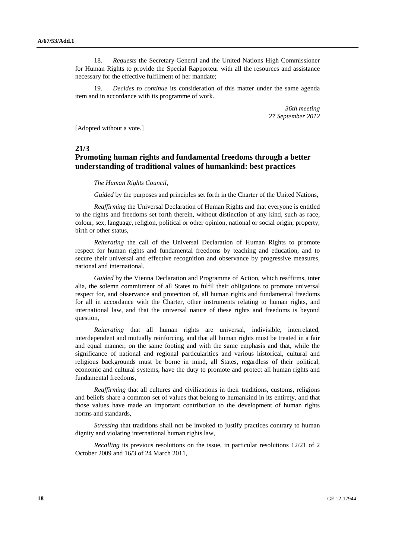18. *Requests* the Secretary-General and the United Nations High Commissioner for Human Rights to provide the Special Rapporteur with all the resources and assistance necessary for the effective fulfilment of her mandate;

 19. *Decides to continue* its consideration of this matter under the same agenda item and in accordance with its programme of work.

> *36th meeting 27 September 2012*

[Adopted without a vote.]

#### **21/3**

## **Promoting human rights and fundamental freedoms through a better understanding of traditional values of humankind: best practices**

#### *The Human Rights Council*,

 *Guided* by the purposes and principles set forth in the Charter of the United Nations,

 *Reaffirming* the Universal Declaration of Human Rights and that everyone is entitled to the rights and freedoms set forth therein, without distinction of any kind, such as race, colour, sex, language, religion, political or other opinion, national or social origin, property, birth or other status,

 *Reiterating* the call of the Universal Declaration of Human Rights to promote respect for human rights and fundamental freedoms by teaching and education, and to secure their universal and effective recognition and observance by progressive measures, national and international,

 *Guided* by the Vienna Declaration and Programme of Action, which reaffirms, inter alia, the solemn commitment of all States to fulfil their obligations to promote universal respect for, and observance and protection of, all human rights and fundamental freedoms for all in accordance with the Charter, other instruments relating to human rights, and international law, and that the universal nature of these rights and freedoms is beyond question,

 *Reiterating* that all human rights are universal, indivisible, interrelated, interdependent and mutually reinforcing, and that all human rights must be treated in a fair and equal manner, on the same footing and with the same emphasis and that, while the significance of national and regional particularities and various historical, cultural and religious backgrounds must be borne in mind, all States, regardless of their political, economic and cultural systems, have the duty to promote and protect all human rights and fundamental freedoms,

 *Reaffirming* that all cultures and civilizations in their traditions, customs, religions and beliefs share a common set of values that belong to humankind in its entirety, and that those values have made an important contribution to the development of human rights norms and standards,

*Stressing* that traditions shall not be invoked to justify practices contrary to human dignity and violating international human rights law,

*Recalling* its previous resolutions on the issue, in particular resolutions 12/21 of 2 October 2009 and 16/3 of 24 March 2011,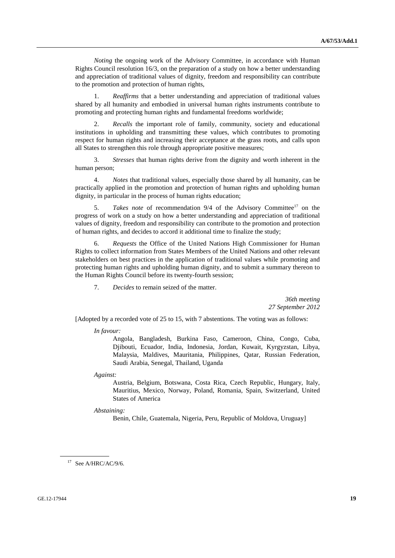*Noting* the ongoing work of the Advisory Committee, in accordance with Human Rights Council resolution 16/3, on the preparation of a study on how a better understanding and appreciation of traditional values of dignity, freedom and responsibility can contribute to the promotion and protection of human rights,

 1. *Reaffirms* that a better understanding and appreciation of traditional values shared by all humanity and embodied in universal human rights instruments contribute to promoting and protecting human rights and fundamental freedoms worldwide;

 2. *Recalls* the important role of family, community, society and educational institutions in upholding and transmitting these values, which contributes to promoting respect for human rights and increasing their acceptance at the grass roots, and calls upon all States to strengthen this role through appropriate positive measures;

 3. *Stresses* that human rights derive from the dignity and worth inherent in the human person;

 4. *Notes* that traditional values, especially those shared by all humanity, can be practically applied in the promotion and protection of human rights and upholding human dignity, in particular in the process of human rights education;

5. *Takes note* of recommendation 9/4 of the Advisory Committee<sup>17</sup> on the progress of work on a study on how a better understanding and appreciation of traditional values of dignity, freedom and responsibility can contribute to the promotion and protection of human rights, and decides to accord it additional time to finalize the study;

 6. *Requests* the Office of the United Nations High Commissioner for Human Rights to collect information from States Members of the United Nations and other relevant stakeholders on best practices in the application of traditional values while promoting and protecting human rights and upholding human dignity, and to submit a summary thereon to the Human Rights Council before its twenty-fourth session;

7. *Decides* to remain seized of the matter.

*36th meeting 27 September 2012* 

[Adopted by a recorded vote of 25 to 15, with 7 abstentions. The voting was as follows:

#### *In favour:*

Angola, Bangladesh, Burkina Faso, Cameroon, China, Congo, Cuba, Djibouti, Ecuador, India, Indonesia, Jordan, Kuwait, Kyrgyzstan, Libya, Malaysia, Maldives, Mauritania, Philippines, Qatar, Russian Federation, Saudi Arabia, Senegal, Thailand, Uganda

#### *Against:*

Austria, Belgium, Botswana, Costa Rica, Czech Republic, Hungary, Italy, Mauritius, Mexico, Norway, Poland, Romania, Spain, Switzerland, United States of America

#### *Abstaining:*

Benin, Chile, Guatemala, Nigeria, Peru, Republic of Moldova, Uruguay]

 $17$  See A/HRC/AC/9/6.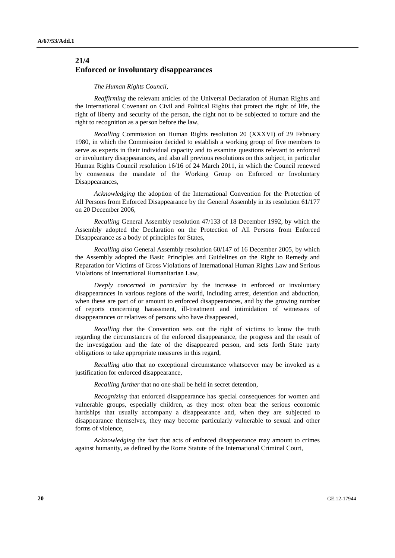## **21/4 Enforced or involuntary disappearances**

#### *The Human Rights Council*,

 *Reaffirming* the relevant articles of the Universal Declaration of Human Rights and the International Covenant on Civil and Political Rights that protect the right of life, the right of liberty and security of the person, the right not to be subjected to torture and the right to recognition as a person before the law,

 *Recalling* Commission on Human Rights resolution 20 (XXXVI) of 29 February 1980, in which the Commission decided to establish a working group of five members to serve as experts in their individual capacity and to examine questions relevant to enforced or involuntary disappearances, and also all previous resolutions on this subject, in particular Human Rights Council resolution 16/16 of 24 March 2011, in which the Council renewed by consensus the mandate of the Working Group on Enforced or Involuntary Disappearances,

 *Acknowledging* the adoption of the International Convention for the Protection of All Persons from Enforced Disappearance by the General Assembly in its resolution 61/177 on 20 December 2006,

 *Recalling* General Assembly resolution 47/133 of 18 December 1992, by which the Assembly adopted the Declaration on the Protection of All Persons from Enforced Disappearance as a body of principles for States,

 *Recalling also* General Assembly resolution 60/147 of 16 December 2005, by which the Assembly adopted the Basic Principles and Guidelines on the Right to Remedy and Reparation for Victims of Gross Violations of International Human Rights Law and Serious Violations of International Humanitarian Law,

 *Deeply concerned in particular* by the increase in enforced or involuntary disappearances in various regions of the world, including arrest, detention and abduction, when these are part of or amount to enforced disappearances, and by the growing number of reports concerning harassment, ill-treatment and intimidation of witnesses of disappearances or relatives of persons who have disappeared,

*Recalling* that the Convention sets out the right of victims to know the truth regarding the circumstances of the enforced disappearance, the progress and the result of the investigation and the fate of the disappeared person, and sets forth State party obligations to take appropriate measures in this regard,

 *Recalling also* that no exceptional circumstance whatsoever may be invoked as a justification for enforced disappearance,

 *Recalling further* that no one shall be held in secret detention,

 *Recognizing* that enforced disappearance has special consequences for women and vulnerable groups, especially children, as they most often bear the serious economic hardships that usually accompany a disappearance and, when they are subjected to disappearance themselves, they may become particularly vulnerable to sexual and other forms of violence,

 *Acknowledging* the fact that acts of enforced disappearance may amount to crimes against humanity, as defined by the Rome Statute of the International Criminal Court,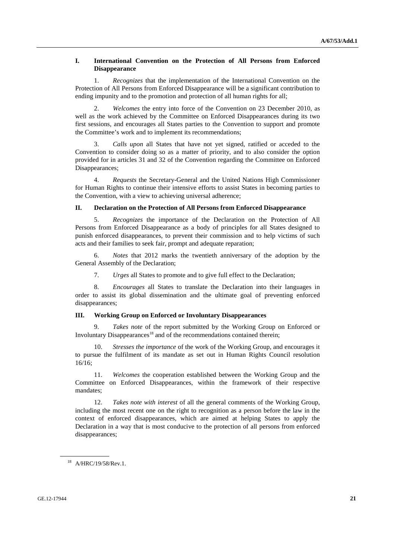## **I. International Convention on the Protection of All Persons from Enforced Disappearance**

 1. *Recognizes* that the implementation of the International Convention on the Protection of All Persons from Enforced Disappearance will be a significant contribution to ending impunity and to the promotion and protection of all human rights for all;

 2. *Welcomes* the entry into force of the Convention on 23 December 2010, as well as the work achieved by the Committee on Enforced Disappearances during its two first sessions, and encourages all States parties to the Convention to support and promote the Committee's work and to implement its recommendations;

 3. *Calls upon* all States that have not yet signed, ratified or acceded to the Convention to consider doing so as a matter of priority, and to also consider the option provided for in articles 31 and 32 of the Convention regarding the Committee on Enforced Disappearances;

 4. *Requests* the Secretary-General and the United Nations High Commissioner for Human Rights to continue their intensive efforts to assist States in becoming parties to the Convention, with a view to achieving universal adherence;

## **II. Declaration on the Protection of All Persons from Enforced Disappearance**

 5. *Recognizes* the importance of the Declaration on the Protection of All Persons from Enforced Disappearance as a body of principles for all States designed to punish enforced disappearances, to prevent their commission and to help victims of such acts and their families to seek fair, prompt and adequate reparation;

 6. *Notes* that 2012 marks the twentieth anniversary of the adoption by the General Assembly of the Declaration;

7. *Urges* all States to promote and to give full effect to the Declaration;

 8. *Encourages* all States to translate the Declaration into their languages in order to assist its global dissemination and the ultimate goal of preventing enforced disappearances;

#### **III. Working Group on Enforced or Involuntary Disappearances**

 9. *Takes note* of the report submitted by the Working Group on Enforced or Involuntary Disappearances<sup>18</sup> and of the recommendations contained therein;

 10. *Stresses the importance* of the work of the Working Group, and encourages it to pursue the fulfilment of its mandate as set out in Human Rights Council resolution 16/16;

 11. *Welcomes* the cooperation established between the Working Group and the Committee on Enforced Disappearances, within the framework of their respective mandates;

 12. *Takes note with interest* of all the general comments of the Working Group, including the most recent one on the right to recognition as a person before the law in the context of enforced disappearances, which are aimed at helping States to apply the Declaration in a way that is most conducive to the protection of all persons from enforced disappearances;

 $18$  A/HRC/19/58/Rev.1.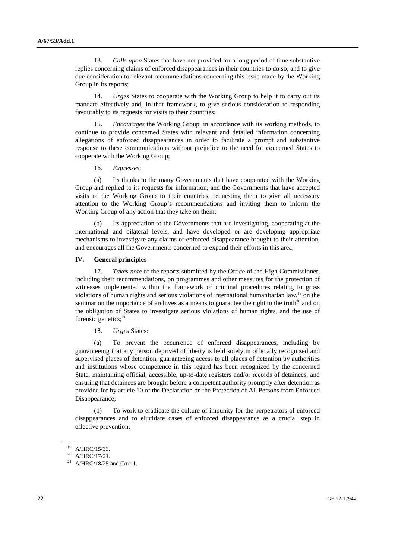13. *Calls upon* States that have not provided for a long period of time substantive replies concerning claims of enforced disappearances in their countries to do so, and to give due consideration to relevant recommendations concerning this issue made by the Working Group in its reports;

 14. *Urges* States to cooperate with the Working Group to help it to carry out its mandate effectively and, in that framework, to give serious consideration to responding favourably to its requests for visits to their countries;

 15. *Encourages* the Working Group, in accordance with its working methods, to continue to provide concerned States with relevant and detailed information concerning allegations of enforced disappearances in order to facilitate a prompt and substantive response to these communications without prejudice to the need for concerned States to cooperate with the Working Group;

#### 16. *Expresses*:

 (a) Its thanks to the many Governments that have cooperated with the Working Group and replied to its requests for information, and the Governments that have accepted visits of the Working Group to their countries, requesting them to give all necessary attention to the Working Group's recommendations and inviting them to inform the Working Group of any action that they take on them;

 (b) Its appreciation to the Governments that are investigating, cooperating at the international and bilateral levels, and have developed or are developing appropriate mechanisms to investigate any claims of enforced disappearance brought to their attention, and encourages all the Governments concerned to expand their efforts in this area;

### **IV. General principles**

 17. *Takes note* of the reports submitted by the Office of the High Commissioner, including their recommendations, on programmes and other measures for the protection of witnesses implemented within the framework of criminal procedures relating to gross violations of human rights and serious violations of international humanitarian law,<sup>19</sup> on the seminar on the importance of archives as a means to guarantee the right to the truth<sup>20</sup> and on the obligation of States to investigate serious violations of human rights, and the use of forensic genetics; $21$ 

18. *Urges* States:

 (a) To prevent the occurrence of enforced disappearances, including by guaranteeing that any person deprived of liberty is held solely in officially recognized and supervised places of detention, guaranteeing access to all places of detention by authorities and institutions whose competence in this regard has been recognized by the concerned State, maintaining official, accessible, up-to-date registers and/or records of detainees, and ensuring that detainees are brought before a competent authority promptly after detention as provided for by article 10 of the Declaration on the Protection of All Persons from Enforced Disappearance;

 (b) To work to eradicate the culture of impunity for the perpetrators of enforced disappearances and to elucidate cases of enforced disappearance as a crucial step in effective prevention;

<sup>&</sup>lt;sup>19</sup> A/HRC/15/33.<br><sup>20</sup> A/HRC/17/21.<br><sup>21</sup> A/HRC/18/25 and Corr.1.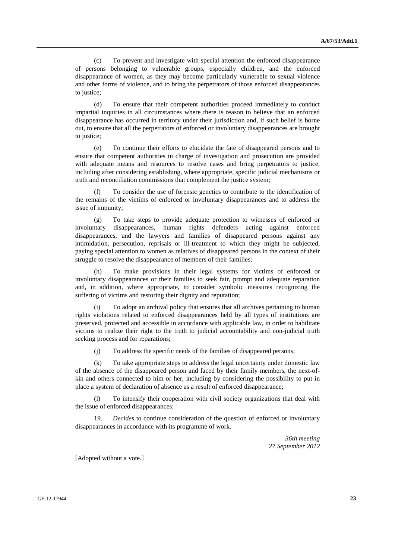(c) To prevent and investigate with special attention the enforced disappearance of persons belonging to vulnerable groups, especially children, and the enforced disappearance of women, as they may become particularly vulnerable to sexual violence and other forms of violence, and to bring the perpetrators of those enforced disappearances to justice:

 (d) To ensure that their competent authorities proceed immediately to conduct impartial inquiries in all circumstances where there is reason to believe that an enforced disappearance has occurred in territory under their jurisdiction and, if such belief is borne out, to ensure that all the perpetrators of enforced or involuntary disappearances are brought to justice:

 (e) To continue their efforts to elucidate the fate of disappeared persons and to ensure that competent authorities in charge of investigation and prosecution are provided with adequate means and resources to resolve cases and bring perpetrators to justice, including after considering establishing, where appropriate, specific judicial mechanisms or truth and reconciliation commissions that complement the justice system;

To consider the use of forensic genetics to contribute to the identification of the remains of the victims of enforced or involuntary disappearances and to address the issue of impunity;

 (g) To take steps to provide adequate protection to witnesses of enforced or involuntary disappearances, human rights defenders acting against enforced disappearances, and the lawyers and families of disappeared persons against any intimidation, persecution, reprisals or ill-treatment to which they might be subjected, paying special attention to women as relatives of disappeared persons in the context of their struggle to resolve the disappearance of members of their families;

 (h) To make provisions in their legal systems for victims of enforced or involuntary disappearances or their families to seek fair, prompt and adequate reparation and, in addition, where appropriate, to consider symbolic measures recognizing the suffering of victims and restoring their dignity and reputation;

To adopt an archival policy that ensures that all archives pertaining to human rights violations related to enforced disappearances held by all types of institutions are preserved, protected and accessible in accordance with applicable law, in order to habilitate victims to realize their right to the truth to judicial accountability and non-judicial truth seeking process and for reparations:

(j) To address the specific needs of the families of disappeared persons;

 (k) To take appropriate steps to address the legal uncertainty under domestic law of the absence of the disappeared person and faced by their family members, the next-ofkin and others connected to him or her, including by considering the possibility to put in place a system of declaration of absence as a result of enforced disappearance;

 (l) To intensify their cooperation with civil society organizations that deal with the issue of enforced disappearances;

 19. *Decides* to continue consideration of the question of enforced or involuntary disappearances in accordance with its programme of work.

> *36th meeting 27 September 2012*

[Adopted without a vote.]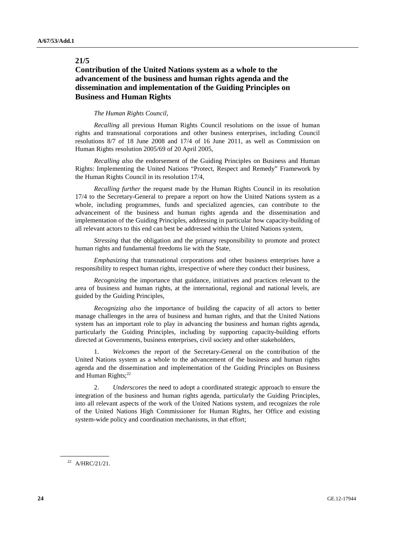## **21/5**

## **Contribution of the United Nations system as a whole to the advancement of the business and human rights agenda and the dissemination and implementation of the Guiding Principles on Business and Human Rights**

#### *The Human Rights Council*,

 *Recalling* all previous Human Rights Council resolutions on the issue of human rights and transnational corporations and other business enterprises, including Council resolutions 8/7 of 18 June 2008 and 17/4 of 16 June 2011, as well as Commission on Human Rights resolution 2005/69 of 20 April 2005,

 *Recalling also* the endorsement of the Guiding Principles on Business and Human Rights: Implementing the United Nations "Protect, Respect and Remedy" Framework by the Human Rights Council in its resolution 17/4,

 *Recalling further* the request made by the Human Rights Council in its resolution 17/4 to the Secretary-General to prepare a report on how the United Nations system as a whole, including programmes, funds and specialized agencies, can contribute to the advancement of the business and human rights agenda and the dissemination and implementation of the Guiding Principles, addressing in particular how capacity-building of all relevant actors to this end can best be addressed within the United Nations system,

*Stressing* that the obligation and the primary responsibility to promote and protect human rights and fundamental freedoms lie with the State,

 *Emphasizing* that transnational corporations and other business enterprises have a responsibility to respect human rights, irrespective of where they conduct their business,

 *Recognizing* the importance that guidance, initiatives and practices relevant to the area of business and human rights, at the international, regional and national levels, are guided by the Guiding Principles,

 *Recognizing also* the importance of building the capacity of all actors to better manage challenges in the area of business and human rights, and that the United Nations system has an important role to play in advancing the business and human rights agenda, particularly the Guiding Principles, including by supporting capacity-building efforts directed at Governments, business enterprises, civil society and other stakeholders,

 1. *Welcomes* the report of the Secretary-General on the contribution of the United Nations system as a whole to the advancement of the business and human rights agenda and the dissemination and implementation of the Guiding Principles on Business and Human Rights;<sup>22</sup>

 2. *Underscores* the need to adopt a coordinated strategic approach to ensure the integration of the business and human rights agenda, particularly the Guiding Principles, into all relevant aspects of the work of the United Nations system, and recognizes the role of the United Nations High Commissioner for Human Rights, her Office and existing system-wide policy and coordination mechanisms, in that effort;

 <sup>22</sup> A/HRC/21/21.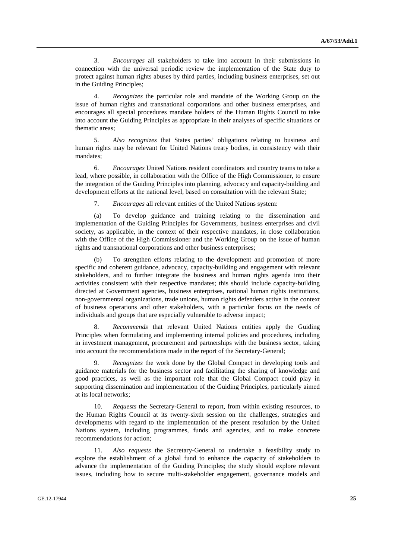3. *Encourages* all stakeholders to take into account in their submissions in connection with the universal periodic review the implementation of the State duty to protect against human rights abuses by third parties, including business enterprises, set out in the Guiding Principles;

 4. *Recognizes* the particular role and mandate of the Working Group on the issue of human rights and transnational corporations and other business enterprises, and encourages all special procedures mandate holders of the Human Rights Council to take into account the Guiding Principles as appropriate in their analyses of specific situations or thematic areas;

 5. *Also recognizes* that States parties' obligations relating to business and human rights may be relevant for United Nations treaty bodies, in consistency with their mandates;

 6. *Encourages* United Nations resident coordinators and country teams to take a lead, where possible, in collaboration with the Office of the High Commissioner, to ensure the integration of the Guiding Principles into planning, advocacy and capacity-building and development efforts at the national level, based on consultation with the relevant State;

7. *Encourages* all relevant entities of the United Nations system:

 (a) To develop guidance and training relating to the dissemination and implementation of the Guiding Principles for Governments, business enterprises and civil society, as applicable, in the context of their respective mandates, in close collaboration with the Office of the High Commissioner and the Working Group on the issue of human rights and transnational corporations and other business enterprises;

 (b) To strengthen efforts relating to the development and promotion of more specific and coherent guidance, advocacy, capacity-building and engagement with relevant stakeholders, and to further integrate the business and human rights agenda into their activities consistent with their respective mandates; this should include capacity-building directed at Government agencies, business enterprises, national human rights institutions, non-governmental organizations, trade unions, human rights defenders active in the context of business operations and other stakeholders, with a particular focus on the needs of individuals and groups that are especially vulnerable to adverse impact;

 8. *Recommends* that relevant United Nations entities apply the Guiding Principles when formulating and implementing internal policies and procedures, including in investment management, procurement and partnerships with the business sector, taking into account the recommendations made in the report of the Secretary-General;

 9. *Recognizes* the work done by the Global Compact in developing tools and guidance materials for the business sector and facilitating the sharing of knowledge and good practices, as well as the important role that the Global Compact could play in supporting dissemination and implementation of the Guiding Principles, particularly aimed at its local networks;

 10. *Requests* the Secretary-General to report, from within existing resources, to the Human Rights Council at its twenty-sixth session on the challenges, strategies and developments with regard to the implementation of the present resolution by the United Nations system, including programmes, funds and agencies, and to make concrete recommendations for action;

 11. *Also requests* the Secretary-General to undertake a feasibility study to explore the establishment of a global fund to enhance the capacity of stakeholders to advance the implementation of the Guiding Principles; the study should explore relevant issues, including how to secure multi-stakeholder engagement, governance models and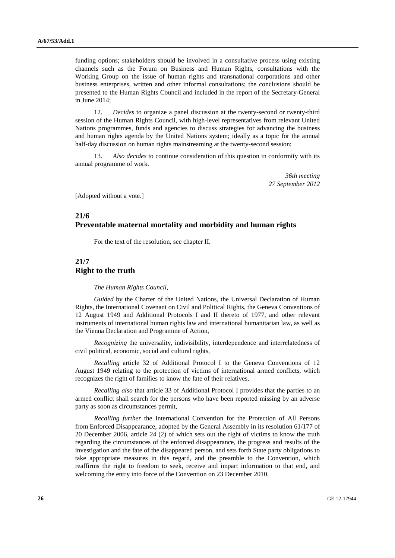funding options; stakeholders should be involved in a consultative process using existing channels such as the Forum on Business and Human Rights, consultations with the Working Group on the issue of human rights and transnational corporations and other business enterprises, written and other informal consultations; the conclusions should be presented to the Human Rights Council and included in the report of the Secretary-General in June 2014;

 12. *Decides* to organize a panel discussion at the twenty-second or twenty-third session of the Human Rights Council, with high-level representatives from relevant United Nations programmes, funds and agencies to discuss strategies for advancing the business and human rights agenda by the United Nations system; ideally as a topic for the annual half-day discussion on human rights mainstreaming at the twenty-second session;

Also *decides* to continue consideration of this question in conformity with its annual programme of work.

> *36th meeting 27 September 2012*

[Adopted without a vote.]

## **21/6**

## **Preventable maternal mortality and morbidity and human rights**

For the text of the resolution, see chapter II.

## **21/7 Right to the truth**

### *The Human Rights Council*,

 *Guided* by the Charter of the United Nations, the Universal Declaration of Human Rights, the International Covenant on Civil and Political Rights, the Geneva Conventions of 12 August 1949 and Additional Protocols I and II thereto of 1977, and other relevant instruments of international human rights law and international humanitarian law, as well as the Vienna Declaration and Programme of Action,

 *Recognizing* the universality, indivisibility, interdependence and interrelatedness of civil political, economic, social and cultural rights,

 *Recalling* article 32 of Additional Protocol I to the Geneva Conventions of 12 August 1949 relating to the protection of victims of international armed conflicts, which recognizes the right of families to know the fate of their relatives,

 *Recalling also* that article 33 of Additional Protocol I provides that the parties to an armed conflict shall search for the persons who have been reported missing by an adverse party as soon as circumstances permit,

 *Recalling further* the International Convention for the Protection of All Persons from Enforced Disappearance, adopted by the General Assembly in its resolution 61/177 of 20 December 2006, article 24 (2) of which sets out the right of victims to know the truth regarding the circumstances of the enforced disappearance, the progress and results of the investigation and the fate of the disappeared person, and sets forth State party obligations to take appropriate measures in this regard, and the preamble to the Convention, which reaffirms the right to freedom to seek, receive and impart information to that end, and welcoming the entry into force of the Convention on 23 December 2010,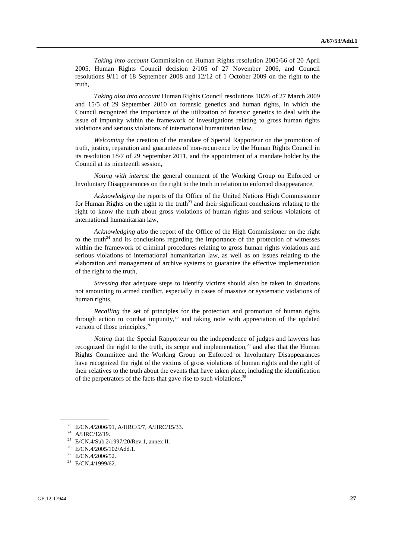*Taking into account* Commission on Human Rights resolution 2005/66 of 20 April 2005, Human Rights Council decision 2/105 of 27 November 2006, and Council resolutions 9/11 of 18 September 2008 and 12/12 of 1 October 2009 on the right to the truth,

 *Taking also into account* Human Rights Council resolutions 10/26 of 27 March 2009 and 15/5 of 29 September 2010 on forensic genetics and human rights, in which the Council recognized the importance of the utilization of forensic genetics to deal with the issue of impunity within the framework of investigations relating to gross human rights violations and serious violations of international humanitarian law,

 *Welcoming* the creation of the mandate of Special Rapporteur on the promotion of truth, justice, reparation and guarantees of non-recurrence by the Human Rights Council in its resolution 18/7 of 29 September 2011, and the appointment of a mandate holder by the Council at its nineteenth session,

 *Noting with interest* the general comment of the Working Group on Enforced or Involuntary Disappearances on the right to the truth in relation to enforced disappearance,

 *Acknowledging* the reports of the Office of the United Nations High Commissioner for Human Rights on the right to the truth<sup>23</sup> and their significant conclusions relating to the right to know the truth about gross violations of human rights and serious violations of international humanitarian law,

 *Acknowledging also* the report of the Office of the High Commissioner on the right to the truth<sup>24</sup> and its conclusions regarding the importance of the protection of witnesses within the framework of criminal procedures relating to gross human rights violations and serious violations of international humanitarian law, as well as on issues relating to the elaboration and management of archive systems to guarantee the effective implementation of the right to the truth,

*Stressing* that adequate steps to identify victims should also be taken in situations not amounting to armed conflict, especially in cases of massive or systematic violations of human rights,

 *Recalling* the set of principles for the protection and promotion of human rights through action to combat impunity, $25$  and taking note with appreciation of the updated version of those principles. $26$ 

*Noting* that the Special Rapporteur on the independence of judges and lawyers has recognized the right to the truth, its scope and implementation, $27$  and also that the Human Rights Committee and the Working Group on Enforced or Involuntary Disappearances have recognized the right of the victims of gross violations of human rights and the right of their relatives to the truth about the events that have taken place, including the identification of the perpetrators of the facts that gave rise to such violations, $2<sup>2</sup>$ 

<sup>&</sup>lt;sup>23</sup> E/CN.4/2006/91, A/HRC/5/7, A/HRC/15/33.<br>
<sup>24</sup> A/HRC/12/19.<br>
<sup>25</sup> E/CN.4/Sub.2/1997/20/Rev.1, annex II.<br>
<sup>26</sup> E/CN.4/2005/102/Add.1.<br>
<sup>27</sup> E/CN.4/2006/52.<br>
<sup>28</sup> E/CN.4/1999/62.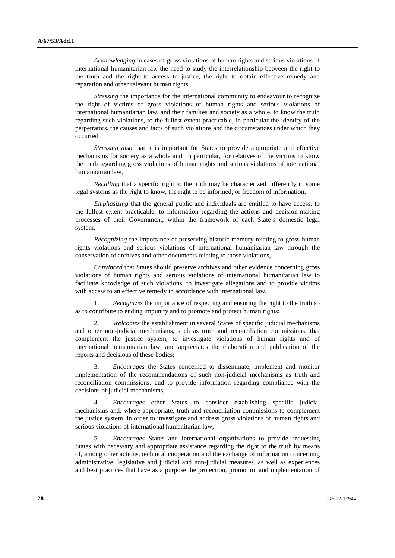*Acknowledging* in cases of gross violations of human rights and serious violations of international humanitarian law the need to study the interrelationship between the right to the truth and the right to access to justice, the right to obtain effective remedy and reparation and other relevant human rights,

*Stressing* the importance for the international community to endeavour to recognize the right of victims of gross violations of human rights and serious violations of international humanitarian law, and their families and society as a whole, to know the truth regarding such violations, to the fullest extent practicable, in particular the identity of the perpetrators, the causes and facts of such violations and the circumstances under which they occurred,

 *Stressing also* that it is important for States to provide appropriate and effective mechanisms for society as a whole and, in particular, for relatives of the victims to know the truth regarding gross violations of human rights and serious violations of international humanitarian law,

*Recalling* that a specific right to the truth may be characterized differently in some legal systems as the right to know, the right to be informed, or freedom of information,

*Emphasizing* that the general public and individuals are entitled to have access, to the fullest extent practicable, to information regarding the actions and decision-making processes of their Government, within the framework of each State's domestic legal system,

*Recognizing* the importance of preserving historic memory relating to gross human rights violations and serious violations of international humanitarian law through the conservation of archives and other documents relating to those violations,

 *Convinced* that States should preserve archives and other evidence concerning gross violations of human rights and serious violations of international humanitarian law to facilitate knowledge of such violations, to investigate allegations and to provide victims with access to an effective remedy in accordance with international law,

 1. *Recognizes* the importance of respecting and ensuring the right to the truth so as to contribute to ending impunity and to promote and protect human rights;

 2. *Welcomes* the establishment in several States of specific judicial mechanisms and other non-judicial mechanisms, such as truth and reconciliation commissions, that complement the justice system, to investigate violations of human rights and of international humanitarian law, and appreciates the elaboration and publication of the reports and decisions of these bodies;

 3. *Encourages* the States concerned to disseminate, implement and monitor implementation of the recommendations of such non-judicial mechanisms as truth and reconciliation commissions, and to provide information regarding compliance with the decisions of judicial mechanisms;

 4. *Encourages* other States to consider establishing specific judicial mechanisms and, where appropriate, truth and reconciliation commissions to complement the justice system, in order to investigate and address gross violations of human rights and serious violations of international humanitarian law;

 5. *Encourages* States and international organizations to provide requesting States with necessary and appropriate assistance regarding the right to the truth by means of, among other actions, technical cooperation and the exchange of information concerning administrative, legislative and judicial and non-judicial measures, as well as experiences and best practices that have as a purpose the protection, promotion and implementation of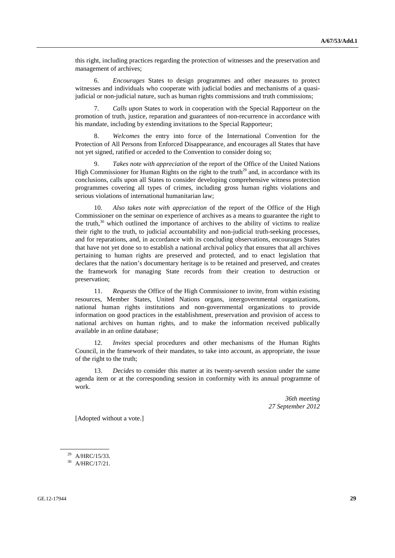this right, including practices regarding the protection of witnesses and the preservation and management of archives;

 6. *Encourages* States to design programmes and other measures to protect witnesses and individuals who cooperate with judicial bodies and mechanisms of a quasijudicial or non-judicial nature, such as human rights commissions and truth commissions;

 7. *Calls upon* States to work in cooperation with the Special Rapporteur on the promotion of truth, justice, reparation and guarantees of non-recurrence in accordance with his mandate, including by extending invitations to the Special Rapporteur;

 8. *Welcomes* the entry into force of the International Convention for the Protection of All Persons from Enforced Disappearance, and encourages all States that have not yet signed, ratified or acceded to the Convention to consider doing so;

 9. *Takes note with appreciation* of the report of the Office of the United Nations High Commissioner for Human Rights on the right to the truth<sup>29</sup> and, in accordance with its conclusions, calls upon all States to consider developing comprehensive witness protection programmes covering all types of crimes, including gross human rights violations and serious violations of international humanitarian law;

Also takes note with appreciation of the report of the Office of the High Commissioner on the seminar on experience of archives as a means to guarantee the right to the truth, $30$  which outlined the importance of archives to the ability of victims to realize their right to the truth, to judicial accountability and non-judicial truth-seeking processes, and for reparations, and, in accordance with its concluding observations, encourages States that have not yet done so to establish a national archival policy that ensures that all archives pertaining to human rights are preserved and protected, and to enact legislation that declares that the nation's documentary heritage is to be retained and preserved, and creates the framework for managing State records from their creation to destruction or preservation;

 11. *Requests* the Office of the High Commissioner to invite, from within existing resources, Member States, United Nations organs, intergovernmental organizations, national human rights institutions and non-governmental organizations to provide information on good practices in the establishment, preservation and provision of access to national archives on human rights, and to make the information received publically available in an online database;

 12. *Invites* special procedures and other mechanisms of the Human Rights Council, in the framework of their mandates, to take into account, as appropriate, the issue of the right to the truth;

 13. *Decides* to consider this matter at its twenty-seventh session under the same agenda item or at the corresponding session in conformity with its annual programme of work.

> *36th meeting 27 September 2012*

[Adopted without a vote.]

GE.12-17944 **29** 

 $^{29}$  A/HRC/15/33.<br>  $^{30}$  A/HRC/17/21.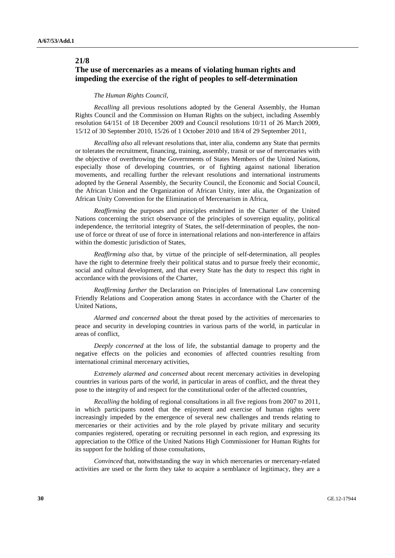### **21/8**

# **The use of mercenaries as a means of violating human rights and impeding the exercise of the right of peoples to self-determination**

### *The Human Rights Council*,

 *Recalling* all previous resolutions adopted by the General Assembly, the Human Rights Council and the Commission on Human Rights on the subject, including Assembly resolution 64/151 of 18 December 2009 and Council resolutions 10/11 of 26 March 2009, 15/12 of 30 September 2010, 15/26 of 1 October 2010 and 18/4 of 29 September 2011,

 *Recalling also* all relevant resolutions that, inter alia, condemn any State that permits or tolerates the recruitment, financing, training, assembly, transit or use of mercenaries with the objective of overthrowing the Governments of States Members of the United Nations, especially those of developing countries, or of fighting against national liberation movements, and recalling further the relevant resolutions and international instruments adopted by the General Assembly, the Security Council, the Economic and Social Council, the African Union and the Organization of African Unity, inter alia, the Organization of African Unity Convention for the Elimination of Mercenarism in Africa,

 *Reaffirming* the purposes and principles enshrined in the Charter of the United Nations concerning the strict observance of the principles of sovereign equality, political independence, the territorial integrity of States, the self-determination of peoples, the nonuse of force or threat of use of force in international relations and non-interference in affairs within the domestic jurisdiction of States,

 *Reaffirming also* that, by virtue of the principle of self-determination, all peoples have the right to determine freely their political status and to pursue freely their economic, social and cultural development, and that every State has the duty to respect this right in accordance with the provisions of the Charter,

 *Reaffirming further* the Declaration on Principles of International Law concerning Friendly Relations and Cooperation among States in accordance with the Charter of the United Nations,

 *Alarmed and concerned* about the threat posed by the activities of mercenaries to peace and security in developing countries in various parts of the world, in particular in areas of conflict,

 *Deeply concerned* at the loss of life, the substantial damage to property and the negative effects on the policies and economies of affected countries resulting from international criminal mercenary activities,

 *Extremely alarmed and concerned* about recent mercenary activities in developing countries in various parts of the world, in particular in areas of conflict, and the threat they pose to the integrity of and respect for the constitutional order of the affected countries,

*Recalling* the holding of regional consultations in all five regions from 2007 to 2011, in which participants noted that the enjoyment and exercise of human rights were increasingly impeded by the emergence of several new challenges and trends relating to mercenaries or their activities and by the role played by private military and security companies registered, operating or recruiting personnel in each region, and expressing its appreciation to the Office of the United Nations High Commissioner for Human Rights for its support for the holding of those consultations,

 *Convinced* that, notwithstanding the way in which mercenaries or mercenary-related activities are used or the form they take to acquire a semblance of legitimacy, they are a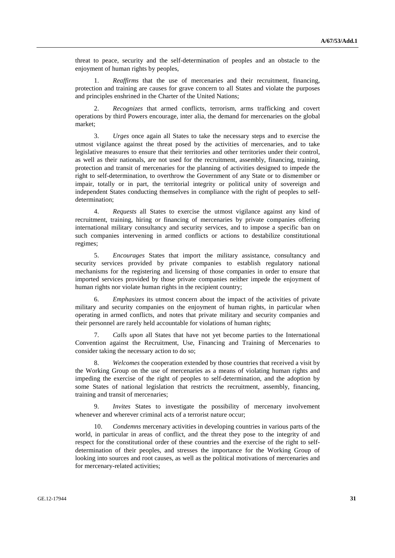threat to peace, security and the self-determination of peoples and an obstacle to the enjoyment of human rights by peoples,

 1. *Reaffirms* that the use of mercenaries and their recruitment, financing, protection and training are causes for grave concern to all States and violate the purposes and principles enshrined in the Charter of the United Nations;

 2. *Recognizes* that armed conflicts, terrorism, arms trafficking and covert operations by third Powers encourage, inter alia, the demand for mercenaries on the global market;

 3. *Urges* once again all States to take the necessary steps and to exercise the utmost vigilance against the threat posed by the activities of mercenaries, and to take legislative measures to ensure that their territories and other territories under their control, as well as their nationals, are not used for the recruitment, assembly, financing, training, protection and transit of mercenaries for the planning of activities designed to impede the right to self-determination, to overthrow the Government of any State or to dismember or impair, totally or in part, the territorial integrity or political unity of sovereign and independent States conducting themselves in compliance with the right of peoples to selfdetermination;

 4. *Requests* all States to exercise the utmost vigilance against any kind of recruitment, training, hiring or financing of mercenaries by private companies offering international military consultancy and security services, and to impose a specific ban on such companies intervening in armed conflicts or actions to destabilize constitutional regimes;

 5. *Encourages* States that import the military assistance, consultancy and security services provided by private companies to establish regulatory national mechanisms for the registering and licensing of those companies in order to ensure that imported services provided by those private companies neither impede the enjoyment of human rights nor violate human rights in the recipient country;

 6. *Emphasizes* its utmost concern about the impact of the activities of private military and security companies on the enjoyment of human rights, in particular when operating in armed conflicts, and notes that private military and security companies and their personnel are rarely held accountable for violations of human rights;

 7. *Calls upon* all States that have not yet become parties to the International Convention against the Recruitment, Use, Financing and Training of Mercenaries to consider taking the necessary action to do so;

 8. *Welcomes* the cooperation extended by those countries that received a visit by the Working Group on the use of mercenaries as a means of violating human rights and impeding the exercise of the right of peoples to self-determination, and the adoption by some States of national legislation that restricts the recruitment, assembly, financing, training and transit of mercenaries;

 9. *Invites* States to investigate the possibility of mercenary involvement whenever and wherever criminal acts of a terrorist nature occur;

 10. *Condemns* mercenary activities in developing countries in various parts of the world, in particular in areas of conflict, and the threat they pose to the integrity of and respect for the constitutional order of these countries and the exercise of the right to selfdetermination of their peoples, and stresses the importance for the Working Group of looking into sources and root causes, as well as the political motivations of mercenaries and for mercenary-related activities;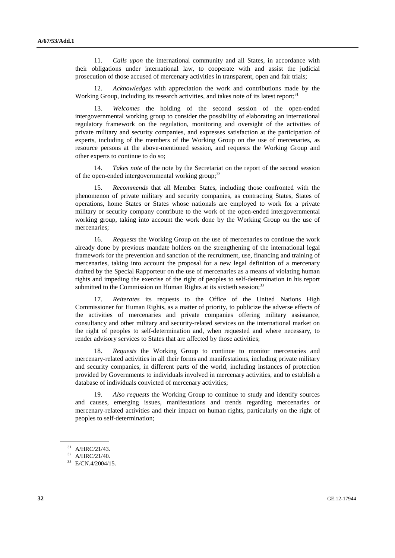11. *Calls upon* the international community and all States, in accordance with their obligations under international law, to cooperate with and assist the judicial prosecution of those accused of mercenary activities in transparent, open and fair trials;

 12. *Acknowledges* with appreciation the work and contributions made by the Working Group, including its research activities, and takes note of its latest report;<sup>31</sup>

 13. *Welcomes* the holding of the second session of the open-ended intergovernmental working group to consider the possibility of elaborating an international regulatory framework on the regulation, monitoring and oversight of the activities of private military and security companies, and expresses satisfaction at the participation of experts, including of the members of the Working Group on the use of mercenaries, as resource persons at the above-mentioned session, and requests the Working Group and other experts to continue to do so;

 14. *Takes note* of the note by the Secretariat on the report of the second session of the open-ended intergovernmental working group; $32$ 

 15. *Recommends* that all Member States, including those confronted with the phenomenon of private military and security companies, as contracting States, States of operations, home States or States whose nationals are employed to work for a private military or security company contribute to the work of the open-ended intergovernmental working group, taking into account the work done by the Working Group on the use of mercenaries;

 16. *Requests* the Working Group on the use of mercenaries to continue the work already done by previous mandate holders on the strengthening of the international legal framework for the prevention and sanction of the recruitment, use, financing and training of mercenaries, taking into account the proposal for a new legal definition of a mercenary drafted by the Special Rapporteur on the use of mercenaries as a means of violating human rights and impeding the exercise of the right of peoples to self-determination in his report submitted to the Commission on Human Rights at its sixtieth session:<sup>33</sup>

 17. *Reiterates* its requests to the Office of the United Nations High Commissioner for Human Rights, as a matter of priority, to publicize the adverse effects of the activities of mercenaries and private companies offering military assistance, consultancy and other military and security-related services on the international market on the right of peoples to self-determination and, when requested and where necessary, to render advisory services to States that are affected by those activities;

 18. *Requests* the Working Group to continue to monitor mercenaries and mercenary-related activities in all their forms and manifestations, including private military and security companies, in different parts of the world, including instances of protection provided by Governments to individuals involved in mercenary activities, and to establish a database of individuals convicted of mercenary activities;

 19. *Also requests* the Working Group to continue to study and identify sources and causes, emerging issues, manifestations and trends regarding mercenaries or mercenary-related activities and their impact on human rights, particularly on the right of peoples to self-determination;

<sup>&</sup>lt;sup>31</sup> A/HRC/21/43.<br><sup>32</sup> A/HRC/21/40.<br><sup>33</sup> E/CN.4/2004/15.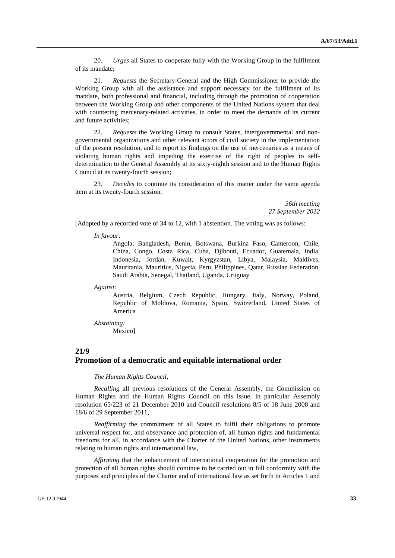20. *Urges* all States to cooperate fully with the Working Group in the fulfilment of its mandate;

 21. *Requests* the Secretary-General and the High Commissioner to provide the Working Group with all the assistance and support necessary for the fulfilment of its mandate, both professional and financial, including through the promotion of cooperation between the Working Group and other components of the United Nations system that deal with countering mercenary-related activities, in order to meet the demands of its current and future activities;

 22. *Requests* the Working Group to consult States, intergovernmental and nongovernmental organizations and other relevant actors of civil society in the implementation of the present resolution, and to report its findings on the use of mercenaries as a means of violating human rights and impeding the exercise of the right of peoples to selfdetermination to the General Assembly at its sixty-eighth session and to the Human Rights Council at its twenty-fourth session;

 23. *Decides* to continue its consideration of this matter under the same agenda item at its twenty-fourth session.

> *36th meeting 27 September 2012*

[Adopted by a recorded vote of 34 to 12, with 1 abstention. The voting was as follows:

#### *In favour:*

Angola, Bangladesh, Benin, Botswana, Burkina Faso, Cameroon, Chile, China, Congo, Costa Rica, Cuba, Djibouti, Ecuador, Guatemala, India, Indonesia, Jordan, Kuwait, Kyrgyzstan, Libya, Malaysia, Maldives, Mauritania, Mauritius, Nigeria, Peru, Philippines, Qatar, Russian Federation, Saudi Arabia, Senegal, Thailand, Uganda, Uruguay

#### *Against:*

Austria, Belgium, Czech Republic, Hungary, Italy, Norway, Poland, Republic of Moldova, Romania, Spain, Switzerland, United States of America

#### *Abstaining:*

**Mexicol** 

### **21/9**

## **Promotion of a democratic and equitable international order**

#### *The Human Rights Council*,

 *Recalling* all previous resolutions of the General Assembly, the Commission on Human Rights and the Human Rights Council on this issue, in particular Assembly resolution 65/223 of 21 December 2010 and Council resolutions 8/5 of 18 June 2008 and 18/6 of 29 September 2011,

 *Reaffirming* the commitment of all States to fulfil their obligations to promote universal respect for, and observance and protection of, all human rights and fundamental freedoms for all, in accordance with the Charter of the United Nations, other instruments relating to human rights and international law,

 *Affirming* that the enhancement of international cooperation for the promotion and protection of all human rights should continue to be carried out in full conformity with the purposes and principles of the Charter and of international law as set forth in Articles 1 and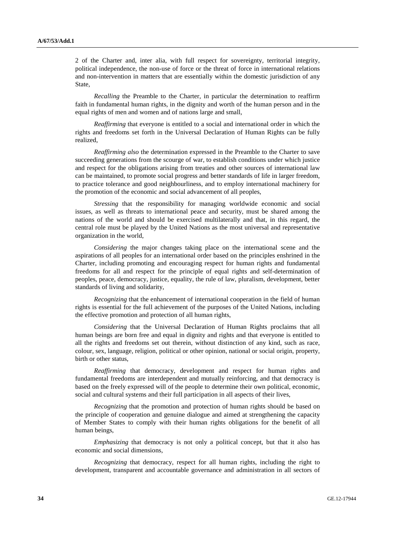2 of the Charter and, inter alia, with full respect for sovereignty, territorial integrity, political independence, the non-use of force or the threat of force in international relations and non-intervention in matters that are essentially within the domestic jurisdiction of any State,

 *Recalling* the Preamble to the Charter, in particular the determination to reaffirm faith in fundamental human rights, in the dignity and worth of the human person and in the equal rights of men and women and of nations large and small,

 *Reaffirming* that everyone is entitled to a social and international order in which the rights and freedoms set forth in the Universal Declaration of Human Rights can be fully realized,

 *Reaffirming also* the determination expressed in the Preamble to the Charter to save succeeding generations from the scourge of war, to establish conditions under which justice and respect for the obligations arising from treaties and other sources of international law can be maintained, to promote social progress and better standards of life in larger freedom, to practice tolerance and good neighbourliness, and to employ international machinery for the promotion of the economic and social advancement of all peoples,

*Stressing* that the responsibility for managing worldwide economic and social issues, as well as threats to international peace and security, must be shared among the nations of the world and should be exercised multilaterally and that, in this regard, the central role must be played by the United Nations as the most universal and representative organization in the world,

*Considering* the major changes taking place on the international scene and the aspirations of all peoples for an international order based on the principles enshrined in the Charter, including promoting and encouraging respect for human rights and fundamental freedoms for all and respect for the principle of equal rights and self-determination of peoples, peace, democracy, justice, equality, the rule of law, pluralism, development, better standards of living and solidarity,

 *Recognizing* that the enhancement of international cooperation in the field of human rights is essential for the full achievement of the purposes of the United Nations, including the effective promotion and protection of all human rights,

 *Considering* that the Universal Declaration of Human Rights proclaims that all human beings are born free and equal in dignity and rights and that everyone is entitled to all the rights and freedoms set out therein, without distinction of any kind, such as race, colour, sex, language, religion, political or other opinion, national or social origin, property, birth or other status,

 *Reaffirming* that democracy, development and respect for human rights and fundamental freedoms are interdependent and mutually reinforcing, and that democracy is based on the freely expressed will of the people to determine their own political, economic, social and cultural systems and their full participation in all aspects of their lives,

*Recognizing* that the promotion and protection of human rights should be based on the principle of cooperation and genuine dialogue and aimed at strengthening the capacity of Member States to comply with their human rights obligations for the benefit of all human beings,

 *Emphasizing* that democracy is not only a political concept, but that it also has economic and social dimensions,

 *Recognizing* that democracy, respect for all human rights, including the right to development, transparent and accountable governance and administration in all sectors of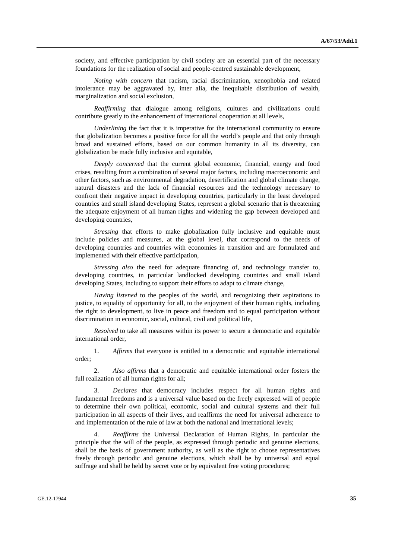society, and effective participation by civil society are an essential part of the necessary foundations for the realization of social and people-centred sustainable development,

 *Noting with concern* that racism, racial discrimination, xenophobia and related intolerance may be aggravated by, inter alia, the inequitable distribution of wealth, marginalization and social exclusion,

 *Reaffirming* that dialogue among religions, cultures and civilizations could contribute greatly to the enhancement of international cooperation at all levels,

*Underlining* the fact that it is imperative for the international community to ensure that globalization becomes a positive force for all the world's people and that only through broad and sustained efforts, based on our common humanity in all its diversity, can globalization be made fully inclusive and equitable,

 *Deeply concerned* that the current global economic, financial, energy and food crises, resulting from a combination of several major factors, including macroeconomic and other factors, such as environmental degradation, desertification and global climate change, natural disasters and the lack of financial resources and the technology necessary to confront their negative impact in developing countries, particularly in the least developed countries and small island developing States, represent a global scenario that is threatening the adequate enjoyment of all human rights and widening the gap between developed and developing countries,

*Stressing* that efforts to make globalization fully inclusive and equitable must include policies and measures, at the global level, that correspond to the needs of developing countries and countries with economies in transition and are formulated and implemented with their effective participation,

*Stressing also* the need for adequate financing of, and technology transfer to, developing countries, in particular landlocked developing countries and small island developing States, including to support their efforts to adapt to climate change,

 *Having listened* to the peoples of the world, and recognizing their aspirations to justice, to equality of opportunity for all, to the enjoyment of their human rights, including the right to development, to live in peace and freedom and to equal participation without discrimination in economic, social, cultural, civil and political life,

*Resolved* to take all measures within its power to secure a democratic and equitable international order,

 1. *Affirms* that everyone is entitled to a democratic and equitable international order;

 2. *Also affirms* that a democratic and equitable international order fosters the full realization of all human rights for all;

 3. *Declares* that democracy includes respect for all human rights and fundamental freedoms and is a universal value based on the freely expressed will of people to determine their own political, economic, social and cultural systems and their full participation in all aspects of their lives, and reaffirms the need for universal adherence to and implementation of the rule of law at both the national and international levels;

 4. *Reaffirms* the Universal Declaration of Human Rights, in particular the principle that the will of the people, as expressed through periodic and genuine elections, shall be the basis of government authority, as well as the right to choose representatives freely through periodic and genuine elections, which shall be by universal and equal suffrage and shall be held by secret vote or by equivalent free voting procedures;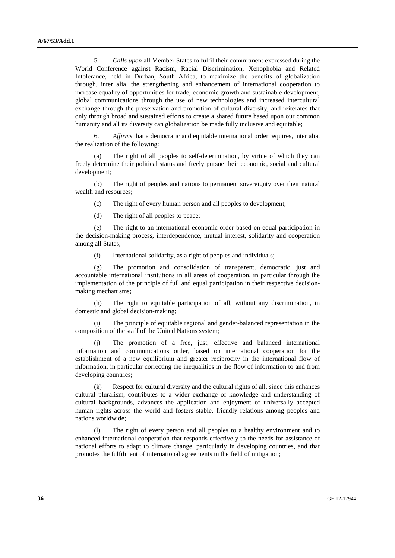5. *Calls upon* all Member States to fulfil their commitment expressed during the World Conference against Racism, Racial Discrimination, Xenophobia and Related Intolerance, held in Durban, South Africa, to maximize the benefits of globalization through, inter alia, the strengthening and enhancement of international cooperation to increase equality of opportunities for trade, economic growth and sustainable development, global communications through the use of new technologies and increased intercultural exchange through the preservation and promotion of cultural diversity, and reiterates that only through broad and sustained efforts to create a shared future based upon our common humanity and all its diversity can globalization be made fully inclusive and equitable;

 6. *Affirms* that a democratic and equitable international order requires, inter alia, the realization of the following:

The right of all peoples to self-determination, by virtue of which they can freely determine their political status and freely pursue their economic, social and cultural development;

 (b) The right of peoples and nations to permanent sovereignty over their natural wealth and resources;

(c) The right of every human person and all peoples to development;

(d) The right of all peoples to peace;

 (e) The right to an international economic order based on equal participation in the decision-making process, interdependence, mutual interest, solidarity and cooperation among all States;

(f) International solidarity, as a right of peoples and individuals;

 (g) The promotion and consolidation of transparent, democratic, just and accountable international institutions in all areas of cooperation, in particular through the implementation of the principle of full and equal participation in their respective decisionmaking mechanisms;

 (h) The right to equitable participation of all, without any discrimination, in domestic and global decision-making;

 (i) The principle of equitable regional and gender-balanced representation in the composition of the staff of the United Nations system;

 (j) The promotion of a free, just, effective and balanced international information and communications order, based on international cooperation for the establishment of a new equilibrium and greater reciprocity in the international flow of information, in particular correcting the inequalities in the flow of information to and from developing countries;

 (k) Respect for cultural diversity and the cultural rights of all, since this enhances cultural pluralism, contributes to a wider exchange of knowledge and understanding of cultural backgrounds, advances the application and enjoyment of universally accepted human rights across the world and fosters stable, friendly relations among peoples and nations worldwide;

The right of every person and all peoples to a healthy environment and to enhanced international cooperation that responds effectively to the needs for assistance of national efforts to adapt to climate change, particularly in developing countries, and that promotes the fulfilment of international agreements in the field of mitigation;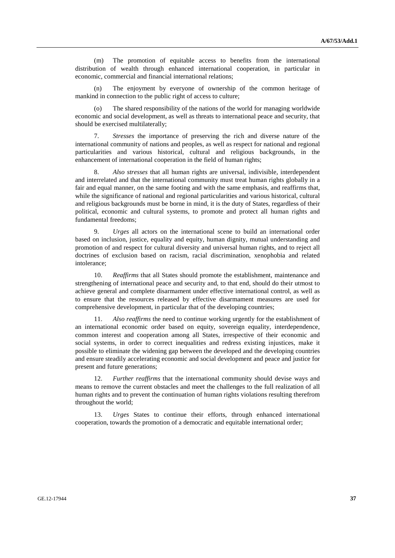(m) The promotion of equitable access to benefits from the international distribution of wealth through enhanced international cooperation, in particular in economic, commercial and financial international relations;

 (n) The enjoyment by everyone of ownership of the common heritage of mankind in connection to the public right of access to culture;

 (o) The shared responsibility of the nations of the world for managing worldwide economic and social development, as well as threats to international peace and security, that should be exercised multilaterally;

 7. *Stresses* the importance of preserving the rich and diverse nature of the international community of nations and peoples, as well as respect for national and regional particularities and various historical, cultural and religious backgrounds, in the enhancement of international cooperation in the field of human rights;

 8. *Also stresses* that all human rights are universal, indivisible, interdependent and interrelated and that the international community must treat human rights globally in a fair and equal manner, on the same footing and with the same emphasis, and reaffirms that, while the significance of national and regional particularities and various historical, cultural and religious backgrounds must be borne in mind, it is the duty of States, regardless of their political, economic and cultural systems, to promote and protect all human rights and fundamental freedoms;

 9. *Urges* all actors on the international scene to build an international order based on inclusion, justice, equality and equity, human dignity, mutual understanding and promotion of and respect for cultural diversity and universal human rights, and to reject all doctrines of exclusion based on racism, racial discrimination, xenophobia and related intolerance;

 10. *Reaffirms* that all States should promote the establishment, maintenance and strengthening of international peace and security and, to that end, should do their utmost to achieve general and complete disarmament under effective international control, as well as to ensure that the resources released by effective disarmament measures are used for comprehensive development, in particular that of the developing countries;

 11. *Also reaffirms* the need to continue working urgently for the establishment of an international economic order based on equity, sovereign equality, interdependence, common interest and cooperation among all States, irrespective of their economic and social systems, in order to correct inequalities and redress existing injustices, make it possible to eliminate the widening gap between the developed and the developing countries and ensure steadily accelerating economic and social development and peace and justice for present and future generations;

 12. *Further reaffirms* that the international community should devise ways and means to remove the current obstacles and meet the challenges to the full realization of all human rights and to prevent the continuation of human rights violations resulting therefrom throughout the world;

 13. *Urges* States to continue their efforts, through enhanced international cooperation, towards the promotion of a democratic and equitable international order;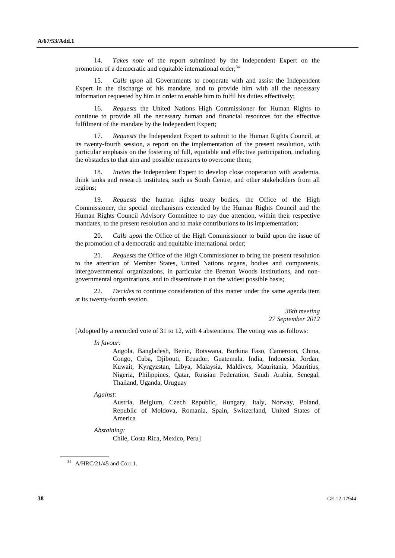14. *Takes note* of the report submitted by the Independent Expert on the promotion of a democratic and equitable international order;<sup>34</sup>

 15. *Calls upon* all Governments to cooperate with and assist the Independent Expert in the discharge of his mandate, and to provide him with all the necessary information requested by him in order to enable him to fulfil his duties effectively;

 16. *Requests* the United Nations High Commissioner for Human Rights to continue to provide all the necessary human and financial resources for the effective fulfilment of the mandate by the Independent Expert;

 17. *Requests* the Independent Expert to submit to the Human Rights Council, at its twenty-fourth session, a report on the implementation of the present resolution, with particular emphasis on the fostering of full, equitable and effective participation, including the obstacles to that aim and possible measures to overcome them;

 18. *Invites* the Independent Expert to develop close cooperation with academia, think tanks and research institutes, such as South Centre, and other stakeholders from all regions;

 19. *Requests* the human rights treaty bodies, the Office of the High Commissioner, the special mechanisms extended by the Human Rights Council and the Human Rights Council Advisory Committee to pay due attention, within their respective mandates, to the present resolution and to make contributions to its implementation;

 20. *Calls upon* the Office of the High Commissioner to build upon the issue of the promotion of a democratic and equitable international order;

 21. *Requests* the Office of the High Commissioner to bring the present resolution to the attention of Member States, United Nations organs, bodies and components, intergovernmental organizations, in particular the Bretton Woods institutions, and nongovernmental organizations, and to disseminate it on the widest possible basis;

 22. *Decides* to continue consideration of this matter under the same agenda item at its twenty-fourth session.

> *36th meeting 27 September 2012*

[Adopted by a recorded vote of 31 to 12, with 4 abstentions. The voting was as follows:

*In favour:* 

Angola, Bangladesh, Benin, Botswana, Burkina Faso, Cameroon, China, Congo, Cuba, Djibouti, Ecuador, Guatemala, India, Indonesia, Jordan, Kuwait, Kyrgyzstan, Libya, Malaysia, Maldives, Mauritania, Mauritius, Nigeria, Philippines, Qatar, Russian Federation, Saudi Arabia, Senegal, Thailand, Uganda, Uruguay

*Against:* 

Austria, Belgium, Czech Republic, Hungary, Italy, Norway, Poland, Republic of Moldova, Romania, Spain, Switzerland, United States of America

*Abstaining:* 

Chile, Costa Rica, Mexico, Peru]

 $34$  A/HRC/21/45 and Corr.1.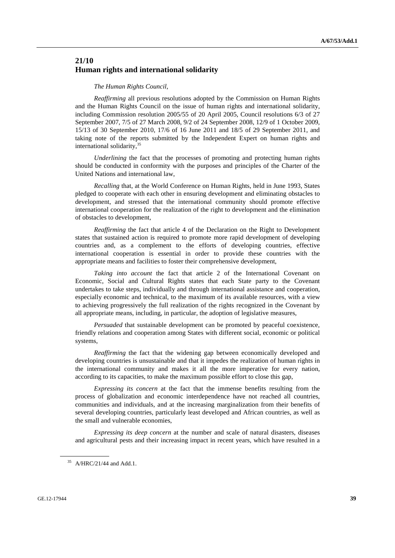# **21/10 Human rights and international solidarity**

#### *The Human Rights Council*,

*Reaffirming* all previous resolutions adopted by the Commission on Human Rights and the Human Rights Council on the issue of human rights and international solidarity, including Commission resolution 2005/55 of 20 April 2005, Council resolutions 6/3 of 27 September 2007, 7/5 of 27 March 2008, 9/2 of 24 September 2008, 12/9 of 1 October 2009, 15/13 of 30 September 2010, 17/6 of 16 June 2011 and 18/5 of 29 September 2011, and taking note of the reports submitted by the Independent Expert on human rights and international solidarity.<sup>35</sup>

*Underlining* the fact that the processes of promoting and protecting human rights should be conducted in conformity with the purposes and principles of the Charter of the United Nations and international law,

 *Recalling* that, at the World Conference on Human Rights, held in June 1993, States pledged to cooperate with each other in ensuring development and eliminating obstacles to development, and stressed that the international community should promote effective international cooperation for the realization of the right to development and the elimination of obstacles to development,

 *Reaffirming* the fact that article 4 of the Declaration on the Right to Development states that sustained action is required to promote more rapid development of developing countries and, as a complement to the efforts of developing countries, effective international cooperation is essential in order to provide these countries with the appropriate means and facilities to foster their comprehensive development,

 *Taking into account* the fact that article 2 of the International Covenant on Economic, Social and Cultural Rights states that each State party to the Covenant undertakes to take steps, individually and through international assistance and cooperation, especially economic and technical, to the maximum of its available resources, with a view to achieving progressively the full realization of the rights recognized in the Covenant by all appropriate means, including, in particular, the adoption of legislative measures,

*Persuaded* that sustainable development can be promoted by peaceful coexistence, friendly relations and cooperation among States with different social, economic or political systems,

 *Reaffirming* the fact that the widening gap between economically developed and developing countries is unsustainable and that it impedes the realization of human rights in the international community and makes it all the more imperative for every nation, according to its capacities, to make the maximum possible effort to close this gap,

 *Expressing its concern* at the fact that the immense benefits resulting from the process of globalization and economic interdependence have not reached all countries, communities and individuals, and at the increasing marginalization from their benefits of several developing countries, particularly least developed and African countries, as well as the small and vulnerable economies,

 *Expressing its deep concern* at the number and scale of natural disasters, diseases and agricultural pests and their increasing impact in recent years, which have resulted in a

 $35$  A/HRC/21/44 and Add.1.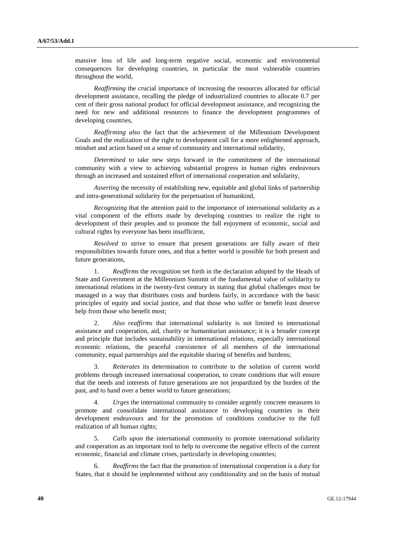massive loss of life and long-term negative social, economic and environmental consequences for developing countries, in particular the most vulnerable countries throughout the world,

 *Reaffirming* the crucial importance of increasing the resources allocated for official development assistance, recalling the pledge of industrialized countries to allocate 0.7 per cent of their gross national product for official development assistance, and recognizing the need for new and additional resources to finance the development programmes of developing countries,

 *Reaffirming also* the fact that the achievement of the Millennium Development Goals and the realization of the right to development call for a more enlightened approach, mindset and action based on a sense of community and international solidarity,

 *Determined* to take new steps forward in the commitment of the international community with a view to achieving substantial progress in human rights endeavours through an increased and sustained effort of international cooperation and solidarity,

 *Asserting* the necessity of establishing new, equitable and global links of partnership and intra-generational solidarity for the perpetuation of humankind,

 *Recognizing* that the attention paid to the importance of international solidarity as a vital component of the efforts made by developing countries to realize the right to development of their peoples and to promote the full enjoyment of economic, social and cultural rights by everyone has been insufficient,

 *Resolved* to strive to ensure that present generations are fully aware of their responsibilities towards future ones, and that a better world is possible for both present and future generations,

 1. *Reaffirms* the recognition set forth in the declaration adopted by the Heads of State and Government at the Millennium Summit of the fundamental value of solidarity to international relations in the twenty-first century in stating that global challenges must be managed in a way that distributes costs and burdens fairly, in accordance with the basic principles of equity and social justice, and that those who suffer or benefit least deserve help from those who benefit most;

 2. *Also reaffirms* that international solidarity is not limited to international assistance and cooperation, aid, charity or humanitarian assistance; it is a broader concept and principle that includes sustainability in international relations, especially international economic relations, the peaceful coexistence of all members of the international community, equal partnerships and the equitable sharing of benefits and burdens;

 3. *Reiterates* its determination to contribute to the solution of current world problems through increased international cooperation, to create conditions that will ensure that the needs and interests of future generations are not jeopardized by the burden of the past, and to hand over a better world to future generations;

 4. *Urges* the international community to consider urgently concrete measures to promote and consolidate international assistance to developing countries in their development endeavours and for the promotion of conditions conducive to the full realization of all human rights;

 5. *Calls upon* the international community to promote international solidarity and cooperation as an important tool to help to overcome the negative effects of the current economic, financial and climate crises, particularly in developing countries;

 6. *Reaffirms* the fact that the promotion of international cooperation is a duty for States, that it should be implemented without any conditionality and on the basis of mutual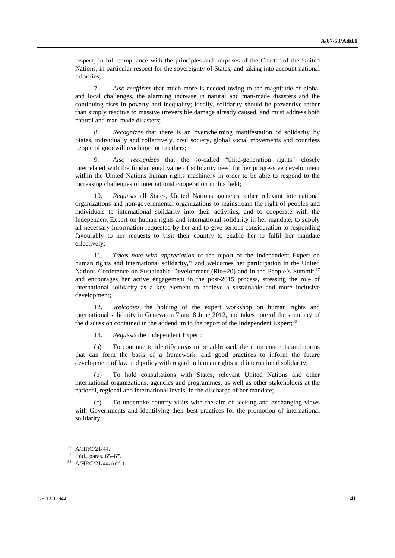respect, in full compliance with the principles and purposes of the Charter of the United Nations, in particular respect for the sovereignty of States, and taking into account national priorities;

 7. *Also reaffirms* that much more is needed owing to the magnitude of global and local challenges, the alarming increase in natural and man-made disasters and the continuing rises in poverty and inequality; ideally, solidarity should be preventive rather than simply reactive to massive irreversible damage already caused, and must address both natural and man-made disasters;

 8. *Recognizes* that there is an overwhelming manifestation of solidarity by States, individually and collectively, civil society, global social movements and countless people of goodwill reaching out to others;

 9. *Also recognizes* that the so-called "third-generation rights" closely interrelated with the fundamental value of solidarity need further progressive development within the United Nations human rights machinery in order to be able to respond to the increasing challenges of international cooperation in this field;

 10. *Requests* all States, United Nations agencies, other relevant international organizations and non-governmental organizations to mainstream the right of peoples and individuals to international solidarity into their activities, and to cooperate with the Independent Expert on human rights and international solidarity in her mandate, to supply all necessary information requested by her and to give serious consideration to responding favourably to her requests to visit their country to enable her to fulfil her mandate effectively;

 11. *Takes note with appreciation* of the report of the Independent Expert on human rights and international solidarity, $36$  and welcomes her participation in the United Nations Conference on Sustainable Development ( $Rio+20$ ) and in the People's Summit,<sup>37</sup> and encourages her active engagement in the post-2015 process, stressing the role of international solidarity as a key element to achieve a sustainable and more inclusive development;

 12. *Welcomes* the holding of the expert workshop on human rights and international solidarity in Geneva on 7 and 8 June 2012, and takes note of the summary of the discussion contained in the addendum to the report of the Independent Expert;<sup>38</sup>

13. *Requests* the Independent Expert:

 (a) To continue to identify areas to be addressed, the main concepts and norms that can form the basis of a framework, and good practices to inform the future development of law and policy with regard to human rights and international solidarity;

 (b) To hold consultations with States, relevant United Nations and other international organizations, agencies and programmes, as well as other stakeholders at the national, regional and international levels, in the discharge of her mandate;

 (c) To undertake country visits with the aim of seeking and exchanging views with Governments and identifying their best practices for the promotion of international solidarity;

<sup>&</sup>lt;sup>36</sup> A/HRC/21/44.<br><sup>37</sup> Ibid., paras. 65–67.<br><sup>38</sup> A/HRC/21/44/Add.1.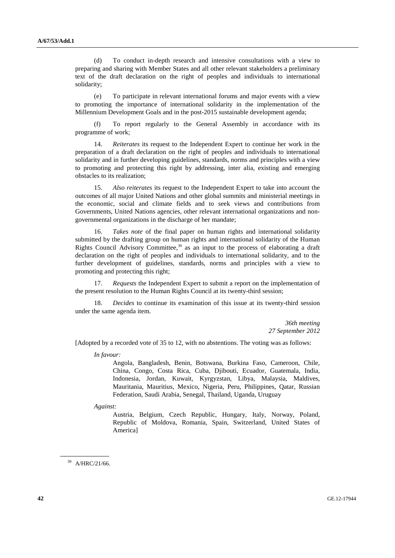(d) To conduct in-depth research and intensive consultations with a view to preparing and sharing with Member States and all other relevant stakeholders a preliminary text of the draft declaration on the right of peoples and individuals to international solidarity;

 (e) To participate in relevant international forums and major events with a view to promoting the importance of international solidarity in the implementation of the Millennium Development Goals and in the post-2015 sustainable development agenda;

 (f) To report regularly to the General Assembly in accordance with its programme of work;

 14. *Reiterates* its request to the Independent Expert to continue her work in the preparation of a draft declaration on the right of peoples and individuals to international solidarity and in further developing guidelines, standards, norms and principles with a view to promoting and protecting this right by addressing, inter alia, existing and emerging obstacles to its realization;

 15. *Also reiterates* its request to the Independent Expert to take into account the outcomes of all major United Nations and other global summits and ministerial meetings in the economic, social and climate fields and to seek views and contributions from Governments, United Nations agencies, other relevant international organizations and nongovernmental organizations in the discharge of her mandate;

 16. *Takes note* of the final paper on human rights and international solidarity submitted by the drafting group on human rights and international solidarity of the Human Rights Council Advisory Committee, $39$  as an input to the process of elaborating a draft declaration on the right of peoples and individuals to international solidarity, and to the further development of guidelines, standards, norms and principles with a view to promoting and protecting this right;

 17. *Requests* the Independent Expert to submit a report on the implementation of the present resolution to the Human Rights Council at its twenty-third session;

 18. *Decides* to continue its examination of this issue at its twenty-third session under the same agenda item.

> *36th meeting 27 September 2012*

[Adopted by a recorded vote of 35 to 12, with no abstentions. The voting was as follows:

#### *In favour:*

Angola, Bangladesh, Benin, Botswana, Burkina Faso, Cameroon, Chile, China, Congo, Costa Rica, Cuba, Djibouti, Ecuador, Guatemala, India, Indonesia, Jordan, Kuwait, Kyrgyzstan, Libya, Malaysia, Maldives, Mauritania, Mauritius, Mexico, Nigeria, Peru, Philippines, Qatar, Russian Federation, Saudi Arabia, Senegal, Thailand, Uganda, Uruguay

#### *Against:*

Austria, Belgium, Czech Republic, Hungary, Italy, Norway, Poland, Republic of Moldova, Romania, Spain, Switzerland, United States of America]

39 A/HRC/21/66.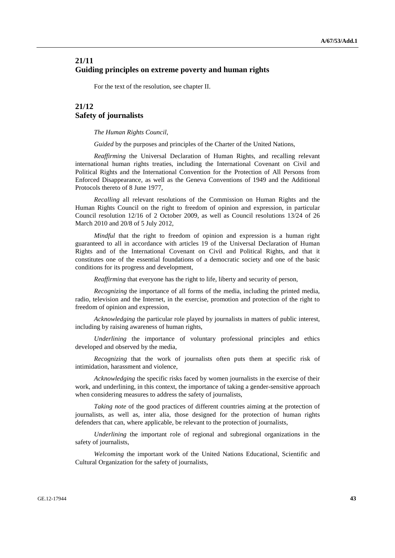# **21/11 Guiding principles on extreme poverty and human rights**

For the text of the resolution, see chapter II.

# **21/12 Safety of journalists**

 *The Human Rights Council*,

 *Guided* by the purposes and principles of the Charter of the United Nations,

 *Reaffirming* the Universal Declaration of Human Rights, and recalling relevant international human rights treaties, including the International Covenant on Civil and Political Rights and the International Convention for the Protection of All Persons from Enforced Disappearance, as well as the Geneva Conventions of 1949 and the Additional Protocols thereto of 8 June 1977,

 *Recalling* all relevant resolutions of the Commission on Human Rights and the Human Rights Council on the right to freedom of opinion and expression, in particular Council resolution 12/16 of 2 October 2009, as well as Council resolutions 13/24 of 26 March 2010 and 20/8 of 5 July 2012,

*Mindful* that the right to freedom of opinion and expression is a human right guaranteed to all in accordance with articles 19 of the Universal Declaration of Human Rights and of the International Covenant on Civil and Political Rights, and that it constitutes one of the essential foundations of a democratic society and one of the basic conditions for its progress and development,

 *Reaffirming* that everyone has the right to life, liberty and security of person,

 *Recognizing* the importance of all forms of the media, including the printed media, radio, television and the Internet, in the exercise, promotion and protection of the right to freedom of opinion and expression,

 *Acknowledging* the particular role played by journalists in matters of public interest, including by raising awareness of human rights,

 *Underlining* the importance of voluntary professional principles and ethics developed and observed by the media,

 *Recognizing* that the work of journalists often puts them at specific risk of intimidation, harassment and violence,

 *Acknowledging* the specific risks faced by women journalists in the exercise of their work, and underlining, in this context, the importance of taking a gender-sensitive approach when considering measures to address the safety of journalists,

 *Taking note* of the good practices of different countries aiming at the protection of journalists, as well as, inter alia, those designed for the protection of human rights defenders that can, where applicable, be relevant to the protection of journalists,

 *Underlining* the important role of regional and subregional organizations in the safety of journalists,

 *Welcoming* the important work of the United Nations Educational, Scientific and Cultural Organization for the safety of journalists,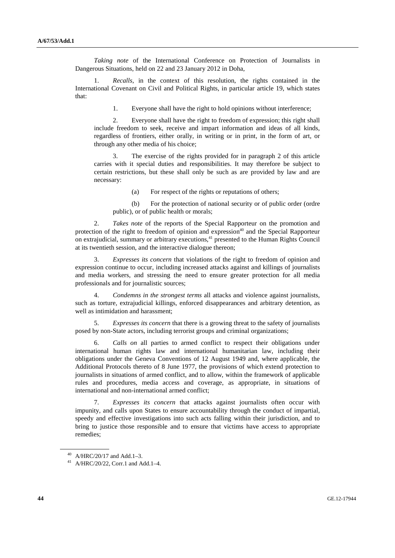*Taking note* of the International Conference on Protection of Journalists in Dangerous Situations, held on 22 and 23 January 2012 in Doha,

 1. *Recalls*, in the context of this resolution, the rights contained in the International Covenant on Civil and Political Rights, in particular article 19, which states that:

1. Everyone shall have the right to hold opinions without interference;

 2. Everyone shall have the right to freedom of expression; this right shall include freedom to seek, receive and impart information and ideas of all kinds, regardless of frontiers, either orally, in writing or in print, in the form of art, or through any other media of his choice;

 3. The exercise of the rights provided for in paragraph 2 of this article carries with it special duties and responsibilities. It may therefore be subject to certain restrictions, but these shall only be such as are provided by law and are necessary:

(a) For respect of the rights or reputations of others;

 (b) For the protection of national security or of public order (ordre public), or of public health or morals;

 2. *Takes note* of the reports of the Special Rapporteur on the promotion and protection of the right to freedom of opinion and expression<sup>40</sup> and the Special Rapporteur on extrajudicial, summary or arbitrary executions,<sup>41</sup> presented to the Human Rights Council at its twentieth session, and the interactive dialogue thereon;

 3. *Expresses its concern* that violations of the right to freedom of opinion and expression continue to occur, including increased attacks against and killings of journalists and media workers, and stressing the need to ensure greater protection for all media professionals and for journalistic sources;

 4. *Condemns in the strongest terms* all attacks and violence against journalists, such as torture, extrajudicial killings, enforced disappearances and arbitrary detention, as well as intimidation and harassment;

 5. *Expresses its concern* that there is a growing threat to the safety of journalists posed by non-State actors, including terrorist groups and criminal organizations;

 6. *Calls on* all parties to armed conflict to respect their obligations under international human rights law and international humanitarian law, including their obligations under the Geneva Conventions of 12 August 1949 and, where applicable, the Additional Protocols thereto of 8 June 1977, the provisions of which extend protection to journalists in situations of armed conflict, and to allow, within the framework of applicable rules and procedures, media access and coverage, as appropriate, in situations of international and non-international armed conflict;

 7. *Expresses its concern* that attacks against journalists often occur with impunity, and calls upon States to ensure accountability through the conduct of impartial, speedy and effective investigations into such acts falling within their jurisdiction, and to bring to justice those responsible and to ensure that victims have access to appropriate remedies;

<sup>&</sup>lt;sup>40</sup> A/HRC/20/17 and Add.1–3.<br><sup>41</sup> A/HRC/20/22, Corr.1 and Add.1–4.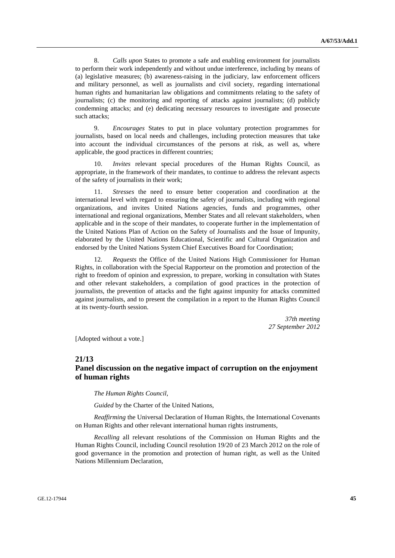8. *Calls upon* States to promote a safe and enabling environment for journalists to perform their work independently and without undue interference, including by means of (a) legislative measures; (b) awareness-raising in the judiciary, law enforcement officers and military personnel, as well as journalists and civil society, regarding international human rights and humanitarian law obligations and commitments relating to the safety of journalists; (c) the monitoring and reporting of attacks against journalists; (d) publicly condemning attacks; and (e) dedicating necessary resources to investigate and prosecute such attacks;

 9. *Encourages* States to put in place voluntary protection programmes for journalists, based on local needs and challenges, including protection measures that take into account the individual circumstances of the persons at risk, as well as, where applicable, the good practices in different countries;

 10. *Invites* relevant special procedures of the Human Rights Council, as appropriate, in the framework of their mandates, to continue to address the relevant aspects of the safety of journalists in their work;

 11. *Stresses* the need to ensure better cooperation and coordination at the international level with regard to ensuring the safety of journalists, including with regional organizations, and invites United Nations agencies, funds and programmes, other international and regional organizations, Member States and all relevant stakeholders, when applicable and in the scope of their mandates, to cooperate further in the implementation of the United Nations Plan of Action on the Safety of Journalists and the Issue of Impunity, elaborated by the United Nations Educational, Scientific and Cultural Organization and endorsed by the United Nations System Chief Executives Board for Coordination;

 12*. Requests* the Office of the United Nations High Commissioner for Human Rights, in collaboration with the Special Rapporteur on the promotion and protection of the right to freedom of opinion and expression, to prepare, working in consultation with States and other relevant stakeholders, a compilation of good practices in the protection of journalists, the prevention of attacks and the fight against impunity for attacks committed against journalists, and to present the compilation in a report to the Human Rights Council at its twenty-fourth session.

> *37th meeting 27 September 2012*

[Adopted without a vote.]

### **21/13**

## **Panel discussion on the negative impact of corruption on the enjoyment of human rights**

 *The Human Rights Council*,

 *Guided* by the Charter of the United Nations,

 *Reaffirming* the Universal Declaration of Human Rights, the International Covenants on Human Rights and other relevant international human rights instruments,

 *Recalling* all relevant resolutions of the Commission on Human Rights and the Human Rights Council, including Council resolution 19/20 of 23 March 2012 on the role of good governance in the promotion and protection of human right, as well as the United Nations Millennium Declaration,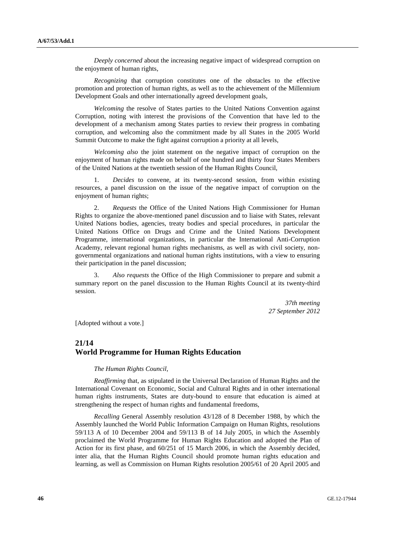*Deeply concerned* about the increasing negative impact of widespread corruption on the enjoyment of human rights,

*Recognizing* that corruption constitutes one of the obstacles to the effective promotion and protection of human rights, as well as to the achievement of the Millennium Development Goals and other internationally agreed development goals,

 *Welcoming* the resolve of States parties to the United Nations Convention against Corruption, noting with interest the provisions of the Convention that have led to the development of a mechanism among States parties to review their progress in combating corruption, and welcoming also the commitment made by all States in the 2005 World Summit Outcome to make the fight against corruption a priority at all levels,

 *Welcoming also* the joint statement on the negative impact of corruption on the enjoyment of human rights made on behalf of one hundred and thirty four States Members of the United Nations at the twentieth session of the Human Rights Council,

 1. *Decides* to convene, at its twenty-second session, from within existing resources, a panel discussion on the issue of the negative impact of corruption on the enjoyment of human rights;

 2. *Requests* the Office of the United Nations High Commissioner for Human Rights to organize the above-mentioned panel discussion and to liaise with States, relevant United Nations bodies, agencies, treaty bodies and special procedures, in particular the United Nations Office on Drugs and Crime and the United Nations Development Programme, international organizations, in particular the International Anti-Corruption Academy, relevant regional human rights mechanisms, as well as with civil society, nongovernmental organizations and national human rights institutions, with a view to ensuring their participation in the panel discussion;

 3. *Also requests* the Office of the High Commissioner to prepare and submit a summary report on the panel discussion to the Human Rights Council at its twenty-third session.

> *37th meeting 27 September 2012*

[Adopted without a vote.]

## **21/14 World Programme for Human Rights Education**

#### *The Human Rights Council*,

 *Reaffirming* that, as stipulated in the Universal Declaration of Human Rights and the International Covenant on Economic, Social and Cultural Rights and in other international human rights instruments, States are duty-bound to ensure that education is aimed at strengthening the respect of human rights and fundamental freedoms,

 *Recalling* General Assembly resolution 43/128 of 8 December 1988, by which the Assembly launched the World Public Information Campaign on Human Rights, resolutions 59/113 A of 10 December 2004 and 59/113 B of 14 July 2005, in which the Assembly proclaimed the World Programme for Human Rights Education and adopted the Plan of Action for its first phase, and 60/251 of 15 March 2006, in which the Assembly decided, inter alia, that the Human Rights Council should promote human rights education and learning, as well as Commission on Human Rights resolution 2005/61 of 20 April 2005 and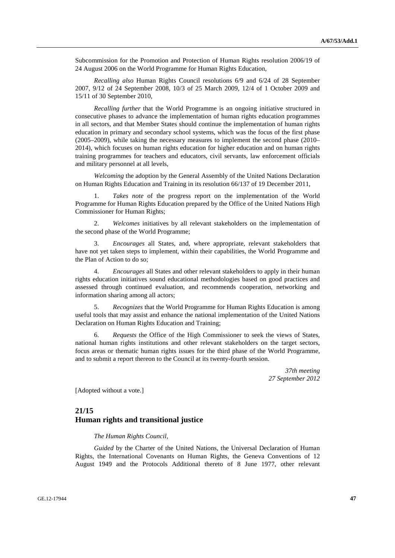Subcommission for the Promotion and Protection of Human Rights resolution 2006/19 of 24 August 2006 on the World Programme for Human Rights Education,

 *Recalling also* Human Rights Council resolutions 6/9 and 6/24 of 28 September 2007, 9/12 of 24 September 2008, 10/3 of 25 March 2009, 12/4 of 1 October 2009 and 15/11 of 30 September 2010,

 *Recalling further* that the World Programme is an ongoing initiative structured in consecutive phases to advance the implementation of human rights education programmes in all sectors, and that Member States should continue the implementation of human rights education in primary and secondary school systems, which was the focus of the first phase (2005–2009), while taking the necessary measures to implement the second phase (2010– 2014), which focuses on human rights education for higher education and on human rights training programmes for teachers and educators, civil servants, law enforcement officials and military personnel at all levels,

 *Welcoming* the adoption by the General Assembly of the United Nations Declaration on Human Rights Education and Training in its resolution 66/137 of 19 December 2011,

 1. *Takes note* of the progress report on the implementation of the World Programme for Human Rights Education prepared by the Office of the United Nations High Commissioner for Human Rights;

 2. *Welcomes* initiatives by all relevant stakeholders on the implementation of the second phase of the World Programme;

 3. *Encourages* all States, and, where appropriate, relevant stakeholders that have not yet taken steps to implement, within their capabilities, the World Programme and the Plan of Action to do so;

 4. *Encourages* all States and other relevant stakeholders to apply in their human rights education initiatives sound educational methodologies based on good practices and assessed through continued evaluation, and recommends cooperation, networking and information sharing among all actors;

 5. *Recognizes* that the World Programme for Human Rights Education is among useful tools that may assist and enhance the national implementation of the United Nations Declaration on Human Rights Education and Training;

 6. *Requests* the Office of the High Commissioner to seek the views of States, national human rights institutions and other relevant stakeholders on the target sectors, focus areas or thematic human rights issues for the third phase of the World Programme, and to submit a report thereon to the Council at its twenty-fourth session.

> *37th meeting 27 September 2012*

[Adopted without a vote.]

# **21/15 Human rights and transitional justice**

#### *The Human Rights Council*,

 *Guided* by the Charter of the United Nations, the Universal Declaration of Human Rights, the International Covenants on Human Rights, the Geneva Conventions of 12 August 1949 and the Protocols Additional thereto of 8 June 1977, other relevant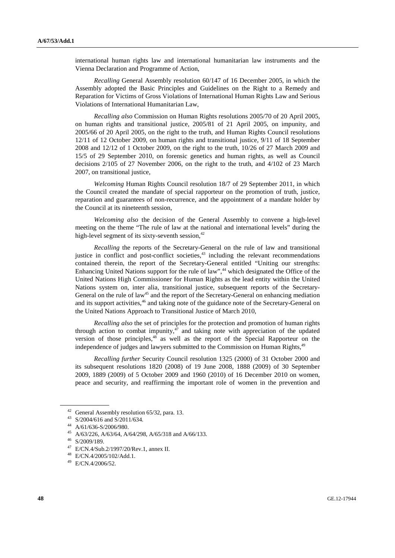international human rights law and international humanitarian law instruments and the Vienna Declaration and Programme of Action,

 *Recalling* General Assembly resolution 60/147 of 16 December 2005, in which the Assembly adopted the Basic Principles and Guidelines on the Right to a Remedy and Reparation for Victims of Gross Violations of International Human Rights Law and Serious Violations of International Humanitarian Law,

 *Recalling also* Commission on Human Rights resolutions 2005/70 of 20 April 2005, on human rights and transitional justice, 2005/81 of 21 April 2005, on impunity, and 2005/66 of 20 April 2005, on the right to the truth, and Human Rights Council resolutions 12/11 of 12 October 2009, on human rights and transitional justice, 9/11 of 18 September 2008 and 12/12 of 1 October 2009, on the right to the truth, 10/26 of 27 March 2009 and 15/5 of 29 September 2010, on forensic genetics and human rights, as well as Council decisions 2/105 of 27 November 2006, on the right to the truth, and 4/102 of 23 March 2007, on transitional justice,

 *Welcoming* Human Rights Council resolution 18/7 of 29 September 2011, in which the Council created the mandate of special rapporteur on the promotion of truth, justice, reparation and guarantees of non-recurrence, and the appointment of a mandate holder by the Council at its nineteenth session,

 *Welcoming also* the decision of the General Assembly to convene a high-level meeting on the theme "The rule of law at the national and international levels" during the high-level segment of its sixty-seventh session, $42$ 

 *Recalling* the reports of the Secretary-General on the rule of law and transitional justice in conflict and post-conflict societies, $43$  including the relevant recommendations contained therein, the report of the Secretary-General entitled "Uniting our strengths: Enhancing United Nations support for the rule of law",<sup>44</sup> which designated the Office of the United Nations High Commissioner for Human Rights as the lead entity within the United Nations system on, inter alia, transitional justice, subsequent reports of the Secretary-General on the rule of law<sup>45</sup> and the report of the Secretary-General on enhancing mediation and its support activities, <sup>46</sup> and taking note of the guidance note of the Secretary-General on the United Nations Approach to Transitional Justice of March 2010,

 *Recalling also* the set of principles for the protection and promotion of human rights through action to combat impunity, $47$  and taking note with appreciation of the updated version of those principles, $48$  as well as the report of the Special Rapporteur on the independence of judges and lawyers submitted to the Commission on Human Rights,<sup>49</sup>

 *Recalling further* Security Council resolution 1325 (2000) of 31 October 2000 and its subsequent resolutions 1820 (2008) of 19 June 2008, 1888 (2009) of 30 September 2009, 1889 (2009) of 5 October 2009 and 1960 (2010) of 16 December 2010 on women, peace and security, and reaffirming the important role of women in the prevention and

<sup>&</sup>lt;sup>42</sup> General Assembly resolution 65/32, para. 13.<br>
<sup>43</sup> S/2004/616 and S/2011/634.<br>
<sup>44</sup> A/61/636-S/2006/980.<br>
<sup>45</sup> A/63/226, A/63/64, A/64/298, A/65/318 and A/66/133.<br>
<sup>46</sup> S/2009/189.<br>
<sup>47</sup> E/CN.4/Sub.2/1997/20/Rev.1, a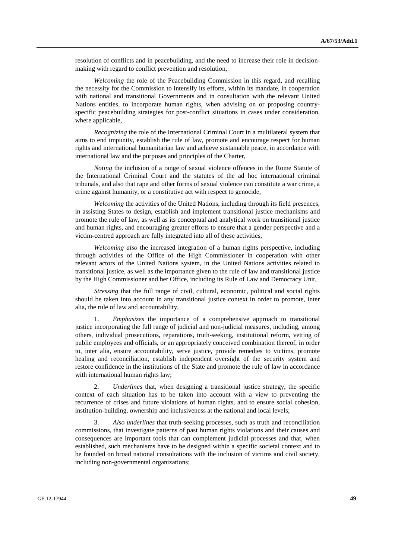resolution of conflicts and in peacebuilding, and the need to increase their role in decisionmaking with regard to conflict prevention and resolution,

 *Welcoming* the role of the Peacebuilding Commission in this regard, and recalling the necessity for the Commission to intensify its efforts, within its mandate, in cooperation with national and transitional Governments and in consultation with the relevant United Nations entities, to incorporate human rights, when advising on or proposing countryspecific peacebuilding strategies for post-conflict situations in cases under consideration, where applicable.

 *Recognizing* the role of the International Criminal Court in a multilateral system that aims to end impunity, establish the rule of law, promote and encourage respect for human rights and international humanitarian law and achieve sustainable peace, in accordance with international law and the purposes and principles of the Charter,

 *Noting* the inclusion of a range of sexual violence offences in the Rome Statute of the International Criminal Court and the statutes of the ad hoc international criminal tribunals, and also that rape and other forms of sexual violence can constitute a war crime, a crime against humanity, or a constitutive act with respect to genocide,

 *Welcoming* the activities of the United Nations, including through its field presences, in assisting States to design, establish and implement transitional justice mechanisms and promote the rule of law, as well as its conceptual and analytical work on transitional justice and human rights, and encouraging greater efforts to ensure that a gender perspective and a victim-centred approach are fully integrated into all of these activities,

 *Welcoming also* the increased integration of a human rights perspective, including through activities of the Office of the High Commissioner in cooperation with other relevant actors of the United Nations system, in the United Nations activities related to transitional justice, as well as the importance given to the rule of law and transitional justice by the High Commissioner and her Office, including its Rule of Law and Democracy Unit,

*Stressing* that the full range of civil, cultural, economic, political and social rights should be taken into account in any transitional justice context in order to promote, inter alia, the rule of law and accountability,

 1. *Emphasizes* the importance of a comprehensive approach to transitional justice incorporating the full range of judicial and non-judicial measures, including, among others, individual prosecutions, reparations, truth-seeking, institutional reform, vetting of public employees and officials, or an appropriately conceived combination thereof, in order to, inter alia, ensure accountability, serve justice, provide remedies to victims, promote healing and reconciliation, establish independent oversight of the security system and restore confidence in the institutions of the State and promote the rule of law in accordance with international human rights law;

 2. *Underlines* that, when designing a transitional justice strategy, the specific context of each situation has to be taken into account with a view to preventing the recurrence of crises and future violations of human rights, and to ensure social cohesion, institution-building, ownership and inclusiveness at the national and local levels;

 3. *Also underlines* that truth-seeking processes, such as truth and reconciliation commissions, that investigate patterns of past human rights violations and their causes and consequences are important tools that can complement judicial processes and that, when established, such mechanisms have to be designed within a specific societal context and to be founded on broad national consultations with the inclusion of victims and civil society, including non-governmental organizations;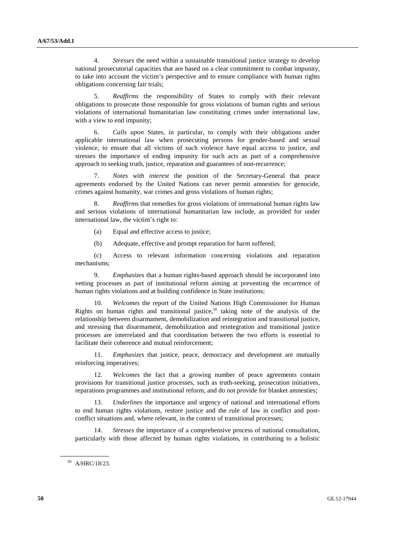4. *Stresses* the need within a sustainable transitional justice strategy to develop national prosecutorial capacities that are based on a clear commitment to combat impunity, to take into account the victim's perspective and to ensure compliance with human rights obligations concerning fair trials;

 5. *Reaffirms* the responsibility of States to comply with their relevant obligations to prosecute those responsible for gross violations of human rights and serious violations of international humanitarian law constituting crimes under international law, with a view to end impunity;

 6. *Calls upon* States, in particular, to comply with their obligations under applicable international law when prosecuting persons for gender-based and sexual violence, to ensure that all victims of such violence have equal access to justice, and stresses the importance of ending impunity for such acts as part of a comprehensive approach to seeking truth, justice, reparation and guarantees of non-recurrence;

 7. *Notes with interest* the position of the Secretary-General that peace agreements endorsed by the United Nations can never permit amnesties for genocide, crimes against humanity, war crimes and gross violations of human rights;

 8. *Reaffirms* that remedies for gross violations of international human rights law and serious violations of international humanitarian law include, as provided for under international law, the victim's right to:

- (a) Equal and effective access to justice;
- (b) Adequate, effective and prompt reparation for harm suffered;

 (c) Access to relevant information concerning violations and reparation mechanisms;

 9. *Emphasizes* that a human rights-based approach should be incorporated into vetting processes as part of institutional reform aiming at preventing the recurrence of human rights violations and at building confidence in State institutions;

 10*. Welcomes* the report of the United Nations High Commissioner for Human Rights on human rights and transitional justice.<sup>50</sup> taking note of the analysis of the relationship between disarmament, demobilization and reintegration and transitional justice, and stressing that disarmament, demobilization and reintegration and transitional justice processes are interrelated and that coordination between the two efforts is essential to facilitate their coherence and mutual reinforcement;

 11. *Emphasizes* that justice, peace, democracy and development are mutually reinforcing imperatives;

 12. *Welcomes* the fact that a growing number of peace agreements contain provisions for transitional justice processes, such as truth-seeking, prosecution initiatives, reparations programmes and institutional reform, and do not provide for blanket amnesties;

 13. *Underlines* the importance and urgency of national and international efforts to end human rights violations, restore justice and the rule of law in conflict and postconflict situations and, where relevant, in the context of transitional processes;

Stresses the importance of a comprehensive process of national consultation, particularly with those affected by human rights violations, in contributing to a holistic

 <sup>50</sup> A/HRC/18/23.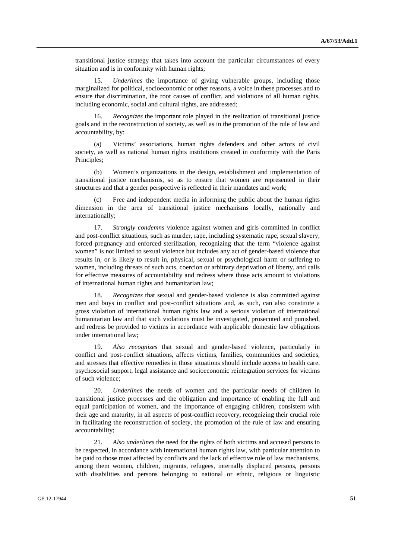transitional justice strategy that takes into account the particular circumstances of every situation and is in conformity with human rights;

 15. *Underlines* the importance of giving vulnerable groups, including those marginalized for political, socioeconomic or other reasons, a voice in these processes and to ensure that discrimination, the root causes of conflict, and violations of all human rights, including economic, social and cultural rights, are addressed;

 16. *Recognizes* the important role played in the realization of transitional justice goals and in the reconstruction of society, as well as in the promotion of the rule of law and accountability, by:

 (a) Victims' associations, human rights defenders and other actors of civil society, as well as national human rights institutions created in conformity with the Paris Principles;

 (b) Women's organizations in the design, establishment and implementation of transitional justice mechanisms, so as to ensure that women are represented in their structures and that a gender perspective is reflected in their mandates and work;

 (c) Free and independent media in informing the public about the human rights dimension in the area of transitional justice mechanisms locally, nationally and internationally;

 17. *Strongly condemns* violence against women and girls committed in conflict and post-conflict situations, such as murder, rape, including systematic rape, sexual slavery, forced pregnancy and enforced sterilization, recognizing that the term "violence against women" is not limited to sexual violence but includes any act of gender-based violence that results in, or is likely to result in, physical, sexual or psychological harm or suffering to women, including threats of such acts, coercion or arbitrary deprivation of liberty, and calls for effective measures of accountability and redress where those acts amount to violations of international human rights and humanitarian law;

 18. *Recognizes* that sexual and gender-based violence is also committed against men and boys in conflict and post-conflict situations and, as such, can also constitute a gross violation of international human rights law and a serious violation of international humanitarian law and that such violations must be investigated, prosecuted and punished, and redress be provided to victims in accordance with applicable domestic law obligations under international law;

 19. *Also recognizes* that sexual and gender-based violence, particularly in conflict and post-conflict situations, affects victims, families, communities and societies, and stresses that effective remedies in those situations should include access to health care, psychosocial support, legal assistance and socioeconomic reintegration services for victims of such violence;

 20. *Underlines* the needs of women and the particular needs of children in transitional justice processes and the obligation and importance of enabling the full and equal participation of women, and the importance of engaging children, consistent with their age and maturity, in all aspects of post-conflict recovery, recognizing their crucial role in facilitating the reconstruction of society, the promotion of the rule of law and ensuring accountability;

 21. *Also underlines* the need for the rights of both victims and accused persons to be respected, in accordance with international human rights law, with particular attention to be paid to those most affected by conflicts and the lack of effective rule of law mechanisms, among them women, children, migrants, refugees, internally displaced persons, persons with disabilities and persons belonging to national or ethnic, religious or linguistic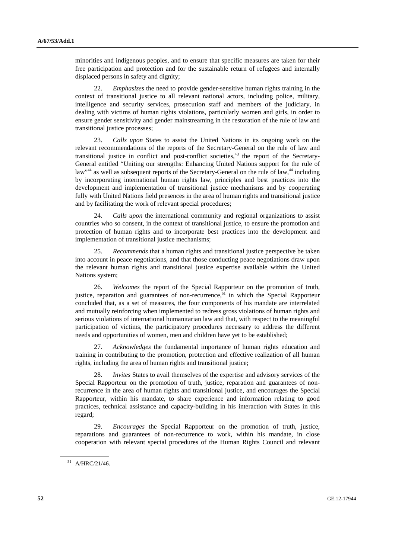minorities and indigenous peoples, and to ensure that specific measures are taken for their free participation and protection and for the sustainable return of refugees and internally displaced persons in safety and dignity;

 22. *Emphasizes* the need to provide gender-sensitive human rights training in the context of transitional justice to all relevant national actors, including police, military, intelligence and security services, prosecution staff and members of the judiciary, in dealing with victims of human rights violations, particularly women and girls, in order to ensure gender sensitivity and gender mainstreaming in the restoration of the rule of law and transitional justice processes;

 23. *Calls upon* States to assist the United Nations in its ongoing work on the relevant recommendations of the reports of the Secretary-General on the rule of law and transitional justice in conflict and post-conflict societies, $43$  the report of the Secretary-General entitled "Uniting our strengths: Enhancing United Nations support for the rule of law"<sup>44</sup> as well as subsequent reports of the Secretary-General on the rule of law,<sup>44</sup> including by incorporating international human rights law, principles and best practices into the development and implementation of transitional justice mechanisms and by cooperating fully with United Nations field presences in the area of human rights and transitional justice and by facilitating the work of relevant special procedures;

 24. *Calls upon* the international community and regional organizations to assist countries who so consent, in the context of transitional justice, to ensure the promotion and protection of human rights and to incorporate best practices into the development and implementation of transitional justice mechanisms;

 25. *Recommends* that a human rights and transitional justice perspective be taken into account in peace negotiations, and that those conducting peace negotiations draw upon the relevant human rights and transitional justice expertise available within the United Nations system;

 26. *Welcomes* the report of the Special Rapporteur on the promotion of truth, justice, reparation and guarantees of non-recurrence,  $51$  in which the Special Rapporteur concluded that, as a set of measures, the four components of his mandate are interrelated and mutually reinforcing when implemented to redress gross violations of human rights and serious violations of international humanitarian law and that, with respect to the meaningful participation of victims, the participatory procedures necessary to address the different needs and opportunities of women, men and children have yet to be established;

 27. *Acknowledges* the fundamental importance of human rights education and training in contributing to the promotion, protection and effective realization of all human rights, including the area of human rights and transitional justice;

 28. *Invites* States to avail themselves of the expertise and advisory services of the Special Rapporteur on the promotion of truth, justice, reparation and guarantees of nonrecurrence in the area of human rights and transitional justice, and encourages the Special Rapporteur, within his mandate, to share experience and information relating to good practices, technical assistance and capacity-building in his interaction with States in this regard;

 29. *Encourages* the Special Rapporteur on the promotion of truth, justice, reparations and guarantees of non-recurrence to work, within his mandate, in close cooperation with relevant special procedures of the Human Rights Council and relevant

 <sup>51</sup> A/HRC/21/46.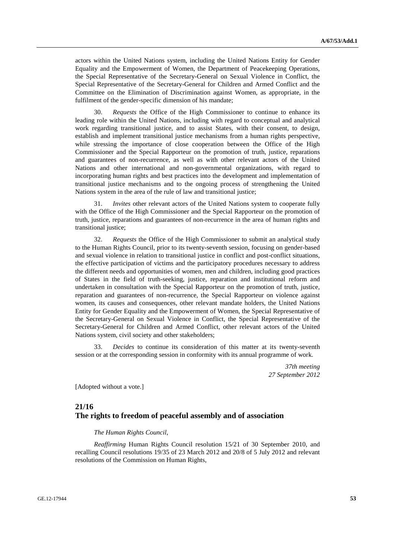actors within the United Nations system, including the United Nations Entity for Gender Equality and the Empowerment of Women, the Department of Peacekeeping Operations, the Special Representative of the Secretary-General on Sexual Violence in Conflict, the Special Representative of the Secretary-General for Children and Armed Conflict and the Committee on the Elimination of Discrimination against Women, as appropriate, in the fulfilment of the gender-specific dimension of his mandate;

 30. *Requests* the Office of the High Commissioner to continue to enhance its leading role within the United Nations, including with regard to conceptual and analytical work regarding transitional justice, and to assist States, with their consent, to design, establish and implement transitional justice mechanisms from a human rights perspective, while stressing the importance of close cooperation between the Office of the High Commissioner and the Special Rapporteur on the promotion of truth, justice, reparations and guarantees of non-recurrence, as well as with other relevant actors of the United Nations and other international and non-governmental organizations, with regard to incorporating human rights and best practices into the development and implementation of transitional justice mechanisms and to the ongoing process of strengthening the United Nations system in the area of the rule of law and transitional justice;

 31. *Invites* other relevant actors of the United Nations system to cooperate fully with the Office of the High Commissioner and the Special Rapporteur on the promotion of truth, justice, reparations and guarantees of non-recurrence in the area of human rights and transitional justice;

 32. *Requests* the Office of the High Commissioner to submit an analytical study to the Human Rights Council, prior to its twenty-seventh session, focusing on gender-based and sexual violence in relation to transitional justice in conflict and post-conflict situations, the effective participation of victims and the participatory procedures necessary to address the different needs and opportunities of women, men and children, including good practices of States in the field of truth-seeking, justice, reparation and institutional reform and undertaken in consultation with the Special Rapporteur on the promotion of truth, justice, reparation and guarantees of non-recurrence, the Special Rapporteur on violence against women, its causes and consequences, other relevant mandate holders, the United Nations Entity for Gender Equality and the Empowerment of Women, the Special Representative of the Secretary-General on Sexual Violence in Conflict, the Special Representative of the Secretary-General for Children and Armed Conflict, other relevant actors of the United Nations system, civil society and other stakeholders;

 33. *Decides* to continue its consideration of this matter at its twenty-seventh session or at the corresponding session in conformity with its annual programme of work.

> *37th meeting 27 September 2012*

[Adopted without a vote.]

# **21/16 The rights to freedom of peaceful assembly and of association**

#### *The Human Rights Council*,

 *Reaffirming* Human Rights Council resolution 15/21 of 30 September 2010, and recalling Council resolutions 19/35 of 23 March 2012 and 20/8 of 5 July 2012 and relevant resolutions of the Commission on Human Rights,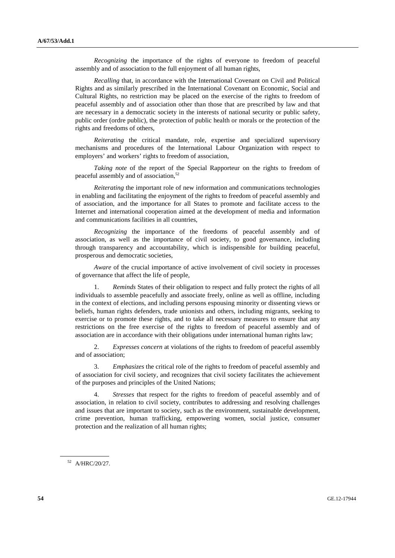*Recognizing* the importance of the rights of everyone to freedom of peaceful assembly and of association to the full enjoyment of all human rights,

 *Recalling* that, in accordance with the International Covenant on Civil and Political Rights and as similarly prescribed in the International Covenant on Economic, Social and Cultural Rights, no restriction may be placed on the exercise of the rights to freedom of peaceful assembly and of association other than those that are prescribed by law and that are necessary in a democratic society in the interests of national security or public safety, public order (ordre public), the protection of public health or morals or the protection of the rights and freedoms of others,

 *Reiterating* the critical mandate, role, expertise and specialized supervisory mechanisms and procedures of the International Labour Organization with respect to employers' and workers' rights to freedom of association,

 *Taking note* of the report of the Special Rapporteur on the rights to freedom of peaceful assembly and of association,<sup>52</sup>

 *Reiterating* the important role of new information and communications technologies in enabling and facilitating the enjoyment of the rights to freedom of peaceful assembly and of association, and the importance for all States to promote and facilitate access to the Internet and international cooperation aimed at the development of media and information and communications facilities in all countries,

 *Recognizing* the importance of the freedoms of peaceful assembly and of association, as well as the importance of civil society, to good governance, including through transparency and accountability, which is indispensible for building peaceful, prosperous and democratic societies,

 *Aware* of the crucial importance of active involvement of civil society in processes of governance that affect the life of people,

 1. *Reminds* States of their obligation to respect and fully protect the rights of all individuals to assemble peacefully and associate freely, online as well as offline, including in the context of elections, and including persons espousing minority or dissenting views or beliefs, human rights defenders, trade unionists and others, including migrants, seeking to exercise or to promote these rights, and to take all necessary measures to ensure that any restrictions on the free exercise of the rights to freedom of peaceful assembly and of association are in accordance with their obligations under international human rights law;

 2. *Expresses concern* at violations of the rights to freedom of peaceful assembly and of association;

 3. *Emphasizes* the critical role of the rights to freedom of peaceful assembly and of association for civil society, and recognizes that civil society facilitates the achievement of the purposes and principles of the United Nations;

 4. *Stresses* that respect for the rights to freedom of peaceful assembly and of association, in relation to civil society, contributes to addressing and resolving challenges and issues that are important to society, such as the environment, sustainable development, crime prevention, human trafficking, empowering women, social justice, consumer protection and the realization of all human rights;

 <sup>52</sup> A/HRC/20/27.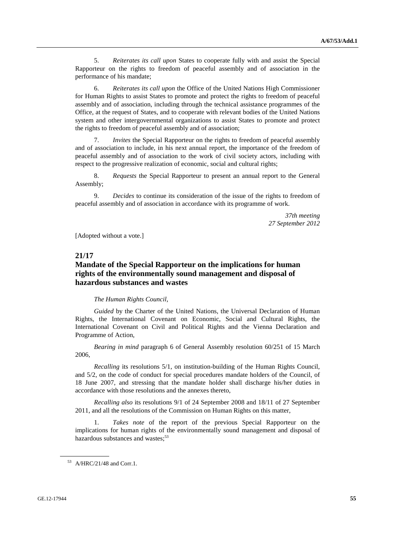5. *Reiterates its call upon* States to cooperate fully with and assist the Special Rapporteur on the rights to freedom of peaceful assembly and of association in the performance of his mandate;

 6. *Reiterates its call upon* the Office of the United Nations High Commissioner for Human Rights to assist States to promote and protect the rights to freedom of peaceful assembly and of association, including through the technical assistance programmes of the Office, at the request of States, and to cooperate with relevant bodies of the United Nations system and other intergovernmental organizations to assist States to promote and protect the rights to freedom of peaceful assembly and of association;

 7. *Invites* the Special Rapporteur on the rights to freedom of peaceful assembly and of association to include, in his next annual report, the importance of the freedom of peaceful assembly and of association to the work of civil society actors, including with respect to the progressive realization of economic, social and cultural rights;

 8. *Requests* the Special Rapporteur to present an annual report to the General Assembly;

 9. *Decides* to continue its consideration of the issue of the rights to freedom of peaceful assembly and of association in accordance with its programme of work.

> *37th meeting 27 September 2012*

[Adopted without a vote.]

### **21/17**

# **Mandate of the Special Rapporteur on the implications for human rights of the environmentally sound management and disposal of hazardous substances and wastes**

#### *The Human Rights Council*,

 *Guided* by the Charter of the United Nations, the Universal Declaration of Human Rights, the International Covenant on Economic, Social and Cultural Rights, the International Covenant on Civil and Political Rights and the Vienna Declaration and Programme of Action,

 *Bearing in mind* paragraph 6 of General Assembly resolution 60/251 of 15 March 2006,

 *Recalling* its resolutions 5/1, on institution-building of the Human Rights Council, and 5/2, on the code of conduct for special procedures mandate holders of the Council, of 18 June 2007, and stressing that the mandate holder shall discharge his/her duties in accordance with those resolutions and the annexes thereto,

 *Recalling also* its resolutions 9/1 of 24 September 2008 and 18/11 of 27 September 2011, and all the resolutions of the Commission on Human Rights on this matter,

 1. *Takes note* of the report of the previous Special Rapporteur on the implications for human rights of the environmentally sound management and disposal of hazardous substances and wastes;<sup>53</sup>

 <sup>53</sup> A/HRC/21/48 and Corr.1.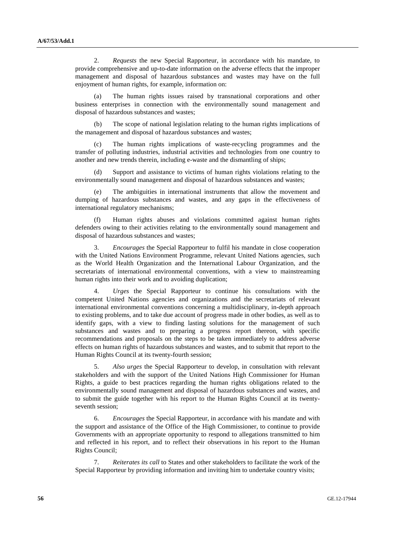2. *Requests* the new Special Rapporteur, in accordance with his mandate, to provide comprehensive and up-to-date information on the adverse effects that the improper management and disposal of hazardous substances and wastes may have on the full enjoyment of human rights, for example, information on:

 (a) The human rights issues raised by transnational corporations and other business enterprises in connection with the environmentally sound management and disposal of hazardous substances and wastes;

 (b) The scope of national legislation relating to the human rights implications of the management and disposal of hazardous substances and wastes;

 (c) The human rights implications of waste-recycling programmes and the transfer of polluting industries, industrial activities and technologies from one country to another and new trends therein, including e-waste and the dismantling of ships;

 (d) Support and assistance to victims of human rights violations relating to the environmentally sound management and disposal of hazardous substances and wastes;

 (e) The ambiguities in international instruments that allow the movement and dumping of hazardous substances and wastes, and any gaps in the effectiveness of international regulatory mechanisms;

Human rights abuses and violations committed against human rights defenders owing to their activities relating to the environmentally sound management and disposal of hazardous substances and wastes;

 3. *Encourages* the Special Rapporteur to fulfil his mandate in close cooperation with the United Nations Environment Programme, relevant United Nations agencies, such as the World Health Organization and the International Labour Organization, and the secretariats of international environmental conventions, with a view to mainstreaming human rights into their work and to avoiding duplication;

 4. *Urges* the Special Rapporteur to continue his consultations with the competent United Nations agencies and organizations and the secretariats of relevant international environmental conventions concerning a multidisciplinary, in-depth approach to existing problems, and to take due account of progress made in other bodies, as well as to identify gaps, with a view to finding lasting solutions for the management of such substances and wastes and to preparing a progress report thereon, with specific recommendations and proposals on the steps to be taken immediately to address adverse effects on human rights of hazardous substances and wastes, and to submit that report to the Human Rights Council at its twenty-fourth session;

 5. *Also urges* the Special Rapporteur to develop, in consultation with relevant stakeholders and with the support of the United Nations High Commissioner for Human Rights, a guide to best practices regarding the human rights obligations related to the environmentally sound management and disposal of hazardous substances and wastes, and to submit the guide together with his report to the Human Rights Council at its twentyseventh session;

 6. *Encourages* the Special Rapporteur, in accordance with his mandate and with the support and assistance of the Office of the High Commissioner, to continue to provide Governments with an appropriate opportunity to respond to allegations transmitted to him and reflected in his report, and to reflect their observations in his report to the Human Rights Council;

 7. *Reiterates its call* to States and other stakeholders to facilitate the work of the Special Rapporteur by providing information and inviting him to undertake country visits;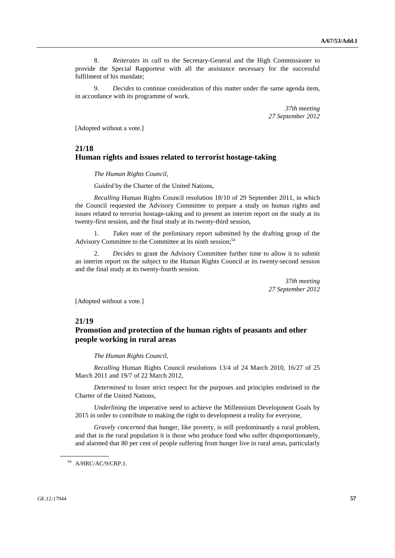8. *Reiterates its call* to the Secretary-General and the High Commissioner to provide the Special Rapporteur with all the assistance necessary for the successful fulfilment of his mandate;

 9. *Decides* to continue consideration of this matter under the same agenda item, in accordance with its programme of work.

> *37th meeting 27 September 2012*

[Adopted without a vote.]

# **21/18 Human rights and issues related to terrorist hostage-taking**

*The Human Rights Council*,

*Guided* by the Charter of the United Nations,

*Recalling* Human Rights Council resolution 18/10 of 29 September 2011, in which the Council requested the Advisory Committee to prepare a study on human rights and issues related to terrorist hostage-taking and to present an interim report on the study at its twenty-first session, and the final study at its twenty-third session,

 1. *Takes note* of the preliminary report submitted by the drafting group of the Advisory Committee to the Committee at its ninth session;<sup>54</sup>

 2. *Decides* to grant the Advisory Committee further time to allow it to submit an interim report on the subject to the Human Rights Council at its twenty-second session and the final study at its twenty-fourth session.

> *37th meeting 27 September 2012*

[Adopted without a vote.]

### **21/19**

# **Promotion and protection of the human rights of peasants and other people working in rural areas**

 *The Human Rights Council*,

 *Recalling* Human Rights Council resolutions 13/4 of 24 March 2010, 16/27 of 25 March 2011 and 19/7 of 22 March 2012,

 *Determined* to foster strict respect for the purposes and principles enshrined in the Charter of the United Nations,

*Underlining the imperative need to achieve the Millennium Development Goals by* 2015 in order to contribute to making the right to development a reality for everyone,

*Gravely concerned* that hunger, like poverty, is still predominantly a rural problem, and that in the rural population it is those who produce food who suffer disproportionately, and alarmed that 80 per cent of people suffering from hunger live in rural areas, particularly

 <sup>54</sup> A/HRC/AC/9/CRP.1.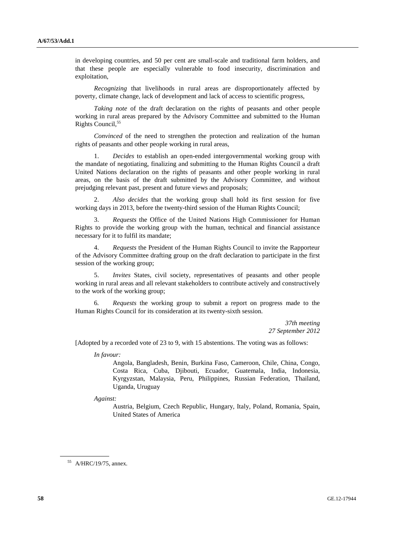in developing countries, and 50 per cent are small-scale and traditional farm holders, and that these people are especially vulnerable to food insecurity, discrimination and exploitation,

 *Recognizing* that livelihoods in rural areas are disproportionately affected by poverty, climate change, lack of development and lack of access to scientific progress,

 *Taking note* of the draft declaration on the rights of peasants and other people working in rural areas prepared by the Advisory Committee and submitted to the Human Rights Council.<sup>55</sup>

*Convinced* of the need to strengthen the protection and realization of the human rights of peasants and other people working in rural areas,

 1. *Decides* to establish an open-ended intergovernmental working group with the mandate of negotiating, finalizing and submitting to the Human Rights Council a draft United Nations declaration on the rights of peasants and other people working in rural areas, on the basis of the draft submitted by the Advisory Committee, and without prejudging relevant past, present and future views and proposals;

 2. *Also decides* that the working group shall hold its first session for five working days in 2013, before the twenty-third session of the Human Rights Council;

 3. *Requests* the Office of the United Nations High Commissioner for Human Rights to provide the working group with the human, technical and financial assistance necessary for it to fulfil its mandate;

 4. *Requests* the President of the Human Rights Council to invite the Rapporteur of the Advisory Committee drafting group on the draft declaration to participate in the first session of the working group;

 5. *Invites* States, civil society, representatives of peasants and other people working in rural areas and all relevant stakeholders to contribute actively and constructively to the work of the working group;

 6*. Requests* the working group to submit a report on progress made to the Human Rights Council for its consideration at its twenty-sixth session.

> *37th meeting 27 September 2012*

[Adopted by a recorded vote of 23 to 9, with 15 abstentions. The voting was as follows:

*In favour:* 

Angola, Bangladesh, Benin, Burkina Faso, Cameroon, Chile, China, Congo, Costa Rica, Cuba, Djibouti, Ecuador, Guatemala, India, Indonesia, Kyrgyzstan, Malaysia, Peru, Philippines, Russian Federation, Thailand, Uganda, Uruguay

*Against:* 

Austria, Belgium, Czech Republic, Hungary, Italy, Poland, Romania, Spain, United States of America

 <sup>55</sup> A/HRC/19/75, annex.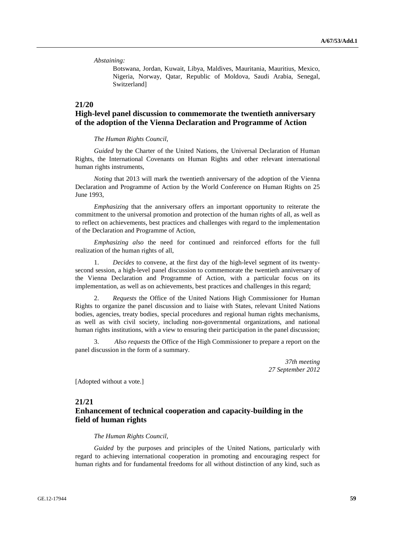*Abstaining:* 

Botswana, Jordan, Kuwait, Libya, Maldives, Mauritania, Mauritius, Mexico, Nigeria, Norway, Qatar, Republic of Moldova, Saudi Arabia, Senegal, Switzerland]

## **21/20**

## **High-level panel discussion to commemorate the twentieth anniversary of the adoption of the Vienna Declaration and Programme of Action**

 *The Human Rights Council*,

 *Guided* by the Charter of the United Nations, the Universal Declaration of Human Rights, the International Covenants on Human Rights and other relevant international human rights instruments,

 *Noting* that 2013 will mark the twentieth anniversary of the adoption of the Vienna Declaration and Programme of Action by the World Conference on Human Rights on 25 June 1993,

 *Emphasizing* that the anniversary offers an important opportunity to reiterate the commitment to the universal promotion and protection of the human rights of all, as well as to reflect on achievements, best practices and challenges with regard to the implementation of the Declaration and Programme of Action,

 *Emphasizing also* the need for continued and reinforced efforts for the full realization of the human rights of all,

 1. *Decides* to convene, at the first day of the high-level segment of its twentysecond session, a high-level panel discussion to commemorate the twentieth anniversary of the Vienna Declaration and Programme of Action, with a particular focus on its implementation, as well as on achievements, best practices and challenges in this regard;

 2. *Requests* the Office of the United Nations High Commissioner for Human Rights to organize the panel discussion and to liaise with States, relevant United Nations bodies, agencies, treaty bodies, special procedures and regional human rights mechanisms, as well as with civil society, including non-governmental organizations, and national human rights institutions, with a view to ensuring their participation in the panel discussion;

 3. *Also requests* the Office of the High Commissioner to prepare a report on the panel discussion in the form of a summary.

> *37th meeting 27 September 2012*

[Adopted without a vote.]

### **21/21**

## **Enhancement of technical cooperation and capacity-building in the field of human rights**

#### *The Human Rights Council*,

 *Guided* by the purposes and principles of the United Nations, particularly with regard to achieving international cooperation in promoting and encouraging respect for human rights and for fundamental freedoms for all without distinction of any kind, such as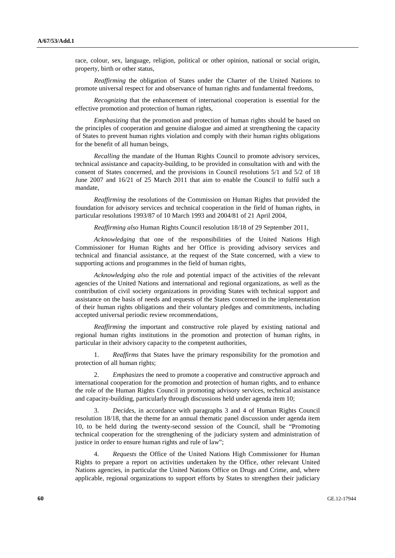race, colour, sex, language, religion, political or other opinion, national or social origin, property, birth or other status,

 *Reaffirming* the obligation of States under the Charter of the United Nations to promote universal respect for and observance of human rights and fundamental freedoms,

 *Recognizing* that the enhancement of international cooperation is essential for the effective promotion and protection of human rights,

*Emphasizing* that the promotion and protection of human rights should be based on the principles of cooperation and genuine dialogue and aimed at strengthening the capacity of States to prevent human rights violation and comply with their human rights obligations for the benefit of all human beings,

*Recalling* the mandate of the Human Rights Council to promote advisory services, technical assistance and capacity-building, to be provided in consultation with and with the consent of States concerned, and the provisions in Council resolutions 5/1 and 5/2 of 18 June 2007 and 16/21 of 25 March 2011 that aim to enable the Council to fulfil such a mandate,

 *Reaffirming* the resolutions of the Commission on Human Rights that provided the foundation for advisory services and technical cooperation in the field of human rights, in particular resolutions 1993/87 of 10 March 1993 and 2004/81 of 21 April 2004,

 *Reaffirming also* Human Rights Council resolution 18/18 of 29 September 2011,

 *Acknowledging* that one of the responsibilities of the United Nations High Commissioner for Human Rights and her Office is providing advisory services and technical and financial assistance, at the request of the State concerned, with a view to supporting actions and programmes in the field of human rights,

 *Acknowledging also* the role and potential impact of the activities of the relevant agencies of the United Nations and international and regional organizations, as well as the contribution of civil society organizations in providing States with technical support and assistance on the basis of needs and requests of the States concerned in the implementation of their human rights obligations and their voluntary pledges and commitments, including accepted universal periodic review recommendations,

 *Reaffirming* the important and constructive role played by existing national and regional human rights institutions in the promotion and protection of human rights, in particular in their advisory capacity to the competent authorities,

 1. *Reaffirms* that States have the primary responsibility for the promotion and protection of all human rights;

 2. *Emphasizes* the need to promote a cooperative and constructive approach and international cooperation for the promotion and protection of human rights, and to enhance the role of the Human Rights Council in promoting advisory services, technical assistance and capacity-building, particularly through discussions held under agenda item 10;

 3. *Decides*, in accordance with paragraphs 3 and 4 of Human Rights Council resolution 18/18, that the theme for an annual thematic panel discussion under agenda item 10, to be held during the twenty-second session of the Council, shall be "Promoting technical cooperation for the strengthening of the judiciary system and administration of justice in order to ensure human rights and rule of law";

 4. *Requests* the Office of the United Nations High Commissioner for Human Rights to prepare a report on activities undertaken by the Office, other relevant United Nations agencies, in particular the United Nations Office on Drugs and Crime, and, where applicable, regional organizations to support efforts by States to strengthen their judiciary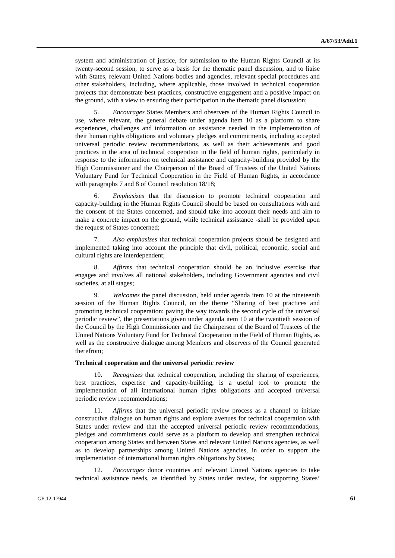system and administration of justice, for submission to the Human Rights Council at its twenty-second session, to serve as a basis for the thematic panel discussion, and to liaise with States, relevant United Nations bodies and agencies, relevant special procedures and other stakeholders, including, where applicable, those involved in technical cooperation projects that demonstrate best practices, constructive engagement and a positive impact on the ground, with a view to ensuring their participation in the thematic panel discussion;

 5. *Encourages* States Members and observers of the Human Rights Council to use, where relevant, the general debate under agenda item 10 as a platform to share experiences, challenges and information on assistance needed in the implementation of their human rights obligations and voluntary pledges and commitments, including accepted universal periodic review recommendations, as well as their achievements and good practices in the area of technical cooperation in the field of human rights, particularly in response to the information on technical assistance and capacity-building provided by the High Commissioner and the Chairperson of the Board of Trustees of the United Nations Voluntary Fund for Technical Cooperation in the Field of Human Rights, in accordance with paragraphs 7 and 8 of Council resolution 18/18;

 6. *Emphasizes* that the discussion to promote technical cooperation and capacity-building in the Human Rights Council should be based on consultations with and the consent of the States concerned, and should take into account their needs and aim to make a concrete impact on the ground, while technical assistance -shall be provided upon the request of States concerned;

 7. *Also emphasizes* that technical cooperation projects should be designed and implemented taking into account the principle that civil, political, economic, social and cultural rights are interdependent;

 8. *Affirms* that technical cooperation should be an inclusive exercise that engages and involves all national stakeholders, including Government agencies and civil societies, at all stages;

 9. *Welcomes* the panel discussion, held under agenda item 10 at the nineteenth session of the Human Rights Council, on the theme "Sharing of best practices and promoting technical cooperation: paving the way towards the second cycle of the universal periodic review", the presentations given under agenda item 10 at the twentieth session of the Council by the High Commissioner and the Chairperson of the Board of Trustees of the United Nations Voluntary Fund for Technical Cooperation in the Field of Human Rights, as well as the constructive dialogue among Members and observers of the Council generated therefrom;

#### **Technical cooperation and the universal periodic review**

 10. *Recognizes* that technical cooperation, including the sharing of experiences, best practices, expertise and capacity-building, is a useful tool to promote the implementation of all international human rights obligations and accepted universal periodic review recommendations;

 11. *Affirms* that the universal periodic review process as a channel to initiate constructive dialogue on human rights and explore avenues for technical cooperation with States under review and that the accepted universal periodic review recommendations, pledges and commitments could serve as a platform to develop and strengthen technical cooperation among States and between States and relevant United Nations agencies, as well as to develop partnerships among United Nations agencies, in order to support the implementation of international human rights obligations by States;

 12. *Encourages* donor countries and relevant United Nations agencies to take technical assistance needs, as identified by States under review, for supporting States'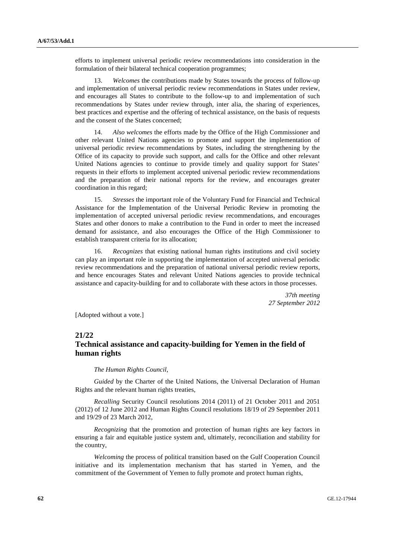efforts to implement universal periodic review recommendations into consideration in the formulation of their bilateral technical cooperation programmes;

 13. *Welcomes* the contributions made by States towards the process of follow-up and implementation of universal periodic review recommendations in States under review, and encourages all States to contribute to the follow-up to and implementation of such recommendations by States under review through, inter alia, the sharing of experiences, best practices and expertise and the offering of technical assistance, on the basis of requests and the consent of the States concerned;

 14. *Also welcomes* the efforts made by the Office of the High Commissioner and other relevant United Nations agencies to promote and support the implementation of universal periodic review recommendations by States, including the strengthening by the Office of its capacity to provide such support, and calls for the Office and other relevant United Nations agencies to continue to provide timely and quality support for States' requests in their efforts to implement accepted universal periodic review recommendations and the preparation of their national reports for the review, and encourages greater coordination in this regard;

 15. *Stresses* the important role of the Voluntary Fund for Financial and Technical Assistance for the Implementation of the Universal Periodic Review in promoting the implementation of accepted universal periodic review recommendations, and encourages States and other donors to make a contribution to the Fund in order to meet the increased demand for assistance, and also encourages the Office of the High Commissioner to establish transparent criteria for its allocation;

*Recognizes* that existing national human rights institutions and civil society can play an important role in supporting the implementation of accepted universal periodic review recommendations and the preparation of national universal periodic review reports, and hence encourages States and relevant United Nations agencies to provide technical assistance and capacity-building for and to collaborate with these actors in those processes.

> *37th meeting 27 September 2012*

[Adopted without a vote.]

#### **21/22**

# **Technical assistance and capacity-building for Yemen in the field of human rights**

#### *The Human Rights Council*,

 *Guided* by the Charter of the United Nations, the Universal Declaration of Human Rights and the relevant human rights treaties,

 *Recalling* Security Council resolutions 2014 (2011) of 21 October 2011 and 2051 (2012) of 12 June 2012 and Human Rights Council resolutions 18/19 of 29 September 2011 and 19/29 of 23 March 2012,

 *Recognizing* that the promotion and protection of human rights are key factors in ensuring a fair and equitable justice system and, ultimately, reconciliation and stability for the country,

 *Welcoming* the process of political transition based on the Gulf Cooperation Council initiative and its implementation mechanism that has started in Yemen, and the commitment of the Government of Yemen to fully promote and protect human rights,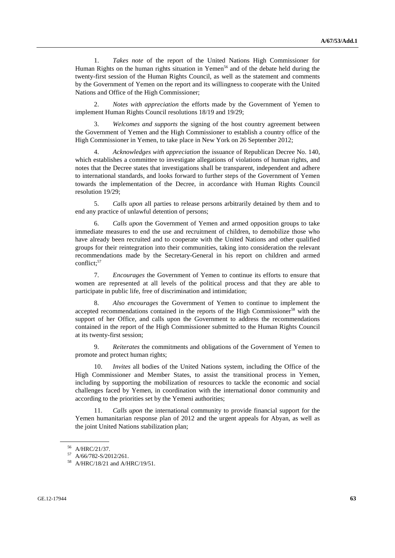1. *Takes note* of the report of the United Nations High Commissioner for Human Rights on the human rights situation in Yemen<sup>56</sup> and of the debate held during the twenty-first session of the Human Rights Council, as well as the statement and comments by the Government of Yemen on the report and its willingness to cooperate with the United Nations and Office of the High Commissioner;

 2. *Notes with appreciation* the efforts made by the Government of Yemen to implement Human Rights Council resolutions 18/19 and 19/29;

 3. *Welcomes and supports* the signing of the host country agreement between the Government of Yemen and the High Commissioner to establish a country office of the High Commissioner in Yemen, to take place in New York on 26 September 2012;

 4. *Acknowledges with appreciation* the issuance of Republican Decree No. 140, which establishes a committee to investigate allegations of violations of human rights, and notes that the Decree states that investigations shall be transparent, independent and adhere to international standards, and looks forward to further steps of the Government of Yemen towards the implementation of the Decree, in accordance with Human Rights Council resolution 19/29;

 5. *Calls upon* all parties to release persons arbitrarily detained by them and to end any practice of unlawful detention of persons;

 6. *Calls upon* the Government of Yemen and armed opposition groups to take immediate measures to end the use and recruitment of children, to demobilize those who have already been recruited and to cooperate with the United Nations and other qualified groups for their reintegration into their communities, taking into consideration the relevant recommendations made by the Secretary-General in his report on children and armed conflict:<sup>57</sup>

 7. *Encourages* the Government of Yemen to continue its efforts to ensure that women are represented at all levels of the political process and that they are able to participate in public life, free of discrimination and intimidation;

 8. *Also encourages* the Government of Yemen to continue to implement the accepted recommendations contained in the reports of the High Commissioner<sup>58</sup> with the support of her Office, and calls upon the Government to address the recommendations contained in the report of the High Commissioner submitted to the Human Rights Council at its twenty-first session;

 9. *Reiterates* the commitments and obligations of the Government of Yemen to promote and protect human rights;

 10. *Invites* all bodies of the United Nations system, including the Office of the High Commissioner and Member States, to assist the transitional process in Yemen, including by supporting the mobilization of resources to tackle the economic and social challenges faced by Yemen, in coordination with the international donor community and according to the priorities set by the Yemeni authorities;

*Calls upon* the international community to provide financial support for the Yemen humanitarian response plan of 2012 and the urgent appeals for Abyan, as well as the joint United Nations stabilization plan;

<sup>&</sup>lt;sup>56</sup> A/HRC/21/37.<br><sup>57</sup> A/66/782-S/2012/261.<br><sup>58</sup> A/HRC/18/21 and A/HRC/19/51.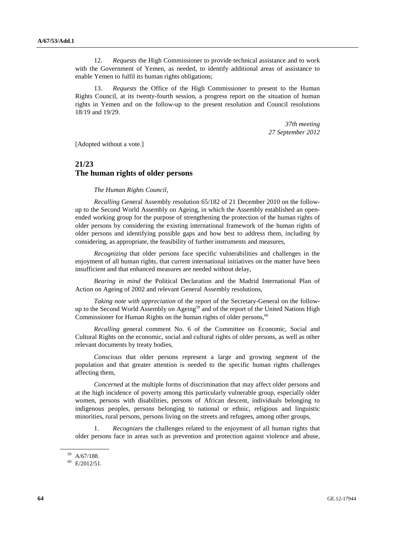12. *Requests* the High Commissioner to provide technical assistance and to work with the Government of Yemen, as needed, to identify additional areas of assistance to enable Yemen to fulfil its human rights obligations;

 13. *Requests* the Office of the High Commissioner to present to the Human Rights Council, at its twenty-fourth session, a progress report on the situation of human rights in Yemen and on the follow-up to the present resolution and Council resolutions 18/19 and 19/29.

> *37th meeting 27 September 2012*

[Adopted without a vote.]

### **21/23**

### **The human rights of older persons**

#### *The Human Rights Council*,

 *Recalling* General Assembly resolution 65/182 of 21 December 2010 on the followup to the Second World Assembly on Ageing, in which the Assembly established an openended working group for the purpose of strengthening the protection of the human rights of older persons by considering the existing international framework of the human rights of older persons and identifying possible gaps and how best to address them, including by considering, as appropriate, the feasibility of further instruments and measures,

*Recognizing* that older persons face specific vulnerabilities and challenges in the enjoyment of all human rights, that current international initiatives on the matter have been insufficient and that enhanced measures are needed without delay,

*Bearing in mind* the Political Declaration and the Madrid International Plan of Action on Ageing of 2002 and relevant General Assembly resolutions,

 *Taking note with appreciation* of the report of the Secretary-General on the followup to the Second World Assembly on Ageing<sup>59</sup> and of the report of the United Nations High Commissioner for Human Rights on the human rights of older persons,  $60$ 

 *Recalling* general comment No. 6 of the Committee on Economic, Social and Cultural Rights on the economic, social and cultural rights of older persons, as well as other relevant documents by treaty bodies,

 *Conscious* that older persons represent a large and growing segment of the population and that greater attention is needed to the specific human rights challenges affecting them,

 *Concerned* at the multiple forms of discrimination that may affect older persons and at the high incidence of poverty among this particularly vulnerable group, especially older women, persons with disabilities, persons of African descent, individuals belonging to indigenous peoples, persons belonging to national or ethnic, religious and linguistic minorities, rural persons, persons living on the streets and refugees, among other groups,

 1. *Recognizes* the challenges related to the enjoyment of all human rights that older persons face in areas such as prevention and protection against violence and abuse,

 $^{59}$  A/67/188.<br>
60 E/2012/51.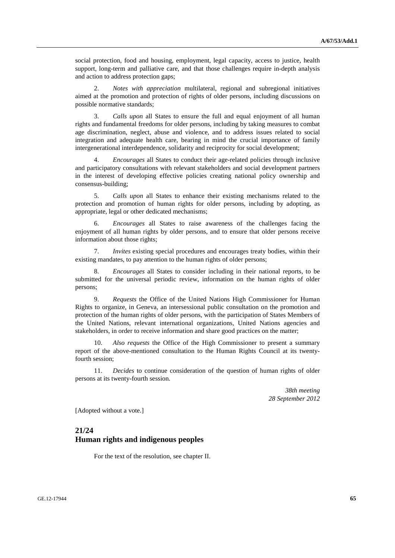social protection, food and housing, employment, legal capacity, access to justice, health support, long-term and palliative care, and that those challenges require in-depth analysis and action to address protection gaps;

 2. *Notes with appreciation* multilateral, regional and subregional initiatives aimed at the promotion and protection of rights of older persons, including discussions on possible normative standards;

 3. *Calls upon* all States to ensure the full and equal enjoyment of all human rights and fundamental freedoms for older persons, including by taking measures to combat age discrimination, neglect, abuse and violence, and to address issues related to social integration and adequate health care, bearing in mind the crucial importance of family intergenerational interdependence, solidarity and reciprocity for social development;

 4. *Encourages* all States to conduct their age-related policies through inclusive and participatory consultations with relevant stakeholders and social development partners in the interest of developing effective policies creating national policy ownership and consensus-building;

 5. *Calls upon* all States to enhance their existing mechanisms related to the protection and promotion of human rights for older persons, including by adopting, as appropriate, legal or other dedicated mechanisms;

 6. *Encourages* all States to raise awareness of the challenges facing the enjoyment of all human rights by older persons, and to ensure that older persons receive information about those rights;

*Invites* existing special procedures and encourages treaty bodies, within their existing mandates, to pay attention to the human rights of older persons;

 8. *Encourages* all States to consider including in their national reports, to be submitted for the universal periodic review, information on the human rights of older persons;

 9. *Requests* the Office of the United Nations High Commissioner for Human Rights to organize, in Geneva, an intersessional public consultation on the promotion and protection of the human rights of older persons, with the participation of States Members of the United Nations, relevant international organizations, United Nations agencies and stakeholders, in order to receive information and share good practices on the matter;

 10. *Also requests* the Office of the High Commissioner to present a summary report of the above-mentioned consultation to the Human Rights Council at its twentyfourth session;

 11. *Decides* to continue consideration of the question of human rights of older persons at its twenty-fourth session.

> *38th meeting 28 September 2012*

[Adopted without a vote.]

# **21/24 Human rights and indigenous peoples**

For the text of the resolution, see chapter II.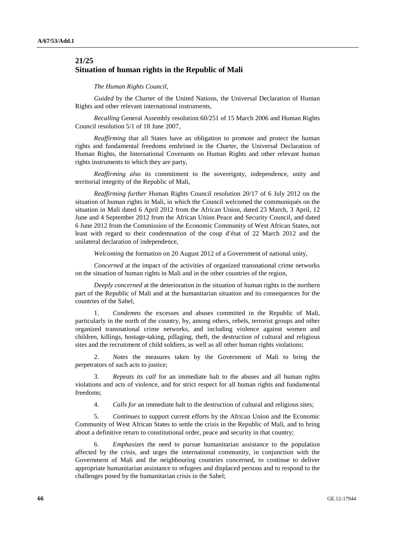## **21/25 Situation of human rights in the Republic of Mali**

*The Human Rights Council*,

*Guided* by the Charter of the United Nations, the Universal Declaration of Human Rights and other relevant international instruments,

*Recalling* General Assembly resolution 60/251 of 15 March 2006 and Human Rights Council resolution 5/1 of 18 June 2007,

*Reaffirming* that all States have an obligation to promote and protect the human rights and fundamental freedoms enshrined in the Charter, the Universal Declaration of Human Rights, the International Covenants on Human Rights and other relevant human rights instruments to which they are party,

*Reaffirming also* its commitment to the sovereignty, independence, unity and territorial integrity of the Republic of Mali,

*Reaffirming further* Human Rights Council resolution 20/17 of 6 July 2012 on the situation of human rights in Mali, in which the Council welcomed the communiqués on the situation in Mali dated 6 April 2012 from the African Union, dated 23 March, 3 April, 12 June and 4 September 2012 from the African Union Peace and Security Council, and dated 6 June 2012 from the Commission of the Economic Community of West African States, not least with regard to their condemnation of the coup d'état of 22 March 2012 and the unilateral declaration of independence,

*Welcoming* the formation on 20 August 2012 of a Government of national unity,

*Concerned* at the impact of the activities of organized transnational crime networks on the situation of human rights in Mali and in the other countries of the region,

*Deeply concerned* at the deterioration in the situation of human rights in the northern part of the Republic of Mali and at the humanitarian situation and its consequences for the countries of the Sahel,

 1. *Condemns* the excesses and abuses committed in the Republic of Mali, particularly in the north of the country, by, among others, rebels, terrorist groups and other organized transnational crime networks, and including violence against women and children, killings, hostage-taking, pillaging, theft, the destruction of cultural and religious sites and the recruitment of child soldiers, as well as all other human rights violations;

 2. *Notes* the measures taken by the Government of Mali to bring the perpetrators of such acts to justice;

 3. *Repeats its call* for an immediate halt to the abuses and all human rights violations and acts of violence, and for strict respect for all human rights and fundamental freedoms;

4. *Calls for* an immediate halt to the destruction of cultural and religious sites;

 5. *Continues* to support current efforts by the African Union and the Economic Community of West African States to settle the crisis in the Republic of Mali, and to bring about a definitive return to constitutional order, peace and security in that country;

 6. *Emphasizes* the need to pursue humanitarian assistance to the population affected by the crisis, and urges the international community, in conjunction with the Government of Mali and the neighbouring countries concerned, to continue to deliver appropriate humanitarian assistance to refugees and displaced persons and to respond to the challenges posed by the humanitarian crisis in the Sahel;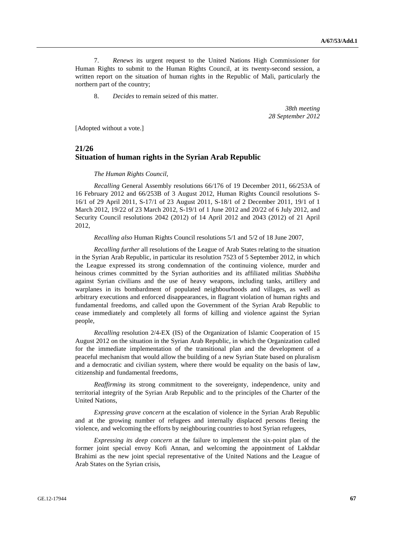7. *Renews* its urgent request to the United Nations High Commissioner for Human Rights to submit to the Human Rights Council, at its twenty-second session, a written report on the situation of human rights in the Republic of Mali, particularly the northern part of the country;

8. *Decides* to remain seized of this matter.

*38th meeting 28 September 2012* 

[Adopted without a vote.]

#### **21/26**

### **Situation of human rights in the Syrian Arab Republic**

#### *The Human Rights Council*,

 *Recalling* General Assembly resolutions 66/176 of 19 December 2011, 66/253A of 16 February 2012 and 66/253B of 3 August 2012, Human Rights Council resolutions S-16/1 of 29 April 2011, S-17/1 of 23 August 2011, S-18/1 of 2 December 2011, 19/1 of 1 March 2012, 19/22 of 23 March 2012, S-19/1 of 1 June 2012 and 20/22 of 6 July 2012, and Security Council resolutions 2042 (2012) of 14 April 2012 and 2043 (2012) of 21 April 2012,

 *Recalling also* Human Rights Council resolutions 5/1 and 5/2 of 18 June 2007,

 *Recalling further* all resolutions of the League of Arab States relating to the situation in the Syrian Arab Republic, in particular its resolution 7523 of 5 September 2012, in which the League expressed its strong condemnation of the continuing violence, murder and heinous crimes committed by the Syrian authorities and its affiliated militias *Shabbiha* against Syrian civilians and the use of heavy weapons, including tanks, artillery and warplanes in its bombardment of populated neighbourhoods and villages, as well as arbitrary executions and enforced disappearances, in flagrant violation of human rights and fundamental freedoms, and called upon the Government of the Syrian Arab Republic to cease immediately and completely all forms of killing and violence against the Syrian people,

 *Recalling* resolution 2/4-EX (IS) of the Organization of Islamic Cooperation of 15 August 2012 on the situation in the Syrian Arab Republic, in which the Organization called for the immediate implementation of the transitional plan and the development of a peaceful mechanism that would allow the building of a new Syrian State based on pluralism and a democratic and civilian system, where there would be equality on the basis of law, citizenship and fundamental freedoms,

 *Reaffirming* its strong commitment to the sovereignty, independence, unity and territorial integrity of the Syrian Arab Republic and to the principles of the Charter of the United Nations,

 *Expressing grave concern* at the escalation of violence in the Syrian Arab Republic and at the growing number of refugees and internally displaced persons fleeing the violence, and welcoming the efforts by neighbouring countries to host Syrian refugees,

 *Expressing its deep concern* at the failure to implement the six-point plan of the former joint special envoy Kofi Annan, and welcoming the appointment of Lakhdar Brahimi as the new joint special representative of the United Nations and the League of Arab States on the Syrian crisis,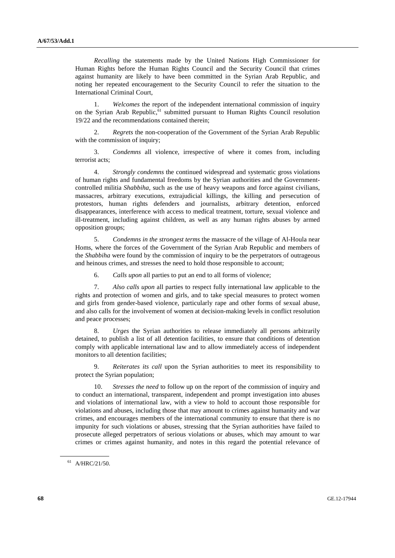*Recalling* the statements made by the United Nations High Commissioner for Human Rights before the Human Rights Council and the Security Council that crimes against humanity are likely to have been committed in the Syrian Arab Republic, and noting her repeated encouragement to the Security Council to refer the situation to the International Criminal Court,

 1. *Welcomes* the report of the independent international commission of inquiry on the Syrian Arab Republic, $61$  submitted pursuant to Human Rights Council resolution 19/22 and the recommendations contained therein;

 2. *Regrets* the non-cooperation of the Government of the Syrian Arab Republic with the commission of inquiry;

 3. *Condemns* all violence, irrespective of where it comes from, including terrorist acts;

 4. *Strongly condemns* the continued widespread and systematic gross violations of human rights and fundamental freedoms by the Syrian authorities and the Governmentcontrolled militia *Shabbiha*, such as the use of heavy weapons and force against civilians, massacres, arbitrary executions, extrajudicial killings, the killing and persecution of protestors, human rights defenders and journalists, arbitrary detention, enforced disappearances, interference with access to medical treatment, torture, sexual violence and ill-treatment, including against children, as well as any human rights abuses by armed opposition groups;

 5. *Condemns in the strongest terms* the massacre of the village of Al-Houla near Homs, where the forces of the Government of the Syrian Arab Republic and members of the *Shabbiha* were found by the commission of inquiry to be the perpetrators of outrageous and heinous crimes, and stresses the need to hold those responsible to account;

6. *Calls upon* all parties to put an end to all forms of violence;

 7. *Also calls upon* all parties to respect fully international law applicable to the rights and protection of women and girls, and to take special measures to protect women and girls from gender-based violence, particularly rape and other forms of sexual abuse, and also calls for the involvement of women at decision-making levels in conflict resolution and peace processes;

 8. *Urges* the Syrian authorities to release immediately all persons arbitrarily detained, to publish a list of all detention facilities, to ensure that conditions of detention comply with applicable international law and to allow immediately access of independent monitors to all detention facilities;

 9. *Reiterates its call* upon the Syrian authorities to meet its responsibility to protect the Syrian population;

 10. *Stresses the need* to follow up on the report of the commission of inquiry and to conduct an international, transparent, independent and prompt investigation into abuses and violations of international law, with a view to hold to account those responsible for violations and abuses, including those that may amount to crimes against humanity and war crimes, and encourages members of the international community to ensure that there is no impunity for such violations or abuses, stressing that the Syrian authorities have failed to prosecute alleged perpetrators of serious violations or abuses, which may amount to war crimes or crimes against humanity, and notes in this regard the potential relevance of

 $^{61}$  A/HRC/21/50.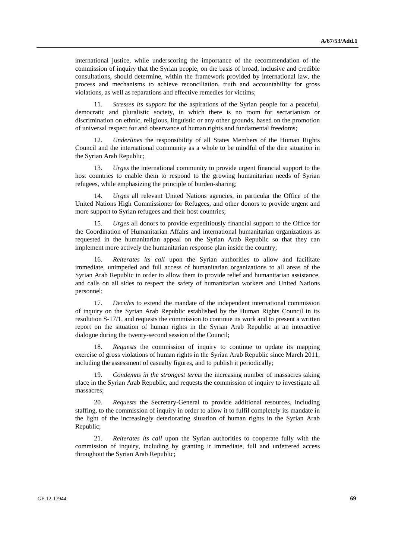international justice, while underscoring the importance of the recommendation of the commission of inquiry that the Syrian people, on the basis of broad, inclusive and credible consultations, should determine, within the framework provided by international law, the process and mechanisms to achieve reconciliation, truth and accountability for gross violations, as well as reparations and effective remedies for victims;

 11. *Stresses its support* for the aspirations of the Syrian people for a peaceful, democratic and pluralistic society, in which there is no room for sectarianism or discrimination on ethnic, religious, linguistic or any other grounds, based on the promotion of universal respect for and observance of human rights and fundamental freedoms;

 12. *Underlines* the responsibility of all States Members of the Human Rights Council and the international community as a whole to be mindful of the dire situation in the Syrian Arab Republic;

 13. *Urges* the international community to provide urgent financial support to the host countries to enable them to respond to the growing humanitarian needs of Syrian refugees, while emphasizing the principle of burden-sharing;

 14. *Urges* all relevant United Nations agencies, in particular the Office of the United Nations High Commissioner for Refugees, and other donors to provide urgent and more support to Syrian refugees and their host countries;

 15. *Urges* all donors to provide expeditiously financial support to the Office for the Coordination of Humanitarian Affairs and international humanitarian organizations as requested in the humanitarian appeal on the Syrian Arab Republic so that they can implement more actively the humanitarian response plan inside the country;

 16. *Reiterates its call* upon the Syrian authorities to allow and facilitate immediate, unimpeded and full access of humanitarian organizations to all areas of the Syrian Arab Republic in order to allow them to provide relief and humanitarian assistance, and calls on all sides to respect the safety of humanitarian workers and United Nations personnel;

 17. *Decides* to extend the mandate of the independent international commission of inquiry on the Syrian Arab Republic established by the Human Rights Council in its resolution S-17/1, and requests the commission to continue its work and to present a written report on the situation of human rights in the Syrian Arab Republic at an interactive dialogue during the twenty-second session of the Council;

 18. *Requests* the commission of inquiry to continue to update its mapping exercise of gross violations of human rights in the Syrian Arab Republic since March 2011, including the assessment of casualty figures, and to publish it periodically;

 19. *Condemns in the strongest terms* the increasing number of massacres taking place in the Syrian Arab Republic, and requests the commission of inquiry to investigate all massacres;

 20. *Requests* the Secretary-General to provide additional resources, including staffing, to the commission of inquiry in order to allow it to fulfil completely its mandate in the light of the increasingly deteriorating situation of human rights in the Syrian Arab Republic;

 21. *Reiterates its call* upon the Syrian authorities to cooperate fully with the commission of inquiry, including by granting it immediate, full and unfettered access throughout the Syrian Arab Republic;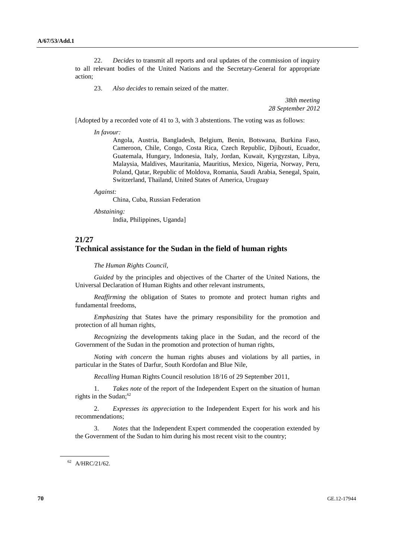22. *Decides* to transmit all reports and oral updates of the commission of inquiry to all relevant bodies of the United Nations and the Secretary-General for appropriate action;

23. *Also decides* to remain seized of the matter.

*38th meeting 28 September 2012* 

[Adopted by a recorded vote of 41 to 3, with 3 abstentions. The voting was as follows:

*In favour:* 

Angola, Austria, Bangladesh, Belgium, Benin, Botswana, Burkina Faso, Cameroon, Chile, Congo, Costa Rica, Czech Republic, Djibouti, Ecuador, Guatemala, Hungary, Indonesia, Italy, Jordan, Kuwait, Kyrgyzstan, Libya, Malaysia, Maldives, Mauritania, Mauritius, Mexico, Nigeria, Norway, Peru, Poland, Qatar, Republic of Moldova, Romania, Saudi Arabia, Senegal, Spain, Switzerland, Thailand, United States of America, Uruguay

*Against:* 

China, Cuba, Russian Federation

*Abstaining:* 

India, Philippines, Uganda]

#### **21/27**

### **Technical assistance for the Sudan in the field of human rights**

#### *The Human Rights Council*,

 *Guided* by the principles and objectives of the Charter of the United Nations, the Universal Declaration of Human Rights and other relevant instruments,

 *Reaffirming* the obligation of States to promote and protect human rights and fundamental freedoms,

*Emphasizing* that States have the primary responsibility for the promotion and protection of all human rights,

 *Recognizing* the developments taking place in the Sudan, and the record of the Government of the Sudan in the promotion and protection of human rights,

 *Noting with concern* the human rights abuses and violations by all parties, in particular in the States of Darfur, South Kordofan and Blue Nile,

 *Recalling* Human Rights Council resolution 18/16 of 29 September 2011,

 1. *Takes note* of the report of the Independent Expert on the situation of human rights in the Sudan;<sup>62</sup>

 2. *Expresses its appreciation* to the Independent Expert for his work and his recommendations;

 3. *Notes* that the Independent Expert commended the cooperation extended by the Government of the Sudan to him during his most recent visit to the country;

62 A/HRC/21/62.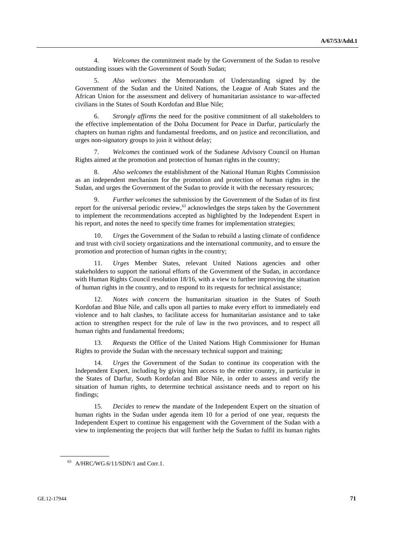4. *Welcomes* the commitment made by the Government of the Sudan to resolve outstanding issues with the Government of South Sudan;

 5. *Also welcomes* the Memorandum of Understanding signed by the Government of the Sudan and the United Nations, the League of Arab States and the African Union for the assessment and delivery of humanitarian assistance to war-affected civilians in the States of South Kordofan and Blue Nile;

 6. *Strongly affirms* the need for the positive commitment of all stakeholders to the effective implementation of the Doha Document for Peace in Darfur, particularly the chapters on human rights and fundamental freedoms, and on justice and reconciliation, and urges non-signatory groups to join it without delay;

 7. *Welcomes* the continued work of the Sudanese Advisory Council on Human Rights aimed at the promotion and protection of human rights in the country;

 8. *Also welcomes* the establishment of the National Human Rights Commission as an independent mechanism for the promotion and protection of human rights in the Sudan, and urges the Government of the Sudan to provide it with the necessary resources;

 9. *Further welcomes* the submission by the Government of the Sudan of its first report for the universal periodic review, $63$  acknowledges the steps taken by the Government to implement the recommendations accepted as highlighted by the Independent Expert in his report, and notes the need to specify time frames for implementation strategies;

 10. *Urges* the Government of the Sudan to rebuild a lasting climate of confidence and trust with civil society organizations and the international community, and to ensure the promotion and protection of human rights in the country;

 11. *Urges* Member States, relevant United Nations agencies and other stakeholders to support the national efforts of the Government of the Sudan, in accordance with Human Rights Council resolution 18/16, with a view to further improving the situation of human rights in the country, and to respond to its requests for technical assistance;

 12. *Notes with concern* the humanitarian situation in the States of South Kordofan and Blue Nile, and calls upon all parties to make every effort to immediately end violence and to halt clashes, to facilitate access for humanitarian assistance and to take action to strengthen respect for the rule of law in the two provinces, and to respect all human rights and fundamental freedoms;

 13. *Requests* the Office of the United Nations High Commissioner for Human Rights to provide the Sudan with the necessary technical support and training;

Urges the Government of the Sudan to continue its cooperation with the Independent Expert, including by giving him access to the entire country, in particular in the States of Darfur, South Kordofan and Blue Nile, in order to assess and verify the situation of human rights, to determine technical assistance needs and to report on his findings;

 15. *Decides* to renew the mandate of the Independent Expert on the situation of human rights in the Sudan under agenda item 10 for a period of one year, requests the Independent Expert to continue his engagement with the Government of the Sudan with a view to implementing the projects that will further help the Sudan to fulfil its human rights

 $63$  A/HRC/WG.6/11/SDN/1 and Corr.1.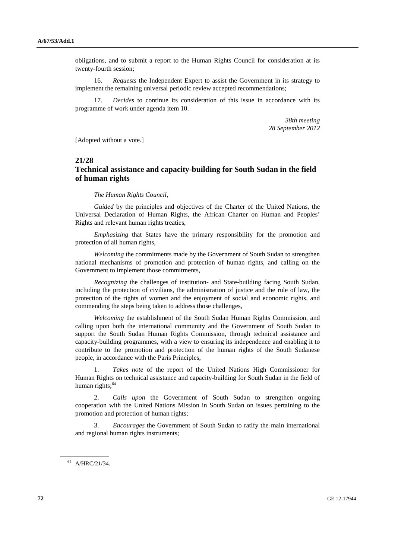obligations, and to submit a report to the Human Rights Council for consideration at its twenty-fourth session;

 16. *Requests* the Independent Expert to assist the Government in its strategy to implement the remaining universal periodic review accepted recommendations;

*Decides* to continue its consideration of this issue in accordance with its programme of work under agenda item 10.

> *38th meeting 28 September 2012*

[Adopted without a vote.]

#### **21/28**

### **Technical assistance and capacity-building for South Sudan in the field of human rights**

#### *The Human Rights Council*,

 *Guided* by the principles and objectives of the Charter of the United Nations, the Universal Declaration of Human Rights, the African Charter on Human and Peoples' Rights and relevant human rights treaties,

*Emphasizing* that States have the primary responsibility for the promotion and protection of all human rights,

 *Welcoming* the commitments made by the Government of South Sudan to strengthen national mechanisms of promotion and protection of human rights, and calling on the Government to implement those commitments,

 *Recognizing* the challenges of institution- and State-building facing South Sudan, including the protection of civilians, the administration of justice and the rule of law, the protection of the rights of women and the enjoyment of social and economic rights, and commending the steps being taken to address those challenges,

 *Welcoming* the establishment of the South Sudan Human Rights Commission, and calling upon both the international community and the Government of South Sudan to support the South Sudan Human Rights Commission, through technical assistance and capacity-building programmes, with a view to ensuring its independence and enabling it to contribute to the promotion and protection of the human rights of the South Sudanese people, in accordance with the Paris Principles,

Takes note of the report of the United Nations High Commissioner for Human Rights on technical assistance and capacity-building for South Sudan in the field of human rights; $64$ 

 2. *Calls upon* the Government of South Sudan to strengthen ongoing cooperation with the United Nations Mission in South Sudan on issues pertaining to the promotion and protection of human rights;

 3. *Encourages* the Government of South Sudan to ratify the main international and regional human rights instruments;

 <sup>64</sup> A/HRC/21/34.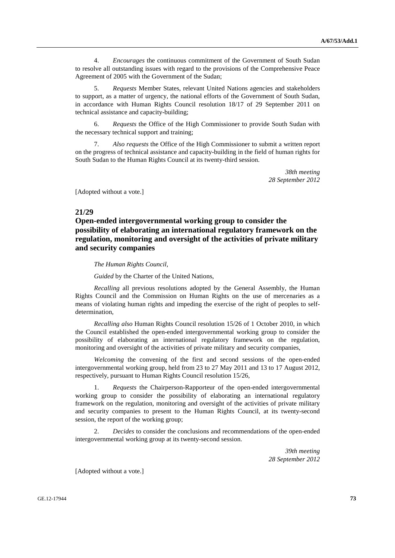4. *Encourages* the continuous commitment of the Government of South Sudan to resolve all outstanding issues with regard to the provisions of the Comprehensive Peace Agreement of 2005 with the Government of the Sudan;

 5. *Requests* Member States, relevant United Nations agencies and stakeholders to support, as a matter of urgency, the national efforts of the Government of South Sudan, in accordance with Human Rights Council resolution 18/17 of 29 September 2011 on technical assistance and capacity-building;

 6. *Requests* the Office of the High Commissioner to provide South Sudan with the necessary technical support and training;

 7. *Also requests* the Office of the High Commissioner to submit a written report on the progress of technical assistance and capacity-building in the field of human rights for South Sudan to the Human Rights Council at its twenty-third session.

> *38th meeting 28 September 2012*

[Adopted without a vote.]

#### **21/29**

**Open-ended intergovernmental working group to consider the possibility of elaborating an international regulatory framework on the regulation, monitoring and oversight of the activities of private military and security companies** 

 *The Human Rights Council*,

 *Guided* by the Charter of the United Nations,

 *Recalling* all previous resolutions adopted by the General Assembly, the Human Rights Council and the Commission on Human Rights on the use of mercenaries as a means of violating human rights and impeding the exercise of the right of peoples to selfdetermination,

 *Recalling also* Human Rights Council resolution 15/26 of 1 October 2010, in which the Council established the open-ended intergovernmental working group to consider the possibility of elaborating an international regulatory framework on the regulation, monitoring and oversight of the activities of private military and security companies,

 *Welcoming* the convening of the first and second sessions of the open-ended intergovernmental working group, held from 23 to 27 May 2011 and 13 to 17 August 2012, respectively, pursuant to Human Rights Council resolution 15/26,

 1. *Requests* the Chairperson-Rapporteur of the open-ended intergovernmental working group to consider the possibility of elaborating an international regulatory framework on the regulation, monitoring and oversight of the activities of private military and security companies to present to the Human Rights Council, at its twenty-second session, the report of the working group;

 2. *Decides* to consider the conclusions and recommendations of the open-ended intergovernmental working group at its twenty-second session.

> *39th meeting 28 September 2012*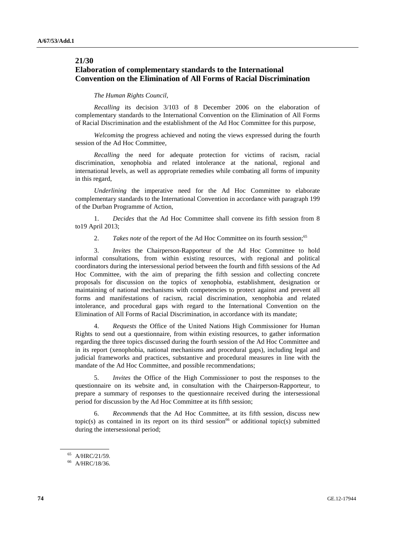### **21/30 Elaboration of complementary standards to the International Convention on the Elimination of All Forms of Racial Discrimination**

#### *The Human Rights Council*,

 *Recalling* its decision 3/103 of 8 December 2006 on the elaboration of complementary standards to the International Convention on the Elimination of All Forms of Racial Discrimination and the establishment of the Ad Hoc Committee for this purpose,

 *Welcoming* the progress achieved and noting the views expressed during the fourth session of the Ad Hoc Committee,

 *Recalling* the need for adequate protection for victims of racism, racial discrimination, xenophobia and related intolerance at the national, regional and international levels, as well as appropriate remedies while combating all forms of impunity in this regard,

 *Underlining* the imperative need for the Ad Hoc Committee to elaborate complementary standards to the International Convention in accordance with paragraph 199 of the Durban Programme of Action,

 1. *Decides* that the Ad Hoc Committee shall convene its fifth session from 8 to19 April 2013;

2. *Takes note* of the report of the Ad Hoc Committee on its fourth session:<sup>65</sup>

 3. *Invites* the Chairperson-Rapporteur of the Ad Hoc Committee to hold informal consultations, from within existing resources, with regional and political coordinators during the intersessional period between the fourth and fifth sessions of the Ad Hoc Committee, with the aim of preparing the fifth session and collecting concrete proposals for discussion on the topics of xenophobia, establishment, designation or maintaining of national mechanisms with competencies to protect against and prevent all forms and manifestations of racism, racial discrimination, xenophobia and related intolerance, and procedural gaps with regard to the International Convention on the Elimination of All Forms of Racial Discrimination, in accordance with its mandate;

 4. *Requests* the Office of the United Nations High Commissioner for Human Rights to send out a questionnaire, from within existing resources, to gather information regarding the three topics discussed during the fourth session of the Ad Hoc Committee and in its report (xenophobia, national mechanisms and procedural gaps), including legal and judicial frameworks and practices, substantive and procedural measures in line with the mandate of the Ad Hoc Committee, and possible recommendations;

 5. *Invites* the Office of the High Commissioner to post the responses to the questionnaire on its website and, in consultation with the Chairperson-Rapporteur, to prepare a summary of responses to the questionnaire received during the intersessional period for discussion by the Ad Hoc Committee at its fifth session;

 6. *Recommends* that the Ad Hoc Committee, at its fifth session, discuss new topic(s) as contained in its report on its third session<sup>66</sup> or additional topic(s) submitted during the intersessional period;

 $^{65}$  A/HRC/21/59.<br> $^{66}$  A/HRC/18/36.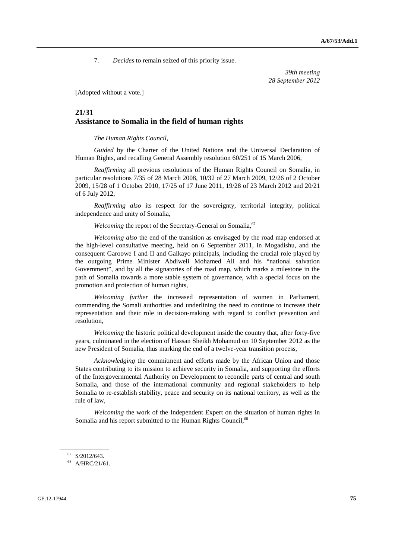7. *Decides* to remain seized of this priority issue.

*39th meeting 28 September 2012* 

[Adopted without a vote.]

# **21/31 Assistance to Somalia in the field of human rights**

 *The Human Rights Council*,

 *Guided* by the Charter of the United Nations and the Universal Declaration of Human Rights, and recalling General Assembly resolution 60/251 of 15 March 2006,

 *Reaffirming* all previous resolutions of the Human Rights Council on Somalia, in particular resolutions 7/35 of 28 March 2008, 10/32 of 27 March 2009, 12/26 of 2 October 2009, 15/28 of 1 October 2010, 17/25 of 17 June 2011, 19/28 of 23 March 2012 and 20/21 of 6 July 2012,

 *Reaffirming also* its respect for the sovereignty, territorial integrity, political independence and unity of Somalia,

*Welcoming* the report of the Secretary-General on Somalia.<sup>67</sup>

 *Welcoming also* the end of the transition as envisaged by the road map endorsed at the high-level consultative meeting, held on 6 September 2011, in Mogadishu, and the consequent Garoowe I and II and Galkayo principals, including the crucial role played by the outgoing Prime Minister Abdiweli Mohamed Ali and his "national salvation Government", and by all the signatories of the road map, which marks a milestone in the path of Somalia towards a more stable system of governance, with a special focus on the promotion and protection of human rights,

 *Welcoming further* the increased representation of women in Parliament, commending the Somali authorities and underlining the need to continue to increase their representation and their role in decision-making with regard to conflict prevention and resolution,

 *Welcoming* the historic political development inside the country that, after forty-five years, culminated in the election of Hassan Sheikh Mohamud on 10 September 2012 as the new President of Somalia, thus marking the end of a twelve-year transition process,

 *Acknowledging* the commitment and efforts made by the African Union and those States contributing to its mission to achieve security in Somalia, and supporting the efforts of the Intergovernmental Authority on Development to reconcile parts of central and south Somalia, and those of the international community and regional stakeholders to help Somalia to re-establish stability, peace and security on its national territory, as well as the rule of law,

 *Welcoming* the work of the Independent Expert on the situation of human rights in Somalia and his report submitted to the Human Rights Council,<sup>68</sup>

 $^{67}$  S/2012/643.<br>
68 A/HRC/21/61.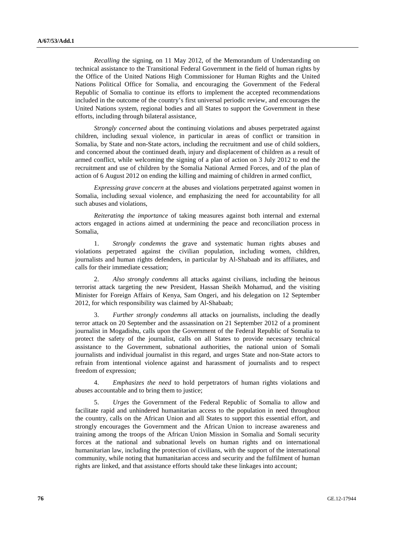*Recalling* the signing, on 11 May 2012, of the Memorandum of Understanding on technical assistance to the Transitional Federal Government in the field of human rights by the Office of the United Nations High Commissioner for Human Rights and the United Nations Political Office for Somalia, and encouraging the Government of the Federal Republic of Somalia to continue its efforts to implement the accepted recommendations included in the outcome of the country's first universal periodic review, and encourages the United Nations system, regional bodies and all States to support the Government in these efforts, including through bilateral assistance,

 *Strongly concerned* about the continuing violations and abuses perpetrated against children, including sexual violence, in particular in areas of conflict or transition in Somalia, by State and non-State actors, including the recruitment and use of child soldiers, and concerned about the continued death, injury and displacement of children as a result of armed conflict, while welcoming the signing of a plan of action on 3 July 2012 to end the recruitment and use of children by the Somalia National Armed Forces, and of the plan of action of 6 August 2012 on ending the killing and maiming of children in armed conflict,

 *Expressing grave concern* at the abuses and violations perpetrated against women in Somalia, including sexual violence, and emphasizing the need for accountability for all such abuses and violations,

 *Reiterating the importance* of taking measures against both internal and external actors engaged in actions aimed at undermining the peace and reconciliation process in Somalia,

 1. *Strongly condemns* the grave and systematic human rights abuses and violations perpetrated against the civilian population, including women, children, journalists and human rights defenders, in particular by Al-Shabaab and its affiliates, and calls for their immediate cessation;

 2. *Also strongly condemns* all attacks against civilians, including the heinous terrorist attack targeting the new President, Hassan Sheikh Mohamud, and the visiting Minister for Foreign Affairs of Kenya, Sam Ongeri, and his delegation on 12 September 2012, for which responsibility was claimed by Al-Shabaab;

 3. *Further strongly condemns* all attacks on journalists, including the deadly terror attack on 20 September and the assassination on 21 September 2012 of a prominent journalist in Mogadishu, calls upon the Government of the Federal Republic of Somalia to protect the safety of the journalist, calls on all States to provide necessary technical assistance to the Government, subnational authorities, the national union of Somali journalists and individual journalist in this regard, and urges State and non-State actors to refrain from intentional violence against and harassment of journalists and to respect freedom of expression;

 4. *Emphasizes the need* to hold perpetrators of human rights violations and abuses accountable and to bring them to justice;

 5. *Urges* the Government of the Federal Republic of Somalia to allow and facilitate rapid and unhindered humanitarian access to the population in need throughout the country, calls on the African Union and all States to support this essential effort, and strongly encourages the Government and the African Union to increase awareness and training among the troops of the African Union Mission in Somalia and Somali security forces at the national and subnational levels on human rights and on international humanitarian law, including the protection of civilians, with the support of the international community, while noting that humanitarian access and security and the fulfilment of human rights are linked, and that assistance efforts should take these linkages into account;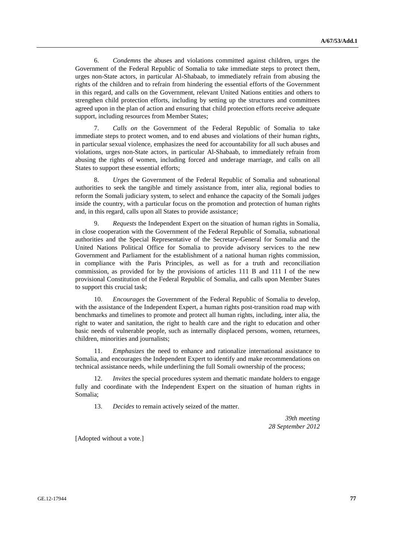6. *Condemns* the abuses and violations committed against children, urges the Government of the Federal Republic of Somalia to take immediate steps to protect them, urges non-State actors, in particular Al-Shabaab, to immediately refrain from abusing the rights of the children and to refrain from hindering the essential efforts of the Government in this regard, and calls on the Government, relevant United Nations entities and others to strengthen child protection efforts, including by setting up the structures and committees agreed upon in the plan of action and ensuring that child protection efforts receive adequate support, including resources from Member States;

 7. *Calls on* the Government of the Federal Republic of Somalia to take immediate steps to protect women, and to end abuses and violations of their human rights, in particular sexual violence, emphasizes the need for accountability for all such abuses and violations, urges non-State actors, in particular Al-Shabaab, to immediately refrain from abusing the rights of women, including forced and underage marriage, and calls on all States to support these essential efforts;

 8. *Urges* the Government of the Federal Republic of Somalia and subnational authorities to seek the tangible and timely assistance from, inter alia, regional bodies to reform the Somali judiciary system, to select and enhance the capacity of the Somali judges inside the country, with a particular focus on the promotion and protection of human rights and, in this regard, calls upon all States to provide assistance;

 9. *Requests* the Independent Expert on the situation of human rights in Somalia, in close cooperation with the Government of the Federal Republic of Somalia, subnational authorities and the Special Representative of the Secretary-General for Somalia and the United Nations Political Office for Somalia to provide advisory services to the new Government and Parliament for the establishment of a national human rights commission, in compliance with the Paris Principles, as well as for a truth and reconciliation commission, as provided for by the provisions of articles 111 B and 111 I of the new provisional Constitution of the Federal Republic of Somalia, and calls upon Member States to support this crucial task;

 10. *Encourages* the Government of the Federal Republic of Somalia to develop, with the assistance of the Independent Expert, a human rights post-transition road map with benchmarks and timelines to promote and protect all human rights, including, inter alia, the right to water and sanitation, the right to health care and the right to education and other basic needs of vulnerable people, such as internally displaced persons, women, returnees, children, minorities and journalists;

 11. *Emphasizes* the need to enhance and rationalize international assistance to Somalia, and encourages the Independent Expert to identify and make recommendations on technical assistance needs, while underlining the full Somali ownership of the process;

 12. *Invites* the special procedures system and thematic mandate holders to engage fully and coordinate with the Independent Expert on the situation of human rights in Somalia;

13. *Decides* to remain actively seized of the matter.

*39th meeting 28 September 2012*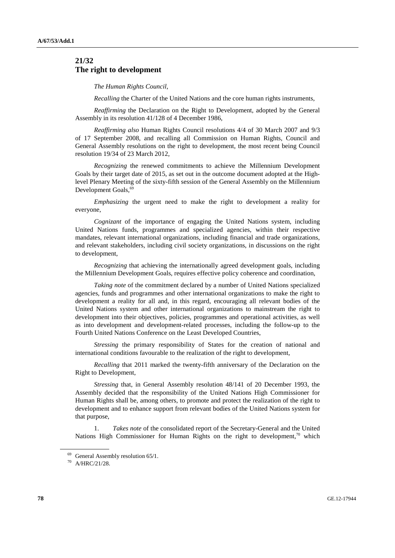# **21/32 The right to development**

 *The Human Rights Council*,

 *Recalling* the Charter of the United Nations and the core human rights instruments,

 *Reaffirming* the Declaration on the Right to Development, adopted by the General Assembly in its resolution 41/128 of 4 December 1986,

 *Reaffirming also* Human Rights Council resolutions 4/4 of 30 March 2007 and 9/3 of 17 September 2008, and recalling all Commission on Human Rights, Council and General Assembly resolutions on the right to development, the most recent being Council resolution 19/34 of 23 March 2012,

 *Recognizing* the renewed commitments to achieve the Millennium Development Goals by their target date of 2015, as set out in the outcome document adopted at the Highlevel Plenary Meeting of the sixty-fifth session of the General Assembly on the Millennium Development Goals.<sup>69</sup>

*Emphasizing* the urgent need to make the right to development a reality for everyone,

*Cognizant* of the importance of engaging the United Nations system, including United Nations funds, programmes and specialized agencies, within their respective mandates, relevant international organizations, including financial and trade organizations, and relevant stakeholders, including civil society organizations, in discussions on the right to development,

 *Recognizing* that achieving the internationally agreed development goals, including the Millennium Development Goals, requires effective policy coherence and coordination,

 *Taking note* of the commitment declared by a number of United Nations specialized agencies, funds and programmes and other international organizations to make the right to development a reality for all and, in this regard, encouraging all relevant bodies of the United Nations system and other international organizations to mainstream the right to development into their objectives, policies, programmes and operational activities, as well as into development and development-related processes, including the follow-up to the Fourth United Nations Conference on the Least Developed Countries,

*Stressing* the primary responsibility of States for the creation of national and international conditions favourable to the realization of the right to development,

 *Recalling* that 2011 marked the twenty-fifth anniversary of the Declaration on the Right to Development,

 *Stressing* that, in General Assembly resolution 48/141 of 20 December 1993, the Assembly decided that the responsibility of the United Nations High Commissioner for Human Rights shall be, among others, to promote and protect the realization of the right to development and to enhance support from relevant bodies of the United Nations system for that purpose,

 1. *Takes note* of the consolidated report of the Secretary-General and the United Nations High Commissioner for Human Rights on the right to development, $70$  which

<sup>&</sup>lt;sup>69</sup> General Assembly resolution 65/1.<br><sup>70</sup> A/HRC/21/28.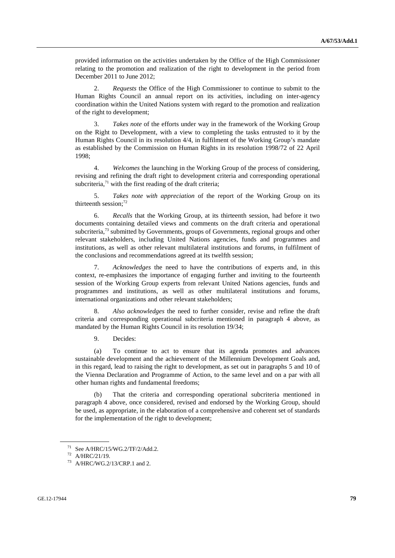provided information on the activities undertaken by the Office of the High Commissioner relating to the promotion and realization of the right to development in the period from December 2011 to June 2012;

 2. *Requests* the Office of the High Commissioner to continue to submit to the Human Rights Council an annual report on its activities, including on inter-agency coordination within the United Nations system with regard to the promotion and realization of the right to development;

 3. *Takes note* of the efforts under way in the framework of the Working Group on the Right to Development, with a view to completing the tasks entrusted to it by the Human Rights Council in its resolution 4/4, in fulfilment of the Working Group's mandate as established by the Commission on Human Rights in its resolution 1998/72 of 22 April 1998;

 4. *Welcomes* the launching in the Working Group of the process of considering, revising and refining the draft right to development criteria and corresponding operational subcriteria, $^{71}$  with the first reading of the draft criteria;

 5. *Takes note with appreciation* of the report of the Working Group on its thirteenth session; $72$ 

 6. *Recalls* that the Working Group, at its thirteenth session, had before it two documents containing detailed views and comments on the draft criteria and operational subcriteria,<sup>73</sup> submitted by Governments, groups of Governments, regional groups and other relevant stakeholders, including United Nations agencies, funds and programmes and institutions, as well as other relevant multilateral institutions and forums, in fulfilment of the conclusions and recommendations agreed at its twelfth session;

 7. *Acknowledges* the need to have the contributions of experts and, in this context, re-emphasizes the importance of engaging further and inviting to the fourteenth session of the Working Group experts from relevant United Nations agencies, funds and programmes and institutions, as well as other multilateral institutions and forums, international organizations and other relevant stakeholders;

 8. *Also acknowledges* the need to further consider, revise and refine the draft criteria and corresponding operational subcriteria mentioned in paragraph 4 above, as mandated by the Human Rights Council in its resolution 19/34;

9. Decides:

 (a) To continue to act to ensure that its agenda promotes and advances sustainable development and the achievement of the Millennium Development Goals and, in this regard, lead to raising the right to development, as set out in paragraphs 5 and 10 of the Vienna Declaration and Programme of Action, to the same level and on a par with all other human rights and fundamental freedoms;

 (b) That the criteria and corresponding operational subcriteria mentioned in paragraph 4 above, once considered, revised and endorsed by the Working Group, should be used, as appropriate, in the elaboration of a comprehensive and coherent set of standards for the implementation of the right to development;

<sup>&</sup>lt;sup>71</sup> See A/HRC/15/WG.2/TF/2/Add.2.<br><sup>72</sup> A/HRC/21/19.<br><sup>73</sup> A/HRC/WG.2/13/CRP.1 and 2.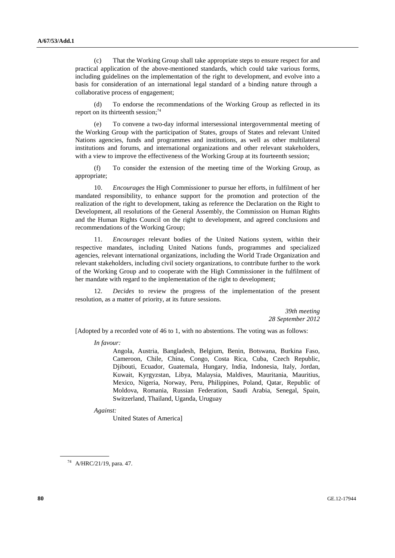(c) That the Working Group shall take appropriate steps to ensure respect for and practical application of the above-mentioned standards, which could take various forms, including guidelines on the implementation of the right to development, and evolve into a basis for consideration of an international legal standard of a binding nature through a collaborative process of engagement;

 (d) To endorse the recommendations of the Working Group as reflected in its report on its thirteenth session: $74$ 

 (e) To convene a two-day informal intersessional intergovernmental meeting of the Working Group with the participation of States, groups of States and relevant United Nations agencies, funds and programmes and institutions, as well as other multilateral institutions and forums, and international organizations and other relevant stakeholders, with a view to improve the effectiveness of the Working Group at its fourteenth session;

 (f) To consider the extension of the meeting time of the Working Group, as appropriate;

 10. *Encourages* the High Commissioner to pursue her efforts, in fulfilment of her mandated responsibility, to enhance support for the promotion and protection of the realization of the right to development, taking as reference the Declaration on the Right to Development, all resolutions of the General Assembly, the Commission on Human Rights and the Human Rights Council on the right to development, and agreed conclusions and recommendations of the Working Group;

 11. *Encourages* relevant bodies of the United Nations system, within their respective mandates, including United Nations funds, programmes and specialized agencies, relevant international organizations, including the World Trade Organization and relevant stakeholders, including civil society organizations, to contribute further to the work of the Working Group and to cooperate with the High Commissioner in the fulfilment of her mandate with regard to the implementation of the right to development;

 12. *Decides* to review the progress of the implementation of the present resolution, as a matter of priority, at its future sessions.

> *39th meeting 28 September 2012*

[Adopted by a recorded vote of 46 to 1, with no abstentions. The voting was as follows:

*In favour:* 

Angola, Austria, Bangladesh, Belgium, Benin, Botswana, Burkina Faso, Cameroon, Chile, China, Congo, Costa Rica, Cuba, Czech Republic, Djibouti, Ecuador, Guatemala, Hungary, India, Indonesia, Italy, Jordan, Kuwait, Kyrgyzstan, Libya, Malaysia, Maldives, Mauritania, Mauritius, Mexico, Nigeria, Norway, Peru, Philippines, Poland, Qatar, Republic of Moldova, Romania, Russian Federation, Saudi Arabia, Senegal, Spain, Switzerland, Thailand, Uganda, Uruguay

*Against:* 

United States of America]

 <sup>74</sup> A/HRC/21/19, para. 47.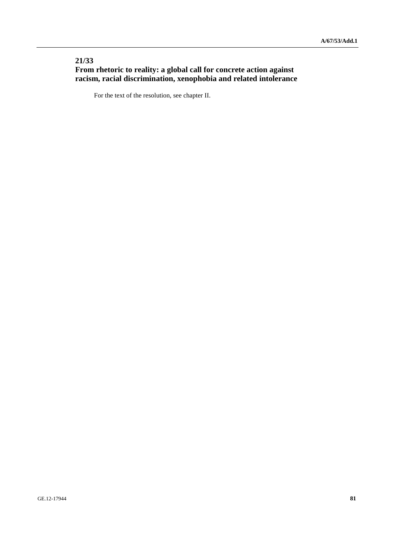# **21/33 From rhetoric to reality: a global call for concrete action against racism, racial discrimination, xenophobia and related intolerance**

For the text of the resolution, see chapter II.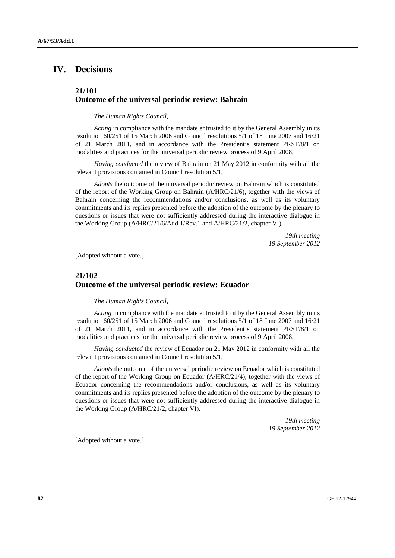# **IV. Decisions**

# **21/101 Outcome of the universal periodic review: Bahrain**

*The Human Rights Council*,

*Acting* in compliance with the mandate entrusted to it by the General Assembly in its resolution 60/251 of 15 March 2006 and Council resolutions 5/1 of 18 June 2007 and 16/21 of 21 March 2011, and in accordance with the President's statement PRST/8/1 on modalities and practices for the universal periodic review process of 9 April 2008,

*Having conducted* the review of Bahrain on 21 May 2012 in conformity with all the relevant provisions contained in Council resolution 5/1,

*Adopts* the outcome of the universal periodic review on Bahrain which is constituted of the report of the Working Group on Bahrain (A/HRC/21/6), together with the views of Bahrain concerning the recommendations and/or conclusions, as well as its voluntary commitments and its replies presented before the adoption of the outcome by the plenary to questions or issues that were not sufficiently addressed during the interactive dialogue in the Working Group (A/HRC/21/6/Add.1/Rev.1 and A/HRC/21/2, chapter VI).

> *19th meeting 19 September 2012*

[Adopted without a vote.]

# **21/102**

### **Outcome of the universal periodic review: Ecuador**

*The Human Rights Council*,

*Acting* in compliance with the mandate entrusted to it by the General Assembly in its resolution 60/251 of 15 March 2006 and Council resolutions 5/1 of 18 June 2007 and 16/21 of 21 March 2011, and in accordance with the President's statement PRST/8/1 on modalities and practices for the universal periodic review process of 9 April 2008,

*Having conducted* the review of Ecuador on 21 May 2012 in conformity with all the relevant provisions contained in Council resolution 5/1,

*Adopts* the outcome of the universal periodic review on Ecuador which is constituted of the report of the Working Group on Ecuador (A/HRC/21/4), together with the views of Ecuador concerning the recommendations and/or conclusions, as well as its voluntary commitments and its replies presented before the adoption of the outcome by the plenary to questions or issues that were not sufficiently addressed during the interactive dialogue in the Working Group (A/HRC/21/2, chapter VI).

> *19th meeting 19 September 2012*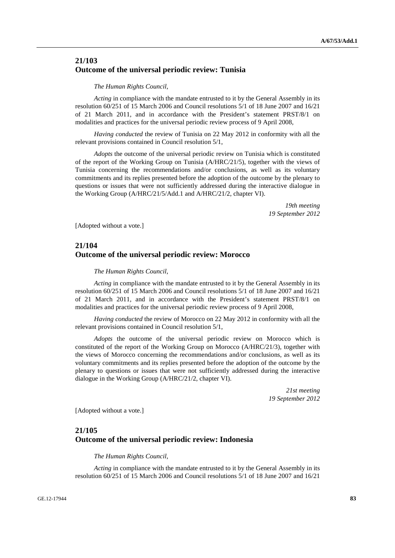### **21/103 Outcome of the universal periodic review: Tunisia**

*The Human Rights Council*,

*Acting* in compliance with the mandate entrusted to it by the General Assembly in its resolution 60/251 of 15 March 2006 and Council resolutions 5/1 of 18 June 2007 and 16/21 of 21 March 2011, and in accordance with the President's statement PRST/8/1 on modalities and practices for the universal periodic review process of 9 April 2008,

*Having conducted* the review of Tunisia on 22 May 2012 in conformity with all the relevant provisions contained in Council resolution 5/1,

*Adopts* the outcome of the universal periodic review on Tunisia which is constituted of the report of the Working Group on Tunisia (A/HRC/21/5), together with the views of Tunisia concerning the recommendations and/or conclusions, as well as its voluntary commitments and its replies presented before the adoption of the outcome by the plenary to questions or issues that were not sufficiently addressed during the interactive dialogue in the Working Group (A/HRC/21/5/Add.1 and A/HRC/21/2, chapter VI).

> *19th meeting 19 September 2012*

[Adopted without a vote.]

### **21/104 Outcome of the universal periodic review: Morocco**

*The Human Rights Council*,

*Acting* in compliance with the mandate entrusted to it by the General Assembly in its resolution 60/251 of 15 March 2006 and Council resolutions 5/1 of 18 June 2007 and 16/21 of 21 March 2011, and in accordance with the President's statement PRST/8/1 on modalities and practices for the universal periodic review process of 9 April 2008,

*Having conducted* the review of Morocco on 22 May 2012 in conformity with all the relevant provisions contained in Council resolution 5/1,

*Adopts* the outcome of the universal periodic review on Morocco which is constituted of the report of the Working Group on Morocco (A/HRC/21/3), together with the views of Morocco concerning the recommendations and/or conclusions, as well as its voluntary commitments and its replies presented before the adoption of the outcome by the plenary to questions or issues that were not sufficiently addressed during the interactive dialogue in the Working Group (A/HRC/21/2, chapter VI).

> *21st meeting 19 September 2012*

[Adopted without a vote.]

# **21/105 Outcome of the universal periodic review: Indonesia**

*The Human Rights Council*,

*Acting* in compliance with the mandate entrusted to it by the General Assembly in its resolution 60/251 of 15 March 2006 and Council resolutions 5/1 of 18 June 2007 and 16/21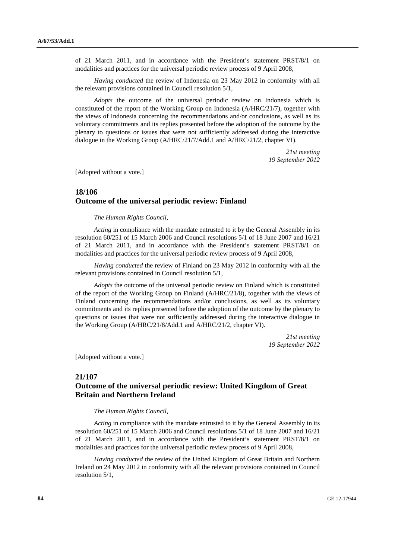of 21 March 2011, and in accordance with the President's statement PRST/8/1 on modalities and practices for the universal periodic review process of 9 April 2008,

*Having conducted* the review of Indonesia on 23 May 2012 in conformity with all the relevant provisions contained in Council resolution 5/1,

*Adopts* the outcome of the universal periodic review on Indonesia which is constituted of the report of the Working Group on Indonesia (A/HRC/21/7), together with the views of Indonesia concerning the recommendations and/or conclusions, as well as its voluntary commitments and its replies presented before the adoption of the outcome by the plenary to questions or issues that were not sufficiently addressed during the interactive dialogue in the Working Group (A/HRC/21/7/Add.1 and A/HRC/21/2, chapter VI).

> *21st meeting 19 September 2012*

[Adopted without a vote.]

# **18/106 Outcome of the universal periodic review: Finland**

#### *The Human Rights Council*,

*Acting* in compliance with the mandate entrusted to it by the General Assembly in its resolution 60/251 of 15 March 2006 and Council resolutions 5/1 of 18 June 2007 and 16/21 of 21 March 2011, and in accordance with the President's statement PRST/8/1 on modalities and practices for the universal periodic review process of 9 April 2008,

*Having conducted* the review of Finland on 23 May 2012 in conformity with all the relevant provisions contained in Council resolution 5/1,

*Adopts* the outcome of the universal periodic review on Finland which is constituted of the report of the Working Group on Finland (A/HRC/21/8), together with the views of Finland concerning the recommendations and/or conclusions, as well as its voluntary commitments and its replies presented before the adoption of the outcome by the plenary to questions or issues that were not sufficiently addressed during the interactive dialogue in the Working Group (A/HRC/21/8/Add.1 and A/HRC/21/2, chapter VI).

> *21st meeting 19 September 2012*

[Adopted without a vote.]

## **21/107**

### **Outcome of the universal periodic review: United Kingdom of Great Britain and Northern Ireland**

#### *The Human Rights Council*,

*Acting* in compliance with the mandate entrusted to it by the General Assembly in its resolution 60/251 of 15 March 2006 and Council resolutions 5/1 of 18 June 2007 and 16/21 of 21 March 2011, and in accordance with the President's statement PRST/8/1 on modalities and practices for the universal periodic review process of 9 April 2008,

*Having conducted* the review of the United Kingdom of Great Britain and Northern Ireland on 24 May 2012 in conformity with all the relevant provisions contained in Council resolution 5/1,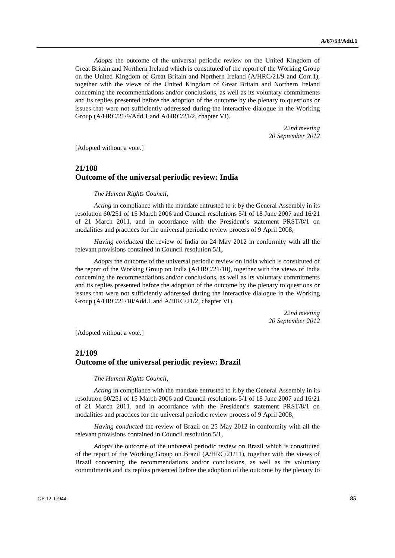*Adopts* the outcome of the universal periodic review on the United Kingdom of Great Britain and Northern Ireland which is constituted of the report of the Working Group on the United Kingdom of Great Britain and Northern Ireland (A/HRC/21/9 and Corr.1), together with the views of the United Kingdom of Great Britain and Northern Ireland concerning the recommendations and/or conclusions, as well as its voluntary commitments and its replies presented before the adoption of the outcome by the plenary to questions or issues that were not sufficiently addressed during the interactive dialogue in the Working Group (A/HRC/21/9/Add.1 and A/HRC/21/2, chapter VI).

> *22nd meeting 20 September 2012*

[Adopted without a vote.]

# **21/108 Outcome of the universal periodic review: India**

#### *The Human Rights Council*,

*Acting* in compliance with the mandate entrusted to it by the General Assembly in its resolution 60/251 of 15 March 2006 and Council resolutions 5/1 of 18 June 2007 and 16/21 of 21 March 2011, and in accordance with the President's statement PRST/8/1 on modalities and practices for the universal periodic review process of 9 April 2008,

*Having conducted* the review of India on 24 May 2012 in conformity with all the relevant provisions contained in Council resolution 5/1,

*Adopts* the outcome of the universal periodic review on India which is constituted of the report of the Working Group on India (A/HRC/21/10), together with the views of India concerning the recommendations and/or conclusions, as well as its voluntary commitments and its replies presented before the adoption of the outcome by the plenary to questions or issues that were not sufficiently addressed during the interactive dialogue in the Working Group (A/HRC/21/10/Add.1 and A/HRC/21/2, chapter VI).

> *22nd meeting 20 September 2012*

[Adopted without a vote.]

#### **21/109**

#### **Outcome of the universal periodic review: Brazil**

#### *The Human Rights Council*,

*Acting* in compliance with the mandate entrusted to it by the General Assembly in its resolution 60/251 of 15 March 2006 and Council resolutions 5/1 of 18 June 2007 and 16/21 of 21 March 2011, and in accordance with the President's statement PRST/8/1 on modalities and practices for the universal periodic review process of 9 April 2008,

*Having conducted* the review of Brazil on 25 May 2012 in conformity with all the relevant provisions contained in Council resolution 5/1,

*Adopts* the outcome of the universal periodic review on Brazil which is constituted of the report of the Working Group on Brazil (A/HRC/21/11), together with the views of Brazil concerning the recommendations and/or conclusions, as well as its voluntary commitments and its replies presented before the adoption of the outcome by the plenary to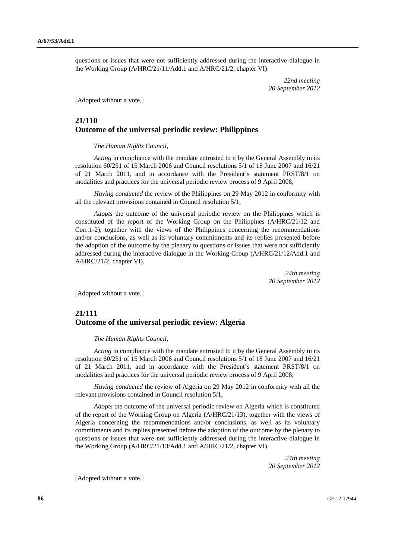questions or issues that were not sufficiently addressed during the interactive dialogue in the Working Group (A/HRC/21/11/Add.1 and A/HRC/21/2, chapter VI).

> *22nd meeting 20 September 2012*

[Adopted without a vote.]

# **21/110 Outcome of the universal periodic review: Philippines**

*The Human Rights Council*,

*Acting* in compliance with the mandate entrusted to it by the General Assembly in its resolution 60/251 of 15 March 2006 and Council resolutions 5/1 of 18 June 2007 and 16/21 of 21 March 2011, and in accordance with the President's statement PRST/8/1 on modalities and practices for the universal periodic review process of 9 April 2008,

*Having conducted* the review of the Philippines on 29 May 2012 in conformity with all the relevant provisions contained in Council resolution 5/1,

*Adopts* the outcome of the universal periodic review on the Philippines which is constituted of the report of the Working Group on the Philippines (A/HRC/21/12 and Corr.1-2), together with the views of the Philippines concerning the recommendations and/or conclusions, as well as its voluntary commitments and its replies presented before the adoption of the outcome by the plenary to questions or issues that were not sufficiently addressed during the interactive dialogue in the Working Group (A/HRC/21/12/Add.1 and A/HRC/21/2, chapter VI).

> *24th meeting 20 September 2012*

[Adopted without a vote.]

### **21/111 Outcome of the universal periodic review: Algeria**

*The Human Rights Council*,

*Acting* in compliance with the mandate entrusted to it by the General Assembly in its resolution 60/251 of 15 March 2006 and Council resolutions 5/1 of 18 June 2007 and 16/21 of 21 March 2011, and in accordance with the President's statement PRST/8/1 on modalities and practices for the universal periodic review process of 9 April 2008,

*Having conducted* the review of Algeria on 29 May 2012 in conformity with all the relevant provisions contained in Council resolution 5/1,

*Adopts* the outcome of the universal periodic review on Algeria which is constituted of the report of the Working Group on Algeria (A/HRC/21/13), together with the views of Algeria concerning the recommendations and/or conclusions, as well as its voluntary commitments and its replies presented before the adoption of the outcome by the plenary to questions or issues that were not sufficiently addressed during the interactive dialogue in the Working Group (A/HRC/21/13/Add.1 and A/HRC/21/2, chapter VI).

> *24th meeting 20 September 2012*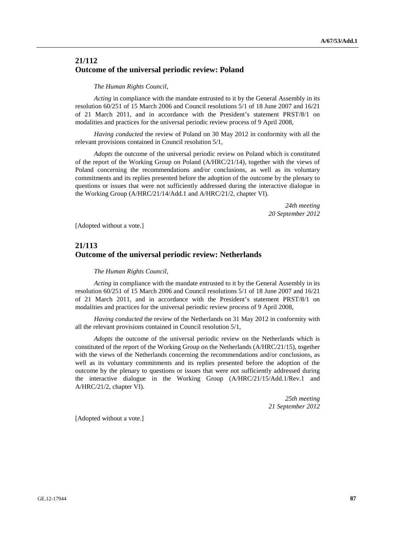### **21/112 Outcome of the universal periodic review: Poland**

*The Human Rights Council*,

*Acting* in compliance with the mandate entrusted to it by the General Assembly in its resolution 60/251 of 15 March 2006 and Council resolutions 5/1 of 18 June 2007 and 16/21 of 21 March 2011, and in accordance with the President's statement PRST/8/1 on modalities and practices for the universal periodic review process of 9 April 2008,

*Having conducted* the review of Poland on 30 May 2012 in conformity with all the relevant provisions contained in Council resolution 5/1,

*Adopts* the outcome of the universal periodic review on Poland which is constituted of the report of the Working Group on Poland (A/HRC/21/14), together with the views of Poland concerning the recommendations and/or conclusions, as well as its voluntary commitments and its replies presented before the adoption of the outcome by the plenary to questions or issues that were not sufficiently addressed during the interactive dialogue in the Working Group (A/HRC/21/14/Add.1 and A/HRC/21/2, chapter VI).

> *24th meeting 20 September 2012*

[Adopted without a vote.]

## **21/113 Outcome of the universal periodic review: Netherlands**

*The Human Rights Council*,

*Acting* in compliance with the mandate entrusted to it by the General Assembly in its resolution 60/251 of 15 March 2006 and Council resolutions 5/1 of 18 June 2007 and 16/21 of 21 March 2011, and in accordance with the President's statement PRST/8/1 on modalities and practices for the universal periodic review process of 9 April 2008,

*Having conducted* the review of the Netherlands on 31 May 2012 in conformity with all the relevant provisions contained in Council resolution 5/1,

*Adopts* the outcome of the universal periodic review on the Netherlands which is constituted of the report of the Working Group on the Netherlands (A/HRC/21/15), together with the views of the Netherlands concerning the recommendations and/or conclusions, as well as its voluntary commitments and its replies presented before the adoption of the outcome by the plenary to questions or issues that were not sufficiently addressed during the interactive dialogue in the Working Group (A/HRC/21/15/Add.1/Rev.1 and A/HRC/21/2, chapter VI).

> *25th meeting 21 September 2012*